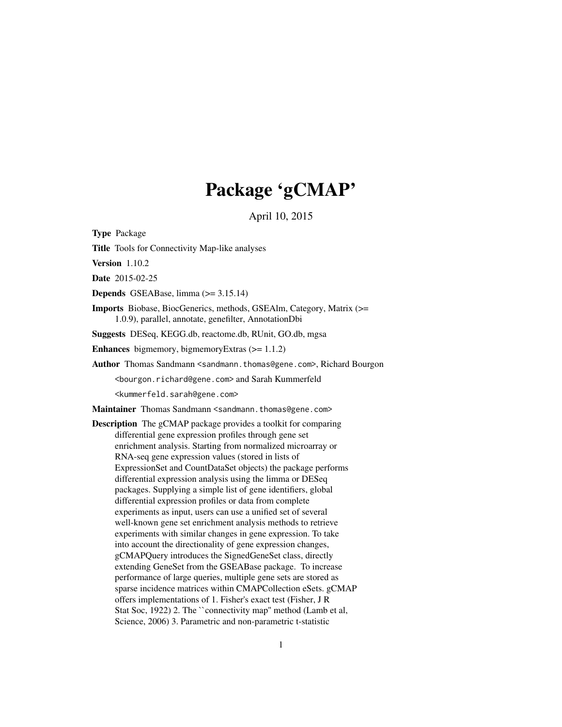# Package 'gCMAP'

April 10, 2015

<span id="page-0-0"></span>Type Package

Title Tools for Connectivity Map-like analyses

Version 1.10.2

Date 2015-02-25

Depends GSEABase, limma (>= 3.15.14)

Imports Biobase, BiocGenerics, methods, GSEAlm, Category, Matrix (>= 1.0.9), parallel, annotate, genefilter, AnnotationDbi

Suggests DESeq, KEGG.db, reactome.db, RUnit, GO.db, mgsa

Enhances bigmemory, bigmemoryExtras (>= 1.1.2)

Author Thomas Sandmann <sandmann.thomas@gene.com>, Richard Bourgon

<bourgon.richard@gene.com> and Sarah Kummerfeld

<kummerfeld.sarah@gene.com>

Maintainer Thomas Sandmann <sandmann.thomas@gene.com>

Description The gCMAP package provides a toolkit for comparing differential gene expression profiles through gene set enrichment analysis. Starting from normalized microarray or RNA-seq gene expression values (stored in lists of ExpressionSet and CountDataSet objects) the package performs differential expression analysis using the limma or DESeq packages. Supplying a simple list of gene identifiers, global differential expression profiles or data from complete experiments as input, users can use a unified set of several well-known gene set enrichment analysis methods to retrieve experiments with similar changes in gene expression. To take into account the directionality of gene expression changes, gCMAPQuery introduces the SignedGeneSet class, directly extending GeneSet from the GSEABase package. To increase performance of large queries, multiple gene sets are stored as sparse incidence matrices within CMAPCollection eSets. gCMAP offers implementations of 1. Fisher's exact test (Fisher, J R Stat Soc, 1922) 2. The ``connectivity map'' method (Lamb et al, Science, 2006) 3. Parametric and non-parametric t-statistic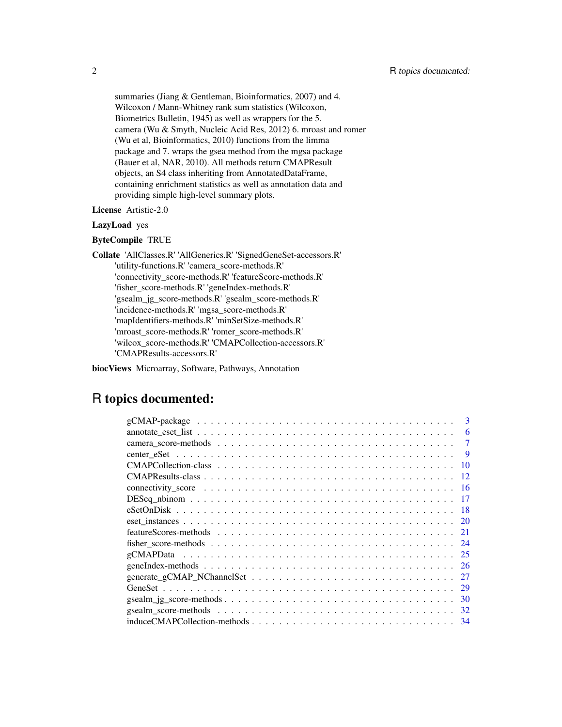summaries (Jiang & Gentleman, Bioinformatics, 2007) and 4. Wilcoxon / Mann-Whitney rank sum statistics (Wilcoxon, Biometrics Bulletin, 1945) as well as wrappers for the 5. camera (Wu & Smyth, Nucleic Acid Res, 2012) 6. mroast and romer (Wu et al, Bioinformatics, 2010) functions from the limma package and 7. wraps the gsea method from the mgsa package (Bauer et al, NAR, 2010). All methods return CMAPResult objects, an S4 class inheriting from AnnotatedDataFrame, containing enrichment statistics as well as annotation data and providing simple high-level summary plots.

#### License Artistic-2.0

#### LazyLoad yes

#### ByteCompile TRUE

Collate 'AllClasses.R' 'AllGenerics.R' 'SignedGeneSet-accessors.R' 'utility-functions.R' 'camera\_score-methods.R' 'connectivity\_score-methods.R' 'featureScore-methods.R' 'fisher\_score-methods.R' 'geneIndex-methods.R' 'gsealm\_jg\_score-methods.R' 'gsealm\_score-methods.R' 'incidence-methods.R' 'mgsa\_score-methods.R' 'mapIdentifiers-methods.R' 'minSetSize-methods.R' 'mroast\_score-methods.R' 'romer\_score-methods.R' 'wilcox\_score-methods.R' 'CMAPCollection-accessors.R' 'CMAPResults-accessors.R'

biocViews Microarray, Software, Pathways, Annotation

# R topics documented:

| 3                                                                                                                            |
|------------------------------------------------------------------------------------------------------------------------------|
| 6                                                                                                                            |
|                                                                                                                              |
| 9                                                                                                                            |
| 10                                                                                                                           |
| 12                                                                                                                           |
| 16                                                                                                                           |
|                                                                                                                              |
|                                                                                                                              |
|                                                                                                                              |
|                                                                                                                              |
| 24                                                                                                                           |
|                                                                                                                              |
| - 26                                                                                                                         |
| 27                                                                                                                           |
| - 29                                                                                                                         |
| $\text{gsealm}_ig\_score\text{-}methods \dots \dots \dots \dots \dots \dots \dots \dots \dots \dots \dots \dots \dots$<br>30 |
| 32                                                                                                                           |
| induceCMAPCollection-methods<br>34                                                                                           |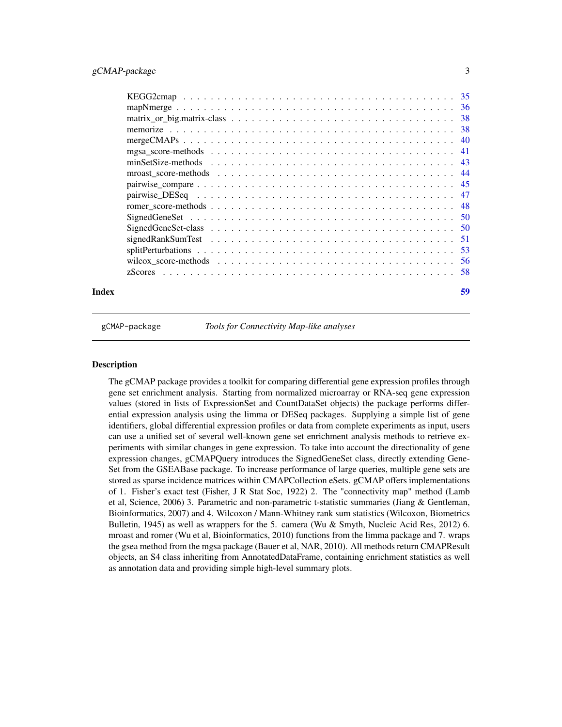<span id="page-2-0"></span>

gCMAP-package *Tools for Connectivity Map-like analyses*

# **Description**

The gCMAP package provides a toolkit for comparing differential gene expression profiles through gene set enrichment analysis. Starting from normalized microarray or RNA-seq gene expression values (stored in lists of ExpressionSet and CountDataSet objects) the package performs differential expression analysis using the limma or DESeq packages. Supplying a simple list of gene identifiers, global differential expression profiles or data from complete experiments as input, users can use a unified set of several well-known gene set enrichment analysis methods to retrieve experiments with similar changes in gene expression. To take into account the directionality of gene expression changes, gCMAPQuery introduces the SignedGeneSet class, directly extending Gene-Set from the GSEABase package. To increase performance of large queries, multiple gene sets are stored as sparse incidence matrices within CMAPCollection eSets. gCMAP offers implementations of 1. Fisher's exact test (Fisher, J R Stat Soc, 1922) 2. The "connectivity map" method (Lamb et al, Science, 2006) 3. Parametric and non-parametric t-statistic summaries (Jiang & Gentleman, Bioinformatics, 2007) and 4. Wilcoxon / Mann-Whitney rank sum statistics (Wilcoxon, Biometrics Bulletin, 1945) as well as wrappers for the 5. camera (Wu & Smyth, Nucleic Acid Res, 2012) 6. mroast and romer (Wu et al, Bioinformatics, 2010) functions from the limma package and 7. wraps the gsea method from the mgsa package (Bauer et al, NAR, 2010). All methods return CMAPResult objects, an S4 class inheriting from AnnotatedDataFrame, containing enrichment statistics as well as annotation data and providing simple high-level summary plots.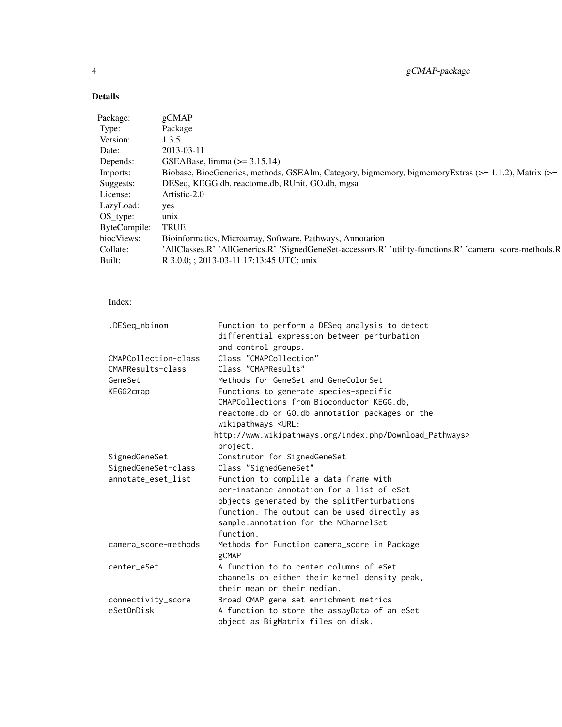# Details

| Package:          | gCMAF                                                                                                    |
|-------------------|----------------------------------------------------------------------------------------------------------|
| Type:             | Package                                                                                                  |
| Version:          | 1.3.5                                                                                                    |
| Date:             | 2013-03-11                                                                                               |
| Depends:          | GSEABase, limma $(>= 3.15.14)$                                                                           |
| Imports:          | Biobase, BiocGenerics, methods, GSEAlm, Category, bigmemory, bigmemoryExtras (>= 1.1.2), Matrix (>= 1    |
| Suggests:         | DESeq, KEGG.db, reactome.db, RUnit, GO.db, mgsa                                                          |
| License:          | Artistic-2.0                                                                                             |
| LazyLoad: yes     |                                                                                                          |
| OS_type:          | unix                                                                                                     |
| ByteCompile: TRUE |                                                                                                          |
| biocViews:        | Bioinformatics, Microarray, Software, Pathways, Annotation                                               |
| Collate:          | 'AllClasses.R' 'AllGenerics.R' 'SignedGeneSet-accessors.R' 'utility-functions.R' 'camera_score-methods.R |
| Built:            | R 3.0.0; ; 2013-03-11 17:13:45 UTC; unix                                                                 |

# Index:

| .DESeq_nbinom        | Function to perform a DESeq analysis to detect           |
|----------------------|----------------------------------------------------------|
|                      | differential expression between perturbation             |
|                      | and control groups.                                      |
| CMAPCollection-class | Class "CMAPCollection"                                   |
| CMAPResults-class    | Class "CMAPResults"                                      |
| GeneSet              | Methods for GeneSet and GeneColorSet                     |
| KEGG2cmap            | Functions to generate species-specific                   |
|                      | CMAPCollections from Bioconductor KEGG.db,               |
|                      | reactome.db or GO.db annotation packages or the          |
|                      | wikipathways <url:< td=""></url:<>                       |
|                      | http://www.wikipathways.org/index.php/Download_Pathways> |
|                      | project.                                                 |
| SignedGeneSet        | Construtor for SignedGeneSet                             |
| SignedGeneSet-class  | Class "SignedGeneSet"                                    |
| annotate_eset_list   | Function to complile a data frame with                   |
|                      | per-instance annotation for a list of eSet               |
|                      | objects generated by the splitPerturbations              |
|                      | function. The output can be used directly as             |
|                      | sample.annotation for the NChannelSet                    |
|                      | function.                                                |
| camera_score-methods | Methods for Function camera_score in Package             |
|                      | gCMAP                                                    |
| center_eSet          | A function to to center columns of eSet                  |
|                      | channels on either their kernel density peak,            |
|                      | their mean or their median.                              |
| connectivity_score   | Broad CMAP gene set enrichment metrics                   |
| eSetOnDisk           | A function to store the assayData of an eSet             |
|                      | object as BigMatrix files on disk.                       |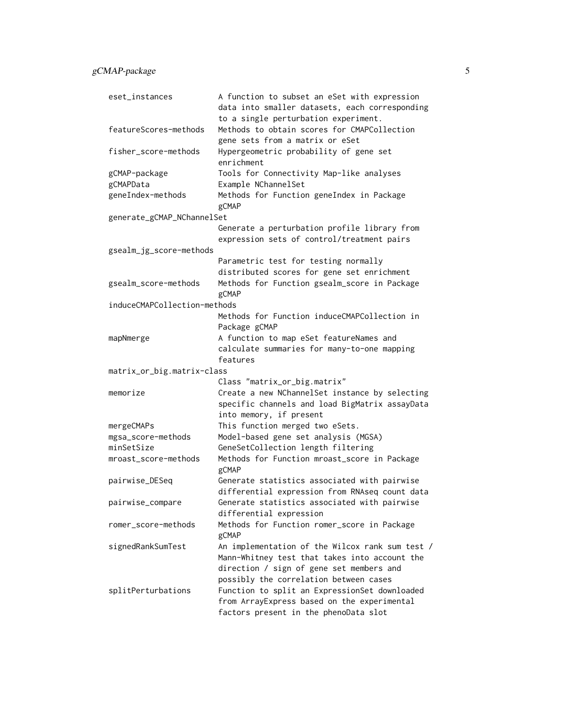| eset_instances               | A function to subset an eSet with expression<br>data into smaller datasets, each corresponding                                                                                         |
|------------------------------|----------------------------------------------------------------------------------------------------------------------------------------------------------------------------------------|
|                              | to a single perturbation experiment.                                                                                                                                                   |
| featureScores-methods        | Methods to obtain scores for CMAPCollection                                                                                                                                            |
|                              | gene sets from a matrix or eSet                                                                                                                                                        |
| fisher_score-methods         | Hypergeometric probability of gene set<br>enrichment                                                                                                                                   |
| gCMAP-package                | Tools for Connectivity Map-like analyses                                                                                                                                               |
| gCMAPData                    | Example NChannelSet                                                                                                                                                                    |
| geneIndex-methods            | Methods for Function geneIndex in Package<br>gCMAP                                                                                                                                     |
| generate_gCMAP_NChannelSet   |                                                                                                                                                                                        |
|                              | Generate a perturbation profile library from                                                                                                                                           |
|                              | expression sets of control/treatment pairs                                                                                                                                             |
| gsealm_jg_score-methods      |                                                                                                                                                                                        |
|                              | Parametric test for testing normally                                                                                                                                                   |
|                              | distributed scores for gene set enrichment                                                                                                                                             |
| gsealm_score-methods         | Methods for Function gsealm_score in Package<br>gCMAP                                                                                                                                  |
| induceCMAPCollection-methods |                                                                                                                                                                                        |
|                              | Methods for Function induceCMAPCollection in<br>Package gCMAP                                                                                                                          |
| mapNmerge                    | A function to map eSet featureNames and                                                                                                                                                |
|                              | calculate summaries for many-to-one mapping<br>features                                                                                                                                |
| matrix_or_big.matrix-class   |                                                                                                                                                                                        |
|                              | Class "matrix_or_big.matrix"                                                                                                                                                           |
| memorize                     | Create a new NChannelSet instance by selecting                                                                                                                                         |
|                              | specific channels and load BigMatrix assayData<br>into memory, if present                                                                                                              |
| mergeCMAPs                   | This function merged two eSets.                                                                                                                                                        |
| mgsa_score-methods           | Model-based gene set analysis (MGSA)                                                                                                                                                   |
| minSetSize                   | GeneSetCollection length filtering                                                                                                                                                     |
| mroast_score-methods         | Methods for Function mroast_score in Package<br>gCMAP                                                                                                                                  |
| pairwise_DESeq               | Generate statistics associated with pairwise                                                                                                                                           |
|                              | differential expression from RNAseq count data                                                                                                                                         |
| pairwise_compare             | Generate statistics associated with pairwise<br>differential expression                                                                                                                |
| romer_score-methods          | Methods for Function romer_score in Package<br>gCMAP                                                                                                                                   |
| signedRankSumTest            | An implementation of the Wilcox rank sum test /<br>Mann-Whitney test that takes into account the<br>direction / sign of gene set members and<br>possibly the correlation between cases |
| splitPerturbations           | Function to split an ExpressionSet downloaded<br>from ArrayExpress based on the experimental<br>factors present in the phenoData slot                                                  |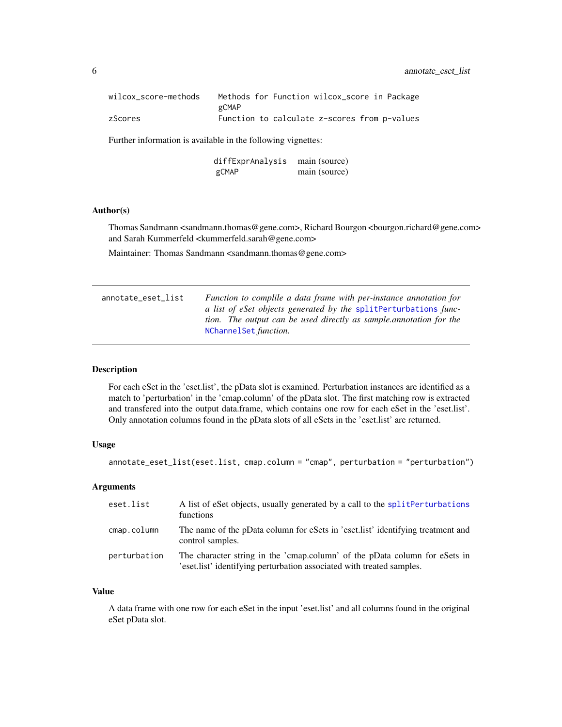<span id="page-5-0"></span>

| wilcox score-methods |       |  | Methods for Function wilcox_score in Package |  |
|----------------------|-------|--|----------------------------------------------|--|
|                      | gCMAP |  |                                              |  |
| zScores              |       |  | Function to calculate z-scores from p-values |  |

Further information is available in the following vignettes:

diffExprAnalysis main (source) gCMAP main (source)

#### Author(s)

Thomas Sandmann <sandmann.thomas@gene.com>, Richard Bourgon <br/> <br/> <br/>chard@gene.com> and Sarah Kummerfeld <kummerfeld.sarah@gene.com>

Maintainer: Thomas Sandmann <sandmann.thomas@gene.com>

<span id="page-5-1"></span>

| Function to complile a data frame with per-instance annotation for  |
|---------------------------------------------------------------------|
| a list of eSet objects generated by the splitPerturbations func-    |
| tion. The output can be used directly as sample, annotation for the |
| NChannelSet function.                                               |
|                                                                     |

# Description

For each eSet in the 'eset.list', the pData slot is examined. Perturbation instances are identified as a match to 'perturbation' in the 'cmap.column' of the pData slot. The first matching row is extracted and transfered into the output data.frame, which contains one row for each eSet in the 'eset.list'. Only annotation columns found in the pData slots of all eSets in the 'eset.list' are returned.

# Usage

```
annotate_eset_list(eset.list, cmap.column = "cmap", perturbation = "perturbation")
```
#### Arguments

| eset.list    | A list of eSet objects, usually generated by a call to the split Perturbations<br>functions                                                                             |
|--------------|-------------------------------------------------------------------------------------------------------------------------------------------------------------------------|
| cmap.column  | The name of the pData column for eSets in 'eset.list' identifying treatment and<br>control samples.                                                                     |
| perturbation | The character string in the 'cmap.column' of the pData column for eSets in<br>eset. Insterment is electricity in general experiment in associated with treated samples. |

#### Value

A data frame with one row for each eSet in the input 'eset.list' and all columns found in the original eSet pData slot.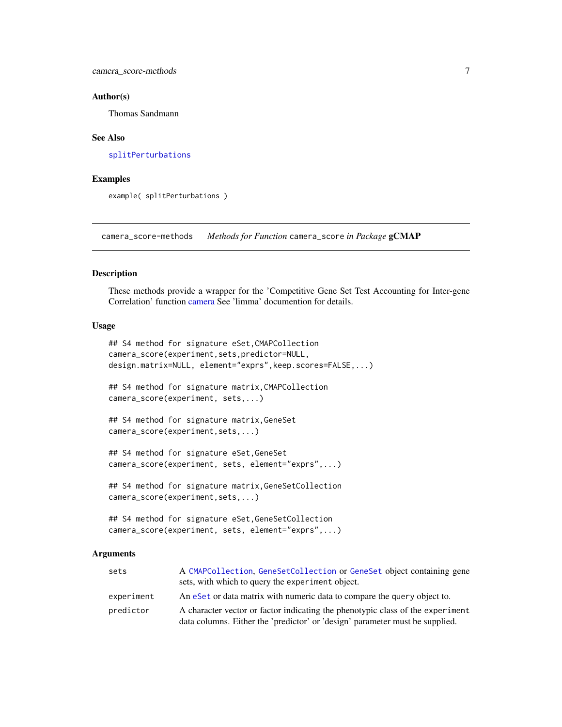#### <span id="page-6-0"></span>Author(s)

Thomas Sandmann

#### See Also

[splitPerturbations](#page-52-1)

#### Examples

example( splitPerturbations )

camera\_score-methods *Methods for Function* camera\_score *in Package* gCMAP

#### Description

These methods provide a wrapper for the 'Competitive Gene Set Test Accounting for Inter-gene Correlation' function [camera](#page-0-0) See 'limma' documention for details.

#### Usage

```
## S4 method for signature eSet,CMAPCollection
camera_score(experiment,sets,predictor=NULL,
design.matrix=NULL, element="exprs",keep.scores=FALSE,...)
## S4 method for signature matrix,CMAPCollection
camera_score(experiment, sets,...)
## S4 method for signature matrix,GeneSet
camera_score(experiment,sets,...)
## S4 method for signature eSet,GeneSet
camera_score(experiment, sets, element="exprs",...)
## S4 method for signature matrix,GeneSetCollection
camera_score(experiment,sets,...)
## S4 method for signature eSet,GeneSetCollection
```
camera\_score(experiment, sets, element="exprs",...)

#### Arguments

| sets       | A CMAPCollection, GeneSetCollection or GeneSet object containing gene<br>sets, with which to query the experiment object.                                      |
|------------|----------------------------------------------------------------------------------------------------------------------------------------------------------------|
| experiment | An eset or data matrix with numeric data to compare the query object to.                                                                                       |
| predictor  | A character vector or factor indicating the phenotypic class of the experiment<br>data columns. Either the 'predictor' or 'design' parameter must be supplied. |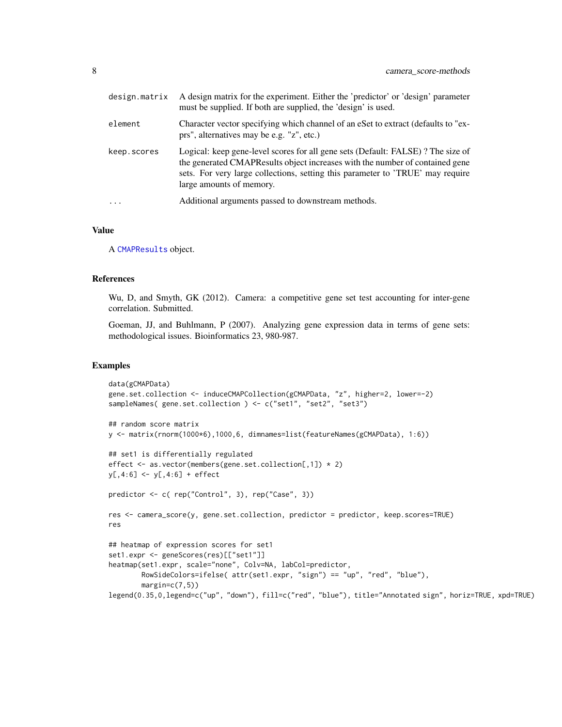| design.matrix     | A design matrix for the experiment. Either the 'predictor' or 'design' parameter<br>must be supplied. If both are supplied, the 'design' is used.                                                                                                                             |
|-------------------|-------------------------------------------------------------------------------------------------------------------------------------------------------------------------------------------------------------------------------------------------------------------------------|
| element           | Character vector specifying which channel of an eSet to extract (defaults to "ex-<br>prs", alternatives may be e.g. "z", etc.)                                                                                                                                                |
| keep.scores       | Logical: keep gene-level scores for all gene sets (Default: FALSE)? The size of<br>the generated CMAPResults object increases with the number of contained gene<br>sets. For very large collections, setting this parameter to 'TRUE' may require<br>large amounts of memory. |
| $\cdot\cdot\cdot$ | Additional arguments passed to downstream methods.                                                                                                                                                                                                                            |

#### Value

A [CMAPResults](#page-11-1) object.

#### References

Wu, D, and Smyth, GK (2012). Camera: a competitive gene set test accounting for inter-gene correlation. Submitted.

Goeman, JJ, and Buhlmann, P (2007). Analyzing gene expression data in terms of gene sets: methodological issues. Bioinformatics 23, 980-987.

#### Examples

```
data(gCMAPData)
gene.set.collection <- induceCMAPCollection(gCMAPData, "z", higher=2, lower=-2)
sampleNames( gene.set.collection ) <- c("set1", "set2", "set3")
## random score matrix
y <- matrix(rnorm(1000*6),1000,6, dimnames=list(featureNames(gCMAPData), 1:6))
## set1 is differentially regulated
effect <- as.vector(members(gene.set.collection[,1]) * 2)
y[,4:6] <- y[,4:6] + effect
predictor <- c( rep("Control", 3), rep("Case", 3))
res <- camera_score(y, gene.set.collection, predictor = predictor, keep.scores=TRUE)
res
## heatmap of expression scores for set1
set1.expr <- geneScores(res)[["set1"]]
heatmap(set1.expr, scale="none", Colv=NA, labCol=predictor,
        RowSideColors=ifelse( attr(set1.expr, "sign") == "up", "red", "blue"),
        margin=c(7,5))
legend(0.35,0,legend=c("up", "down"), fill=c("red", "blue"), title="Annotated sign", horiz=TRUE, xpd=TRUE)
```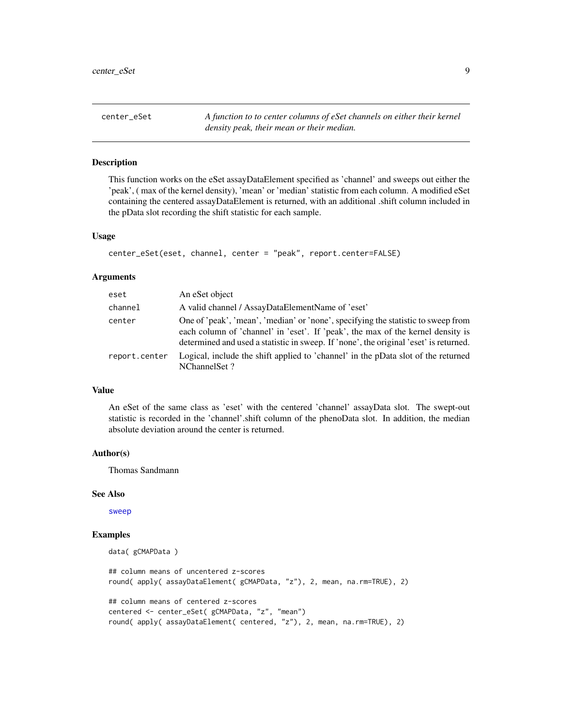<span id="page-8-0"></span>center\_eSet *A function to to center columns of eSet channels on either their kernel density peak, their mean or their median.*

## **Description**

This function works on the eSet assayDataElement specified as 'channel' and sweeps out either the 'peak', ( max of the kernel density), 'mean' or 'median' statistic from each column. A modified eSet containing the centered assayDataElement is returned, with an additional .shift column included in the pData slot recording the shift statistic for each sample.

#### Usage

```
center_eSet(eset, channel, center = "peak", report.center=FALSE)
```
# Arguments

| eset          | An eSet object                                                                                                                                                                                                                                                |
|---------------|---------------------------------------------------------------------------------------------------------------------------------------------------------------------------------------------------------------------------------------------------------------|
| channel       | A valid channel / AssayDataElementName of 'eset'                                                                                                                                                                                                              |
| center        | One of 'peak', 'mean', 'median' or 'none', specifying the statistic to sweep from<br>each column of 'channel' in 'eset'. If 'peak', the max of the kernel density is<br>determined and used a statistic in sweep. If 'none', the original 'eset' is returned. |
| report.center | Logical, include the shift applied to 'channel' in the pData slot of the returned<br>NChannelSet?                                                                                                                                                             |

#### Value

An eSet of the same class as 'eset' with the centered 'channel' assayData slot. The swept-out statistic is recorded in the 'channel'.shift column of the phenoData slot. In addition, the median absolute deviation around the center is returned.

# Author(s)

Thomas Sandmann

#### See Also

[sweep](#page-0-0)

# Examples

```
data( gCMAPData )
## column means of uncentered z-scores
round( apply( assayDataElement( gCMAPData, "z"), 2, mean, na.rm=TRUE), 2)
## column means of centered z-scores
```

```
centered <- center_eSet( gCMAPData, "z", "mean")
round( apply( assayDataElement( centered, "z"), 2, mean, na.rm=TRUE), 2)
```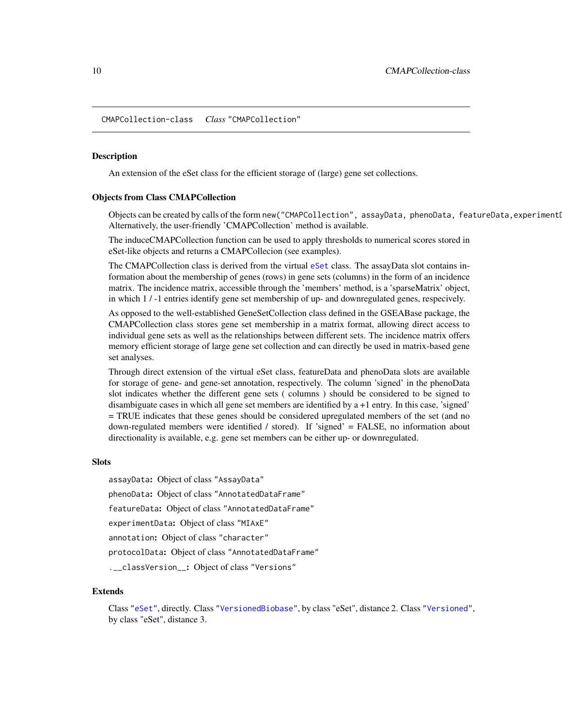<span id="page-9-1"></span><span id="page-9-0"></span>CMAPCollection-class *Class* "CMAPCollection"

#### <span id="page-9-2"></span>Description

An extension of the eSet class for the efficient storage of (large) gene set collections.

#### Objects from Class CMAPCollection

Objects can be created by calls of the form new("CMAPCollection", assayData, phenoData, featureData, experimenti Alternatively, the user-friendly 'CMAPCollection' method is available.

The induceCMAPCollection function can be used to apply thresholds to numerical scores stored in eSet-like objects and returns a CMAPCollecion (see examples).

The CMAPCollection class is derived from the virtual [eSet](#page-0-0) class. The assayData slot contains information about the membership of genes (rows) in gene sets (columns) in the form of an incidence matrix. The incidence matrix, accessible through the 'members' method, is a 'sparseMatrix' object, in which 1 / -1 entries identify gene set membership of up- and downregulated genes, respecively.

As opposed to the well-established GeneSetCollection class defined in the GSEABase package, the CMAPCollection class stores gene set membership in a matrix format, allowing direct access to individual gene sets as well as the relationships between different sets. The incidence matrix offers memory efficient storage of large gene set collection and can directly be used in matrix-based gene set analyses.

Through direct extension of the virtual eSet class, featureData and phenoData slots are available for storage of gene- and gene-set annotation, respectively. The column 'signed' in the phenoData slot indicates whether the different gene sets ( columns ) should be considered to be signed to disambiguate cases in which all gene set members are identified by a +1 entry. In this case, 'signed' = TRUE indicates that these genes should be considered upregulated members of the set (and no down-regulated members were identified / stored). If 'signed' = FALSE, no information about directionality is available, e.g. gene set members can be either up- or downregulated.

#### Slots

assayData: Object of class "AssayData" phenoData: Object of class "AnnotatedDataFrame" featureData: Object of class "AnnotatedDataFrame" experimentData: Object of class "MIAxE" annotation: Object of class "character" protocolData: Object of class "AnnotatedDataFrame" .\_\_classVersion\_\_: Object of class "Versions"

#### Extends

Class ["eSet"](#page-0-0), directly. Class ["VersionedBiobase"](#page-0-0), by class "eSet", distance 2. Class ["Versioned"](#page-0-0), by class "eSet", distance 3.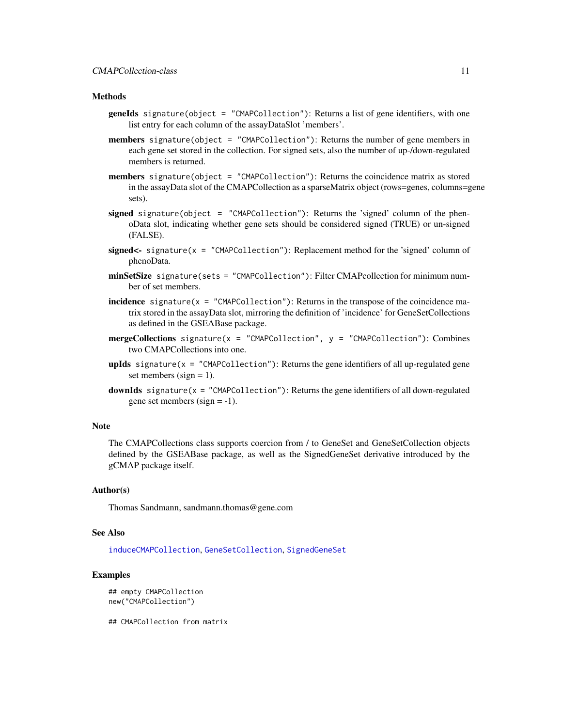#### **Methods**

- geneIds signature(object = "CMAPCollection"): Returns a list of gene identifiers, with one list entry for each column of the assayDataSlot 'members'.
- members signature(object = "CMAPCollection"): Returns the number of gene members in each gene set stored in the collection. For signed sets, also the number of up-/down-regulated members is returned.
- members signature(object = "CMAPCollection"): Returns the coincidence matrix as stored in the assayData slot of the CMAPCollection as a sparseMatrix object (rows=genes, columns=gene sets).
- signed signature(object = "CMAPCollection"): Returns the 'signed' column of the phenoData slot, indicating whether gene sets should be considered signed (TRUE) or un-signed (FALSE).
- signed<- signature( $x =$  "CMAPCollection"): Replacement method for the 'signed' column of phenoData.
- minSetSize signature(sets = "CMAPCollection"): Filter CMAPcollection for minimum number of set members.
- incidence signature( $x =$  "CMAPCollection"): Returns in the transpose of the coincidence matrix stored in the assayData slot, mirroring the definition of 'incidence' for GeneSetCollections as defined in the GSEABase package.
- **mergeCollections** signature( $x =$  "CMAPCollection",  $y =$  "CMAPCollection"): Combines two CMAPCollections into one.
- **upIds** signature( $x =$  "CMAPCollection"): Returns the gene identifiers of all up-regulated gene set members (sign  $= 1$ ).
- **downIds** signature( $x =$  "CMAPCollection"): Returns the gene identifiers of all down-regulated gene set members (sign  $= -1$ ).

#### Note

The CMAPCollections class supports coercion from / to GeneSet and GeneSetCollection objects defined by the GSEABase package, as well as the SignedGeneSet derivative introduced by the gCMAP package itself.

#### Author(s)

Thomas Sandmann, sandmann.thomas@gene.com

#### See Also

[induceCMAPCollection](#page-33-1), [GeneSetCollection](#page-0-0), [SignedGeneSet](#page-49-1)

#### Examples

```
## empty CMAPCollection
new("CMAPCollection")
```
## CMAPCollection from matrix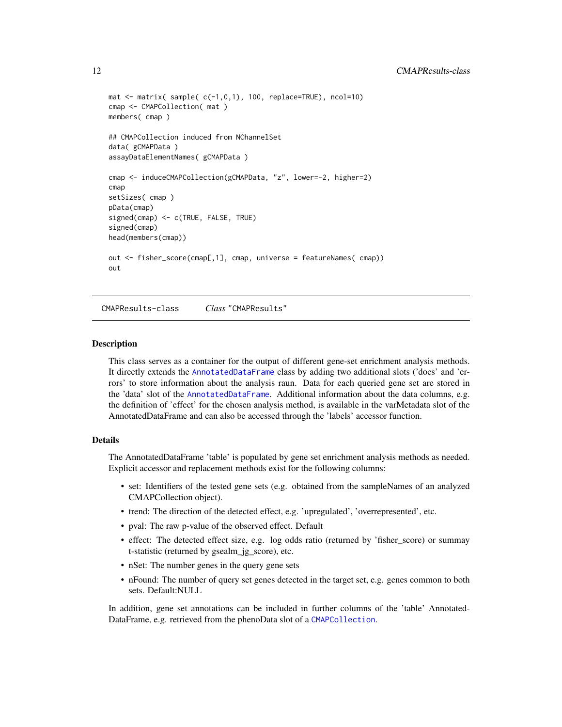```
mat \leq matrix( sample( c(-1,0,1), 100, replace=TRUE), ncol=10)
cmap <- CMAPCollection( mat )
members( cmap )
## CMAPCollection induced from NChannelSet
data( gCMAPData )
assayDataElementNames( gCMAPData )
cmap <- induceCMAPCollection(gCMAPData, "z", lower=-2, higher=2)
cmap
setSizes( cmap )
pData(cmap)
signed(cmap) <- c(TRUE, FALSE, TRUE)
signed(cmap)
head(members(cmap))
out <- fisher_score(cmap[,1], cmap, universe = featureNames( cmap))
out
```
<span id="page-11-1"></span>CMAPResults-class *Class* "CMAPResults"

#### **Description**

This class serves as a container for the output of different gene-set enrichment analysis methods. It directly extends the [AnnotatedDataFrame](#page-0-0) class by adding two additional slots ('docs' and 'errors' to store information about the analysis raun. Data for each queried gene set are stored in the 'data' slot of the [AnnotatedDataFrame](#page-0-0). Additional information about the data columns, e.g. the definition of 'effect' for the chosen analysis method, is available in the varMetadata slot of the AnnotatedDataFrame and can also be accessed through the 'labels' accessor function.

#### Details

The AnnotatedDataFrame 'table' is populated by gene set enrichment analysis methods as needed. Explicit accessor and replacement methods exist for the following columns:

- set: Identifiers of the tested gene sets (e.g. obtained from the sampleNames of an analyzed CMAPCollection object).
- trend: The direction of the detected effect, e.g. 'upregulated', 'overrepresented', etc.
- pval: The raw p-value of the observed effect. Default
- effect: The detected effect size, e.g. log odds ratio (returned by 'fisher\_score) or summay t-statistic (returned by gsealm\_jg\_score), etc.
- nSet: The number genes in the query gene sets
- nFound: The number of query set genes detected in the target set, e.g. genes common to both sets. Default:NULL

In addition, gene set annotations can be included in further columns of the 'table' Annotated-DataFrame, e.g. retrieved from the phenoData slot of a [CMAPCollection](#page-9-1).

<span id="page-11-0"></span>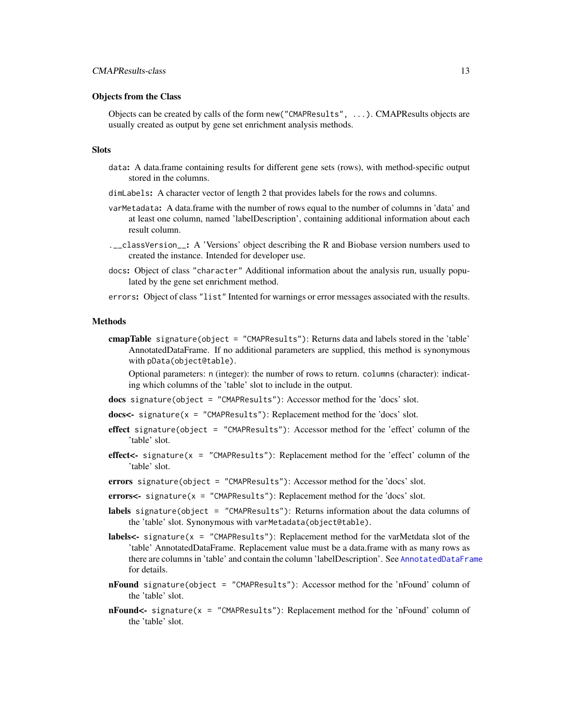#### Objects from the Class

Objects can be created by calls of the form new("CMAPResults", ...). CMAPResults objects are usually created as output by gene set enrichment analysis methods.

#### **Slots**

- data: A data.frame containing results for different gene sets (rows), with method-specific output stored in the columns.
- dimLabels: A character vector of length 2 that provides labels for the rows and columns.
- varMetadata: A data.frame with the number of rows equal to the number of columns in 'data' and at least one column, named 'labelDescription', containing additional information about each result column.
- .\_\_classVersion\_\_: A 'Versions' object describing the R and Biobase version numbers used to created the instance. Intended for developer use.
- docs: Object of class "character" Additional information about the analysis run, usually populated by the gene set enrichment method.
- errors: Object of class "list" Intented for warnings or error messages associated with the results.

#### Methods

cmapTable signature(object = "CMAPResults"): Returns data and labels stored in the 'table' AnnotatedDataFrame. If no additional parameters are supplied, this method is synonymous with pData(object@table).

Optional parameters: n (integer): the number of rows to return. columns (character): indicating which columns of the 'table' slot to include in the output.

- docs signature(object = "CMAPResults"): Accessor method for the 'docs' slot.
- docs<- signature(x = "CMAPResults"): Replacement method for the 'docs' slot.
- effect signature(object = "CMAPResults"): Accessor method for the 'effect' column of the 'table' slot.
- effect  $\le$  signature(x = "CMAPResults"): Replacement method for the 'effect' column of the 'table' slot.
- errors signature(object = "CMAPResults"): Accessor method for the 'docs' slot.
- errors<- signature(x = "CMAPResults"): Replacement method for the 'docs' slot.
- labels signature(object = "CMAPResults"): Returns information about the data columns of the 'table' slot. Synonymous with varMetadata(object@table).
- **labels<-** signature( $x =$  "CMAPResults"): Replacement method for the varMetdata slot of the 'table' AnnotatedDataFrame. Replacement value must be a data.frame with as many rows as there are columns in 'table' and contain the column 'labelDescription'. See [AnnotatedDataFrame](#page-0-0) for details.
- nFound signature(object = "CMAPResults"): Accessor method for the 'nFound' column of the 'table' slot.
- **nFound<-** signature( $x =$  "CMAPResults"): Replacement method for the 'nFound' column of the 'table' slot.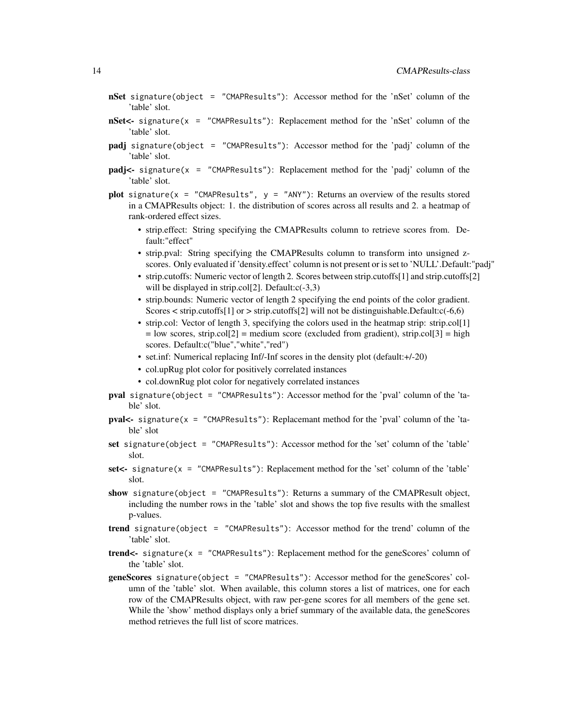- nSet signature(object = "CMAPResults"): Accessor method for the 'nSet' column of the 'table' slot.
- nSet<- signature(x = "CMAPResults"): Replacement method for the 'nSet' column of the 'table' slot.
- padj signature(object = "CMAPResults"): Accessor method for the 'padj' column of the 'table' slot.
- padj<- signature(x = "CMAPResults"): Replacement method for the 'padj' column of the 'table' slot.
- plot signature(x = "CMAPResults",  $y =$  "ANY"): Returns an overview of the results stored in a CMAPResults object: 1. the distribution of scores across all results and 2. a heatmap of rank-ordered effect sizes.
	- strip.effect: String specifying the CMAPResults column to retrieve scores from. Default:"effect"
	- strip.pval: String specifying the CMAPResults column to transform into unsigned zscores. Only evaluated if 'density.effect' column is not present or is set to 'NULL'.Default:"padj"
	- strip.cutoffs: Numeric vector of length 2. Scores between strip.cutoffs[1] and strip.cutoffs[2] will be displayed in strip.col[2]. Default:c(-3,3)
	- strip.bounds: Numeric vector of length 2 specifying the end points of the color gradient. Scores  $\lt$  strip.cutoffs[1] or  $>$  strip.cutoffs[2] will not be distinguishable. Default: $c(-6,6)$
	- strip.col: Vector of length 3, specifying the colors used in the heatmap strip: strip.col[1]  $=$  low scores, strip.col[2]  $=$  medium score (excluded from gradient), strip.col[3]  $=$  high scores. Default:c("blue","white","red")
	- set.inf: Numerical replacing Inf/-Inf scores in the density plot (default:+/-20)
	- col.upRug plot color for positively correlated instances
	- col.downRug plot color for negatively correlated instances
- pval signature(object = "CMAPResults"): Accessor method for the 'pval' column of the 'table' slot.
- pval<- signature( $x =$  "CMAPResults"): Replacemant method for the 'pval' column of the 'table' slot
- set signature(object = "CMAPResults"): Accessor method for the 'set' column of the 'table' slot.
- set<- signature(x = "CMAPResults"): Replacement method for the 'set' column of the 'table' slot.
- show signature(object = "CMAPResults"): Returns a summary of the CMAPResult object, including the number rows in the 'table' slot and shows the top five results with the smallest p-values.
- trend signature(object = "CMAPResults"): Accessor method for the trend' column of the 'table' slot.
- trend<- signature( $x =$  "CMAPResults"): Replacement method for the geneScores' column of the 'table' slot.
- geneScores signature(object = "CMAPResults"): Accessor method for the geneScores' column of the 'table' slot. When available, this column stores a list of matrices, one for each row of the CMAPResults object, with raw per-gene scores for all members of the gene set. While the 'show' method displays only a brief summary of the available data, the geneScores method retrieves the full list of score matrices.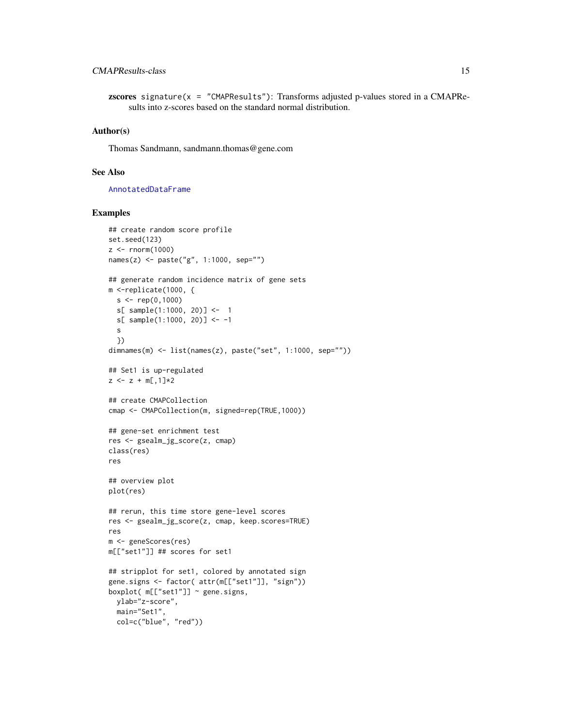# CMAPResults-class 15

**zscores** signature( $x =$  "CMAPResults"): Transforms adjusted p-values stored in a CMAPResults into z-scores based on the standard normal distribution.

# Author(s)

Thomas Sandmann, sandmann.thomas@gene.com

#### See Also

[AnnotatedDataFrame](#page-0-0)

#### Examples

```
## create random score profile
set.seed(123)
z \le - rnorm(1000)names(z) <- paste("g", 1:1000, sep="")
## generate random incidence matrix of gene sets
m <-replicate(1000, {
  s < -\text{rep}(0,1000)s[ sample(1:1000, 20)] <- 1
  s[ sample(1:1000, 20)] <- -1
  s
  })
dimnames(m) <- list(names(z), paste("set", 1:1000, sep=""))
## Set1 is up-regulated
z \le -z + m[, 1] *2
## create CMAPCollection
cmap <- CMAPCollection(m, signed=rep(TRUE,1000))
## gene-set enrichment test
res <- gsealm_jg_score(z, cmap)
class(res)
res
## overview plot
plot(res)
## rerun, this time store gene-level scores
res <- gsealm_jg_score(z, cmap, keep.scores=TRUE)
res
m <- geneScores(res)
m[["set1"]] ## scores for set1
## stripplot for set1, colored by annotated sign
gene.signs <- factor( attr(m[["set1"]], "sign"))
boxplot(m[["set1"] \sim gene.signs,
 ylab="z-score",
  main="Set1",
  col=c("blue", "red"))
```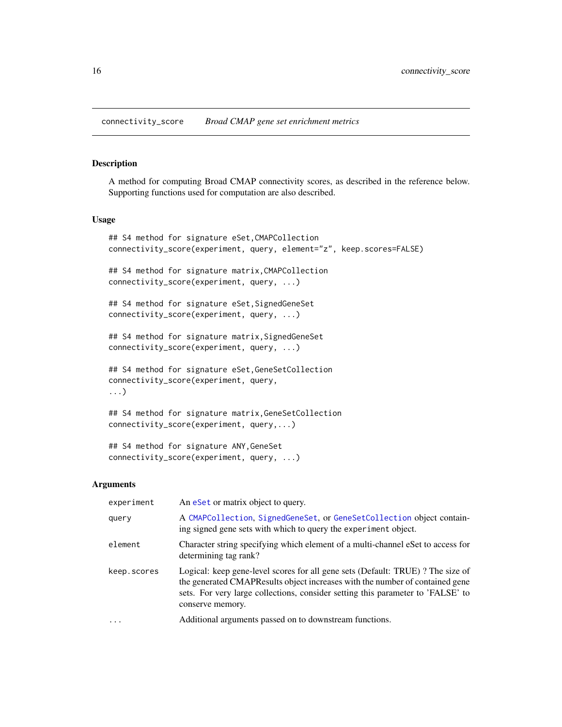<span id="page-15-0"></span>connectivity\_score *Broad CMAP gene set enrichment metrics*

#### Description

A method for computing Broad CMAP connectivity scores, as described in the reference below. Supporting functions used for computation are also described.

#### Usage

```
## S4 method for signature eSet,CMAPCollection
connectivity_score(experiment, query, element="z", keep.scores=FALSE)
## S4 method for signature matrix,CMAPCollection
connectivity_score(experiment, query, ...)
## S4 method for signature eSet, SignedGeneSet
connectivity_score(experiment, query, ...)
## S4 method for signature matrix, SignedGeneSet
connectivity_score(experiment, query, ...)
## S4 method for signature eSet,GeneSetCollection
connectivity_score(experiment, query,
...)
## S4 method for signature matrix,GeneSetCollection
connectivity_score(experiment, query,...)
```

```
## S4 method for signature ANY,GeneSet
connectivity_score(experiment, query, ...)
```
#### Arguments

| experiment  | An eset or matrix object to query.                                                                                                                                                                                                                                    |
|-------------|-----------------------------------------------------------------------------------------------------------------------------------------------------------------------------------------------------------------------------------------------------------------------|
| query       | A CMAPCollection, SignedGeneSet, or GeneSetCollection object contain-<br>ing signed gene sets with which to query the experiment object.                                                                                                                              |
| element     | Character string specifying which element of a multi-channel eSet to access for<br>determining tag rank?                                                                                                                                                              |
| keep.scores | Logical: keep gene-level scores for all gene sets (Default: TRUE)? The size of<br>the generated CMAPResults object increases with the number of contained gene<br>sets. For very large collections, consider setting this parameter to 'FALSE' to<br>conserve memory. |
| $\ddotsc$   | Additional arguments passed on to downstream functions.                                                                                                                                                                                                               |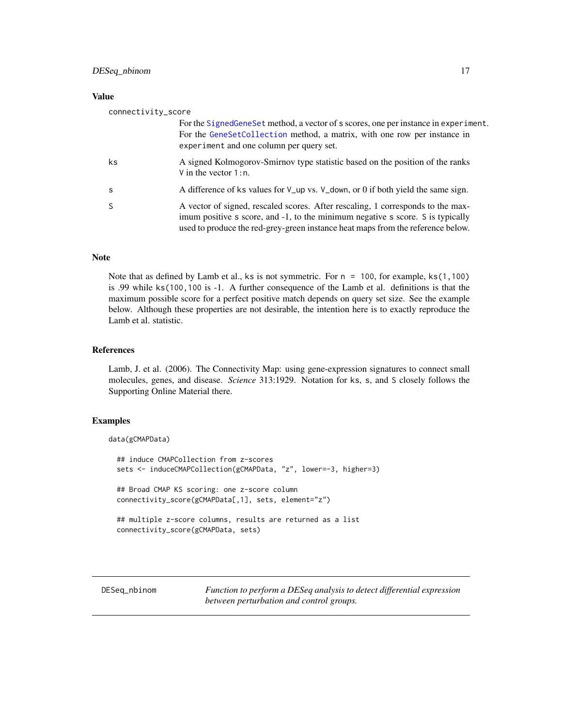#### <span id="page-16-0"></span>Value

| connectivity_score |                                                                                                                                                                                                                                                      |
|--------------------|------------------------------------------------------------------------------------------------------------------------------------------------------------------------------------------------------------------------------------------------------|
|                    | For the Signed Gene Set method, a vector of s scores, one per instance in experiment.<br>For the GeneSetCollection method, a matrix, with one row per instance in<br>experiment and one column per query set.                                        |
| ks                 | A signed Kolmogorov-Smirnov type statistic based on the position of the ranks<br>V in the vector $1:n$ .                                                                                                                                             |
| <sub>S</sub>       | A difference of ks values for $V_{\text{u}}$ vs. $V_{\text{u}}$ down, or 0 if both yield the same sign.                                                                                                                                              |
| <sub>S</sub>       | A vector of signed, rescaled scores. After rescaling, 1 corresponds to the max-<br>imum positive s score, and -1, to the minimum negative s score. S is typically<br>used to produce the red-grey-green instance heat maps from the reference below. |

#### Note

Note that as defined by Lamb et al., ks is not symmetric. For  $n = 100$ , for example, ks(1,100) is .99 while ks(100,100 is -1. A further consequence of the Lamb et al. definitions is that the maximum possible score for a perfect positive match depends on query set size. See the example below. Although these properties are not desirable, the intention here is to exactly reproduce the Lamb et al. statistic.

# References

Lamb, J. et al. (2006). The Connectivity Map: using gene-expression signatures to connect small molecules, genes, and disease. *Science* 313:1929. Notation for ks, s, and S closely follows the Supporting Online Material there.

# Examples

```
data(gCMAPData)
 ## induce CMAPCollection from z-scores
 sets <- induceCMAPCollection(gCMAPData, "z", lower=-3, higher=3)
 ## Broad CMAP KS scoring: one z-score column
 connectivity_score(gCMAPData[,1], sets, element="z")
 ## multiple z-score columns, results are returned as a list
 connectivity_score(gCMAPData, sets)
```
DESeq\_nbinom *Function to perform a DESeq analysis to detect differential expression between perturbation and control groups.*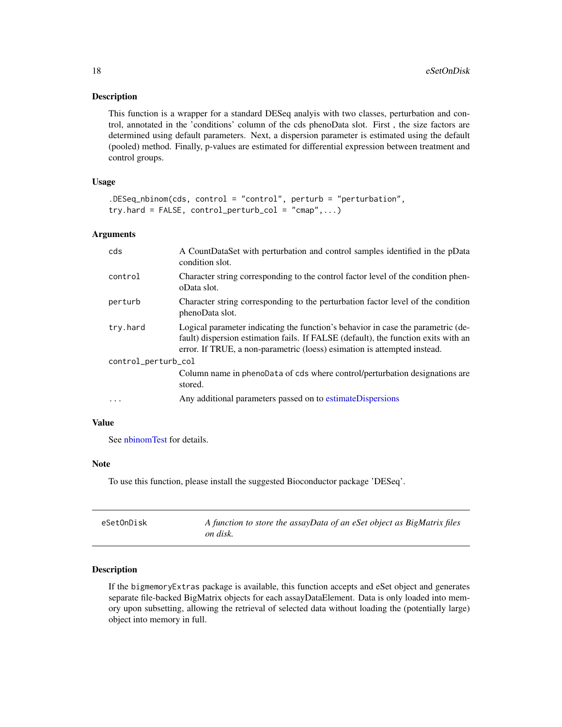#### <span id="page-17-0"></span>Description

This function is a wrapper for a standard DESeq analyis with two classes, perturbation and control, annotated in the 'conditions' column of the cds phenoData slot. First , the size factors are determined using default parameters. Next, a dispersion parameter is estimated using the default (pooled) method. Finally, p-values are estimated for differential expression between treatment and control groups.

# Usage

```
.DESeq_nbinom(cds, control = "control", perturb = "perturbation",
try.hard = FALSE, control\_perturb\_col = "cmap",...)
```
#### Arguments

| cds                 | A CountDataSet with perturbation and control samples identified in the pData<br>condition slot.                                                                                                                                                    |  |
|---------------------|----------------------------------------------------------------------------------------------------------------------------------------------------------------------------------------------------------------------------------------------------|--|
| control             | Character string corresponding to the control factor level of the condition phen-<br>oData slot.                                                                                                                                                   |  |
| perturb             | Character string corresponding to the perturbation factor level of the condition<br>phenoData slot.                                                                                                                                                |  |
| try.hard            | Logical parameter indicating the function's behavior in case the parametric (de-<br>fault) dispersion estimation fails. If FALSE (default), the function exits with an<br>error. If TRUE, a non-parametric (loess) esimation is attempted instead. |  |
| control_perturb_col |                                                                                                                                                                                                                                                    |  |
|                     | Column name in phenoData of cds where control/perturbation designations are<br>stored.                                                                                                                                                             |  |
| $\cdots$            | Any additional parameters passed on to estimateDispersions                                                                                                                                                                                         |  |

# Value

See [nbinomTest](#page-0-0) for details.

# Note

To use this function, please install the suggested Bioconductor package 'DESeq'.

| eSetOnDisk | A function to store the assayData of an eSet object as BigMatrix files |
|------------|------------------------------------------------------------------------|
|            | on disk.                                                               |

#### Description

If the bigmemoryExtras package is available, this function accepts and eSet object and generates separate file-backed BigMatrix objects for each assayDataElement. Data is only loaded into memory upon subsetting, allowing the retrieval of selected data without loading the (potentially large) object into memory in full.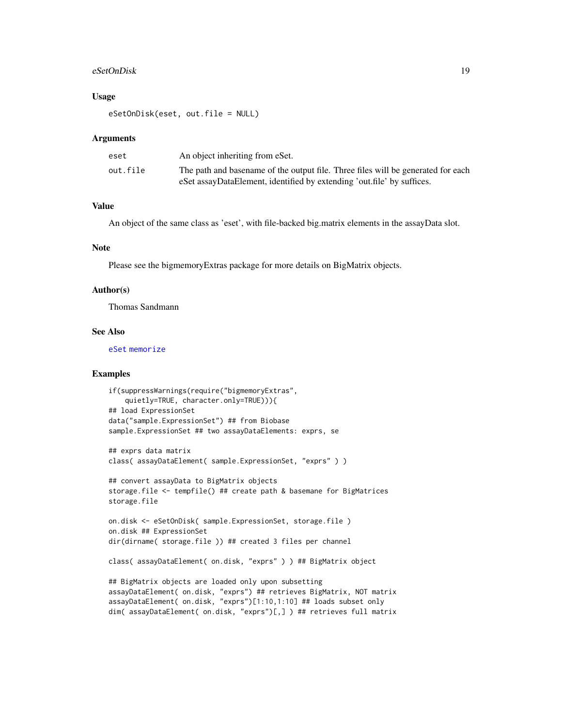#### eSetOnDisk 19

#### Usage

eSetOnDisk(eset, out.file = NULL)

#### Arguments

| eset     | An object inheriting from eSet.                                                  |
|----------|----------------------------------------------------------------------------------|
| out.file | The path and basename of the output file. Three files will be generated for each |
|          | eSet assayDataElement, identified by extending 'out.file' by suffices.           |

# Value

An object of the same class as 'eset', with file-backed big.matrix elements in the assayData slot.

# Note

Please see the bigmemoryExtras package for more details on BigMatrix objects.

#### Author(s)

Thomas Sandmann

#### See Also

[eSet](#page-0-0) [memorize](#page-37-1)

# Examples

```
if(suppressWarnings(require("bigmemoryExtras",
    quietly=TRUE, character.only=TRUE))){
## load ExpressionSet
data("sample.ExpressionSet") ## from Biobase
sample.ExpressionSet ## two assayDataElements: exprs, se
```

```
## exprs data matrix
class( assayDataElement( sample.ExpressionSet, "exprs" ) )
```

```
## convert assayData to BigMatrix objects
storage.file <- tempfile() ## create path & basemane for BigMatrices
storage.file
```

```
on.disk <- eSetOnDisk( sample.ExpressionSet, storage.file )
on.disk ## ExpressionSet
dir(dirname( storage.file )) ## created 3 files per channel
```
class( assayDataElement( on.disk, "exprs" ) ) ## BigMatrix object

```
## BigMatrix objects are loaded only upon subsetting
assayDataElement( on.disk, "exprs") ## retrieves BigMatrix, NOT matrix
assayDataElement( on.disk, "exprs")[1:10,1:10] ## loads subset only
dim( assayDataElement( on.disk, "exprs")[,] ) ## retrieves full matrix
```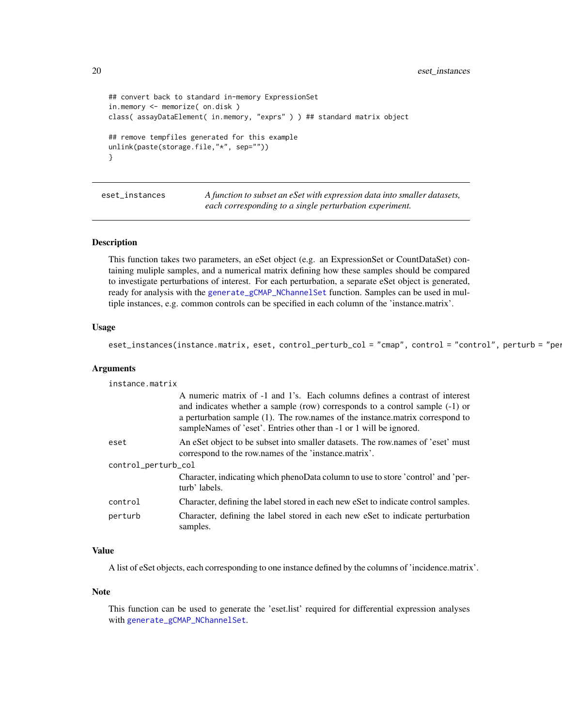<span id="page-19-0"></span>20 eset\_instances

```
## convert back to standard in-memory ExpressionSet
in.memory <- memorize( on.disk )
class( assayDataElement( in.memory, "exprs" ) ) ## standard matrix object
## remove tempfiles generated for this example
unlink(paste(storage.file,"*", sep=""))
}
```
eset\_instances *A function to subset an eSet with expression data into smaller datasets, each corresponding to a single perturbation experiment.*

# Description

This function takes two parameters, an eSet object (e.g. an ExpressionSet or CountDataSet) containing muliple samples, and a numerical matrix defining how these samples should be compared to investigate perturbations of interest. For each perturbation, a separate eSet object is generated, ready for analysis with the [generate\\_gCMAP\\_NChannelSet](#page-26-1) function. Samples can be used in multiple instances, e.g. common controls can be specified in each column of the 'instance.matrix'.

#### Usage

```
eset_instances(instance.matrix, eset, control_perturb_col = "cmap", control = "control", perturb = "per
```
#### Arguments

| instance.matrix     |                                                                                                                                                                                                                                                                                                                    |  |
|---------------------|--------------------------------------------------------------------------------------------------------------------------------------------------------------------------------------------------------------------------------------------------------------------------------------------------------------------|--|
|                     | A numeric matrix of -1 and 1's. Each columns defines a contrast of interest<br>and indicates whether a sample (row) corresponds to a control sample (-1) or<br>a perturbation sample (1). The row names of the instance matrix correspond to<br>sampleNames of 'eset'. Entries other than -1 or 1 will be ignored. |  |
| eset                | An est object to be subset into smaller datasets. The row names of 'eset' must<br>correspond to the row.names of the 'instance.matrix'.                                                                                                                                                                            |  |
| control_perturb_col |                                                                                                                                                                                                                                                                                                                    |  |
|                     | Character, indicating which phenoData column to use to store 'control' and 'per-<br>turb' labels.                                                                                                                                                                                                                  |  |
| control             | Character, defining the label stored in each new eSet to indicate control samples.                                                                                                                                                                                                                                 |  |
| perturb             | Character, defining the label stored in each new est to indicate perturbation<br>samples.                                                                                                                                                                                                                          |  |

# Value

A list of eSet objects, each corresponding to one instance defined by the columns of 'incidence.matrix'.

#### Note

This function can be used to generate the 'eset.list' required for differential expression analyses with [generate\\_gCMAP\\_NChannelSet](#page-26-1).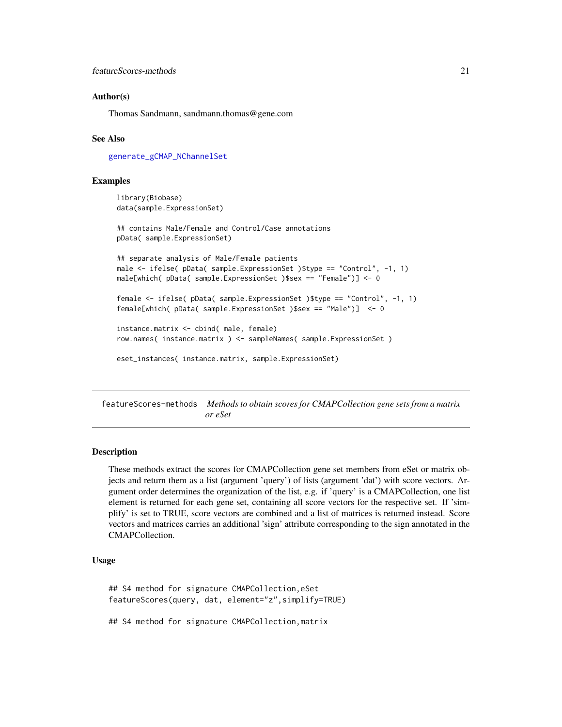# <span id="page-20-0"></span>Author(s)

Thomas Sandmann, sandmann.thomas@gene.com

#### See Also

[generate\\_gCMAP\\_NChannelSet](#page-26-1)

#### Examples

```
library(Biobase)
data(sample.ExpressionSet)
## contains Male/Female and Control/Case annotations
pData( sample.ExpressionSet)
## separate analysis of Male/Female patients
male <- ifelse( pData( sample.ExpressionSet )$type == "Control", -1, 1)
male[which( pData( sample.ExpressionSet )$sex == "Female")] <- 0
female <- ifelse( pData( sample.ExpressionSet )$type == "Control", -1, 1)
female[which( pData( sample.ExpressionSet )$sex == "Male")] <- 0
instance.matrix <- cbind( male, female)
row.names( instance.matrix ) <- sampleNames( sample.ExpressionSet )
eset_instances( instance.matrix, sample.ExpressionSet)
```
featureScores-methods *Methods to obtain scores for CMAPCollection gene sets from a matrix or eSet*

# **Description**

These methods extract the scores for CMAPCollection gene set members from eSet or matrix objects and return them as a list (argument 'query') of lists (argument 'dat') with score vectors. Argument order determines the organization of the list, e.g. if 'query' is a CMAPCollection, one list element is returned for each gene set, containing all score vectors for the respective set. If 'simplify' is set to TRUE, score vectors are combined and a list of matrices is returned instead. Score vectors and matrices carries an additional 'sign' attribute corresponding to the sign annotated in the CMAPCollection.

# Usage

## S4 method for signature CMAPCollection,eSet featureScores(query, dat, element="z",simplify=TRUE)

## S4 method for signature CMAPCollection,matrix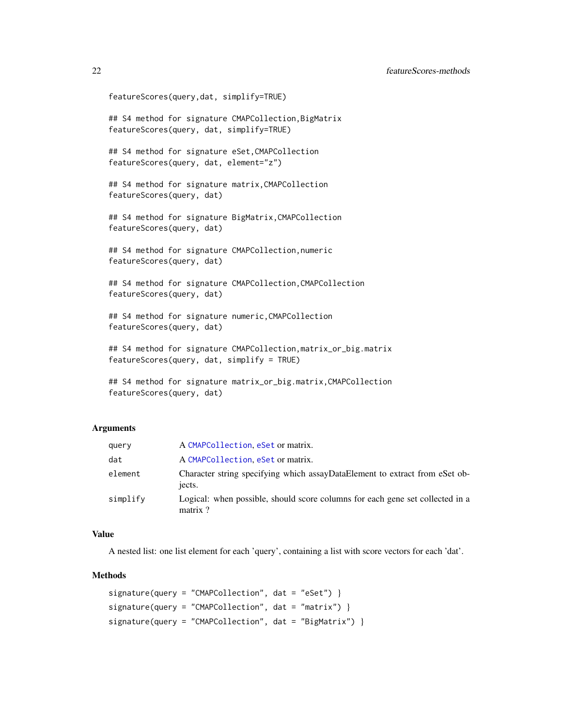```
featureScores(query,dat, simplify=TRUE)
```
## S4 method for signature CMAPCollection,BigMatrix featureScores(query, dat, simplify=TRUE)

## S4 method for signature eSet,CMAPCollection featureScores(query, dat, element="z")

## S4 method for signature matrix,CMAPCollection featureScores(query, dat)

## S4 method for signature BigMatrix,CMAPCollection featureScores(query, dat)

## S4 method for signature CMAPCollection,numeric featureScores(query, dat)

## S4 method for signature CMAPCollection,CMAPCollection featureScores(query, dat)

## S4 method for signature numeric,CMAPCollection featureScores(query, dat)

## S4 method for signature CMAPCollection, matrix\_or\_big.matrix featureScores(query, dat, simplify = TRUE)

```
## S4 method for signature matrix_or_big.matrix,CMAPCollection
featureScores(query, dat)
```
# Arguments

| query    | A CMAPCollection, eSet or matrix.                                                        |
|----------|------------------------------------------------------------------------------------------|
| dat      | A CMAPCollection, eSet or matrix.                                                        |
| element  | Character string specifying which assayDataElement to extract from eSet ob-<br>jects.    |
| simplify | Logical: when possible, should score columns for each gene set collected in a<br>matrix? |

#### Value

A nested list: one list element for each 'query', containing a list with score vectors for each 'dat'.

### Methods

```
signature(query = "CMAPCollection", dat = "eSet") }
signature(query = "CMAPCollection", dat = "matrix")signature(query = "CMAPCollection", dat = "BigMatrix") }
```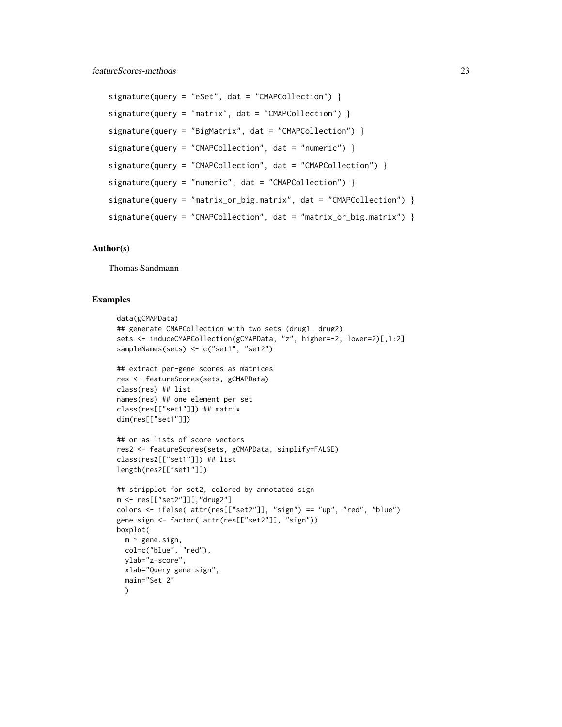```
signature(query = "eSet", dat = "CMAPCollection")signature(query = "matrix", dat = "CMAPCollection") }
signature(query = "BigMatrix", dat = "CMAPCollection")signature(query = "CMAPCollection", dat = "numeric") }
signature(query = "CMAPCollection", dat = "CMAPCollection") }
signature(query = "numeric", dat = "CMAPCollection") }
signature(query = "matrix_or_big.matrix", dat = "CMAPCollection") }
signature(query = "CMAPCollection", dat = "matrix_or_big.matrix") }
```
# Author(s)

Thomas Sandmann

#### Examples

```
data(gCMAPData)
## generate CMAPCollection with two sets (drug1, drug2)
sets <- induceCMAPCollection(gCMAPData, "z", higher=-2, lower=2)[,1:2]
sampleNames(sets) <- c("set1", "set2")
## extract per-gene scores as matrices
res <- featureScores(sets, gCMAPData)
class(res) ## list
names(res) ## one element per set
class(res[["set1"]]) ## matrix
dim(res[["set1"]])
## or as lists of score vectors
res2 <- featureScores(sets, gCMAPData, simplify=FALSE)
class(res2[["set1"]]) ## list
length(res2[["set1"]])
## stripplot for set2, colored by annotated sign
m <- res[["set2"]][,"drug2"]
colors <- ifelse( attr(res[["set2"]], "sign") == "up", "red", "blue")
gene.sign <- factor( attr(res[["set2"]], "sign"))
boxplot(
 m \sim gene.sign,
 col=c("blue", "red"),
 ylab="z-score",
 xlab="Query gene sign",
 main="Set 2"
  )
```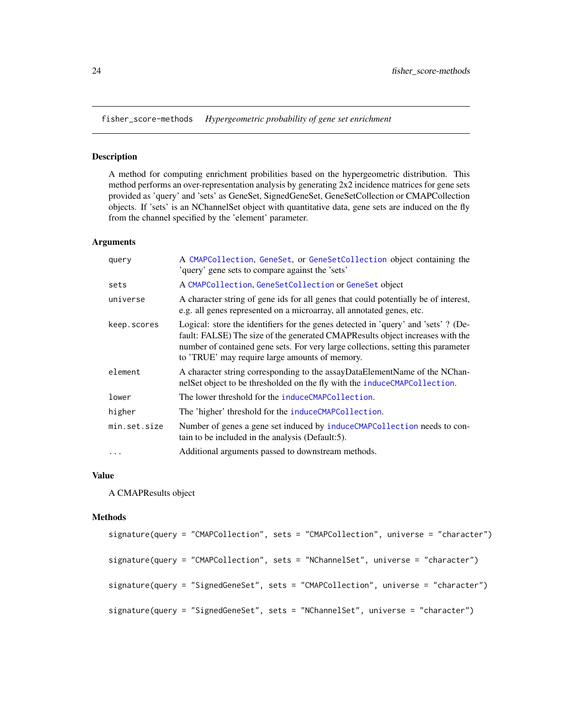<span id="page-23-0"></span>fisher\_score-methods *Hypergeometric probability of gene set enrichment*

#### Description

A method for computing enrichment probilities based on the hypergeometric distribution. This method performs an over-representation analysis by generating 2x2 incidence matrices for gene sets provided as 'query' and 'sets' as GeneSet, SignedGeneSet, GeneSetCollection or CMAPCollection objects. If 'sets' is an NChannelSet object with quantitative data, gene sets are induced on the fly from the channel specified by the 'element' parameter.

# Arguments

| query        | A CMAPCollection, GeneSet, or GeneSetCollection object containing the<br>'query' gene sets to compare against the 'sets'                                                                                                                                                                                   |
|--------------|------------------------------------------------------------------------------------------------------------------------------------------------------------------------------------------------------------------------------------------------------------------------------------------------------------|
| sets         | A CMAPCollection, GeneSetCollection or GeneSet object                                                                                                                                                                                                                                                      |
| universe     | A character string of gene ids for all genes that could potentially be of interest,<br>e.g. all genes represented on a microarray, all annotated genes, etc.                                                                                                                                               |
| keep.scores  | Logical: store the identifiers for the genes detected in 'query' and 'sets' ? (De-<br>fault: FALSE) The size of the generated CMAPResults object increases with the<br>number of contained gene sets. For very large collections, setting this parameter<br>to 'TRUE' may require large amounts of memory. |
| element      | A character string corresponding to the assayDataElementName of the NChan-<br>nelSet object to be thresholded on the fly with the induceCMAPCollection.                                                                                                                                                    |
| lower        | The lower threshold for the induceCMAPCollection.                                                                                                                                                                                                                                                          |
| higher       | The 'higher' threshold for the induceCMAPCollection.                                                                                                                                                                                                                                                       |
| min.set.size | Number of genes a gene set induced by induceCMAPCollection needs to con-<br>tain to be included in the analysis (Default:5).                                                                                                                                                                               |
| $\cdots$     | Additional arguments passed to downstream methods.                                                                                                                                                                                                                                                         |

# Value

A CMAPResults object

#### Methods

```
signature(query = "CMAPCollection", sets = "CMAPCollection", universe = "character")
signature(query = "CMAPCollection", sets = "NChannelSet", universe = "character")
signature(query = "SignedGeneSet", sets = "CMAPCollection", universe = "character")
signature(query = "SignedGeneSet", sets = "NChannelSet", universe = "character")
```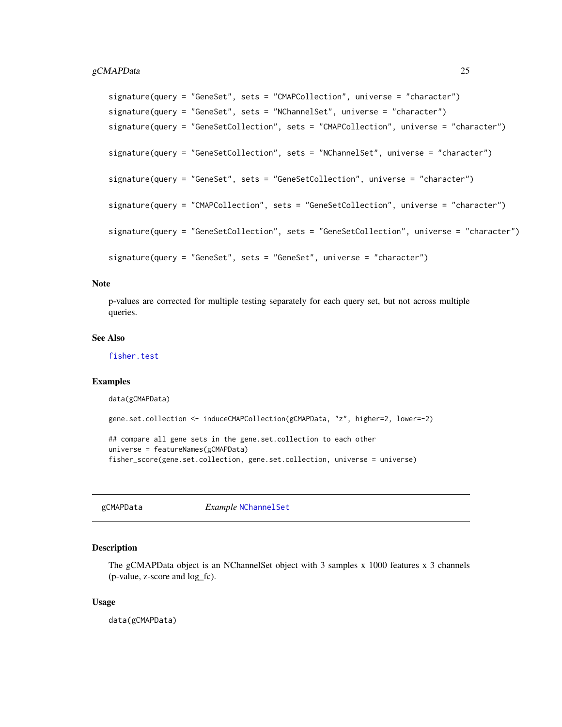```
signature(query = "GeneSet", sets = "CMAPCollection", universe = "character")
signature(query = "GeneSet", sets = "NChannelSet", universe = "character")
signature(query = "GeneSetCollection", sets = "CMAPCollection", universe = "character")
signature(query = "GeneSetCollection", sets = "NChannelSet", universe = "character")
signature(query = "GeneSet", sets = "GeneSetCollection", universe = "character")
signature(query = "CMAPCollection", sets = "GeneSetCollection", universe = "character")
signature(query = "GeneSetCollection", sets = "GeneSetCollection", universe = "character")
signature(query = "GeneSet", sets = "GeneSet", universe = "character")
```
#### **Note**

p-values are corrected for multiple testing separately for each query set, but not across multiple queries.

# See Also

[fisher.test](#page-0-0)

#### Examples

data(gCMAPData)

```
gene.set.collection <- induceCMAPCollection(gCMAPData, "z", higher=2, lower=-2)
```
## compare all gene sets in the gene.set.collection to each other universe = featureNames(gCMAPData) fisher\_score(gene.set.collection, gene.set.collection, universe = universe)

gCMAPData *Example* [NChannelSet](#page-0-0)

#### **Description**

The gCMAPData object is an NChannelSet object with 3 samples x 1000 features x 3 channels (p-value, z-score and log\_fc).

#### Usage

data(gCMAPData)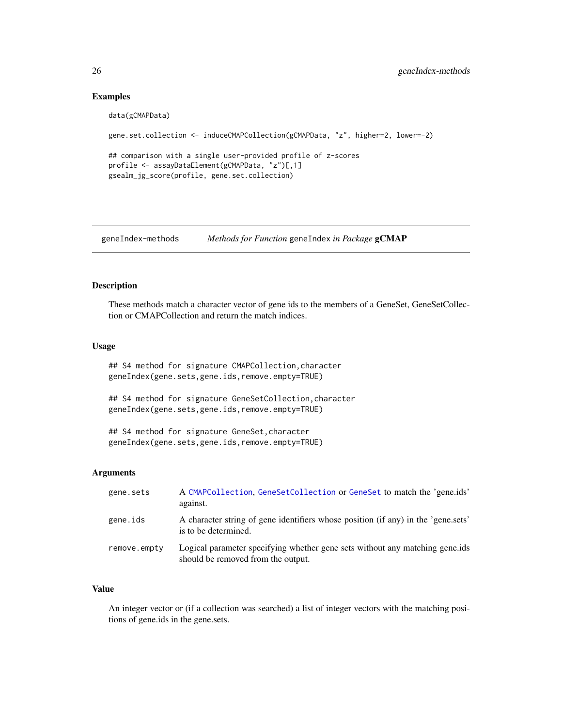# Examples

```
data(gCMAPData)
gene.set.collection <- induceCMAPCollection(gCMAPData, "z", higher=2, lower=-2)
## comparison with a single user-provided profile of z-scores
profile <- assayDataElement(gCMAPData, "z")[,1]
gsealm_jg_score(profile, gene.set.collection)
```
geneIndex-methods *Methods for Function* geneIndex *in Package* gCMAP

#### Description

These methods match a character vector of gene ids to the members of a GeneSet, GeneSetCollection or CMAPCollection and return the match indices.

#### Usage

## S4 method for signature CMAPCollection,character geneIndex(gene.sets,gene.ids,remove.empty=TRUE)

## S4 method for signature GeneSetCollection,character geneIndex(gene.sets,gene.ids,remove.empty=TRUE)

## S4 method for signature GeneSet,character geneIndex(gene.sets,gene.ids,remove.empty=TRUE)

#### Arguments

| gene.sets    | A CMAPCollection, GeneSetCollection or GeneSet to match the 'gene.ids'<br>against.                                 |
|--------------|--------------------------------------------------------------------------------------------------------------------|
| gene.ids     | A character string of gene identifiers whose position (if any) in the 'gene sets'<br>is to be determined.          |
| remove.empty | Logical parameter specifying whether gene sets without any matching gene.ids<br>should be removed from the output. |

#### Value

An integer vector or (if a collection was searched) a list of integer vectors with the matching positions of gene.ids in the gene.sets.

<span id="page-25-0"></span>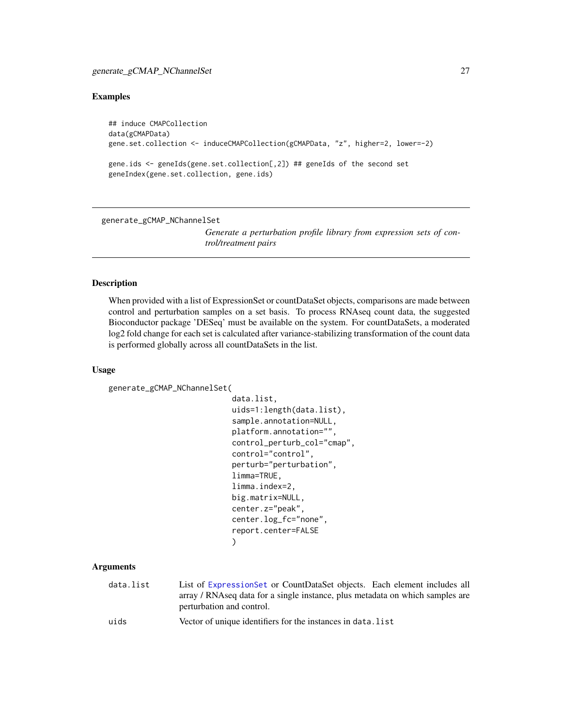# <span id="page-26-0"></span>generate\_gCMAP\_NChannelSet 27

# Examples

```
## induce CMAPCollection
data(gCMAPData)
gene.set.collection <- induceCMAPCollection(gCMAPData, "z", higher=2, lower=-2)
gene.ids <- geneIds(gene.set.collection[,2]) ## geneIds of the second set
geneIndex(gene.set.collection, gene.ids)
```
<span id="page-26-1"></span>generate\_gCMAP\_NChannelSet

*Generate a perturbation profile library from expression sets of control/treatment pairs*

#### Description

When provided with a list of ExpressionSet or countDataSet objects, comparisons are made between control and perturbation samples on a set basis. To process RNAseq count data, the suggested Bioconductor package 'DESeq' must be available on the system. For countDataSets, a moderated log2 fold change for each set is calculated after variance-stabilizing transformation of the count data is performed globally across all countDataSets in the list.

#### Usage

```
generate_gCMAP_NChannelSet(
```

```
data.list,
uids=1:length(data.list),
sample.annotation=NULL,
platform.annotation="",
control_perturb_col="cmap",
control="control",
perturb="perturbation",
limma=TRUE,
limma.index=2,
big.matrix=NULL,
center.z="peak",
center.log_fc="none",
report.center=FALSE
)
```
# Arguments

| data.list | List of Expression Set or CountData Set objects. Each element includes all    |
|-----------|-------------------------------------------------------------------------------|
|           | array / RNAseq data for a single instance, plus metadata on which samples are |
|           | perturbation and control.                                                     |
|           |                                                                               |

uids Vector of unique identifiers for the instances in data.list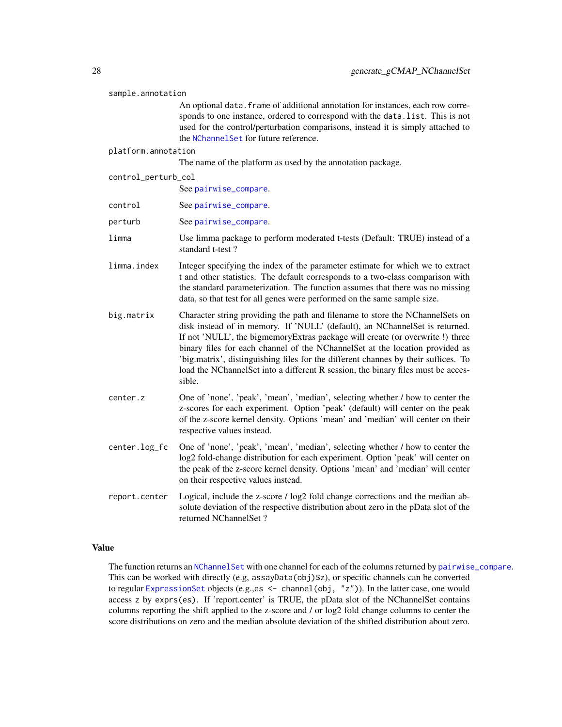| sample.annotation   |                                                                                                                                                                                                                                                                                                                                                                                                                                                                                                                   |  |
|---------------------|-------------------------------------------------------------------------------------------------------------------------------------------------------------------------------------------------------------------------------------------------------------------------------------------------------------------------------------------------------------------------------------------------------------------------------------------------------------------------------------------------------------------|--|
|                     | An optional data. frame of additional annotation for instances, each row corre-<br>sponds to one instance, ordered to correspond with the data. list. This is not<br>used for the control/perturbation comparisons, instead it is simply attached to<br>the NChannelSet for future reference.                                                                                                                                                                                                                     |  |
| platform.annotation |                                                                                                                                                                                                                                                                                                                                                                                                                                                                                                                   |  |
|                     | The name of the platform as used by the annotation package.                                                                                                                                                                                                                                                                                                                                                                                                                                                       |  |
| control_perturb_col |                                                                                                                                                                                                                                                                                                                                                                                                                                                                                                                   |  |
|                     | See pairwise_compare.                                                                                                                                                                                                                                                                                                                                                                                                                                                                                             |  |
| control             | See pairwise_compare.                                                                                                                                                                                                                                                                                                                                                                                                                                                                                             |  |
| perturb             | See pairwise_compare.                                                                                                                                                                                                                                                                                                                                                                                                                                                                                             |  |
| limma               | Use limma package to perform moderated t-tests (Default: TRUE) instead of a<br>standard t-test?                                                                                                                                                                                                                                                                                                                                                                                                                   |  |
| limma.index         | Integer specifying the index of the parameter estimate for which we to extract<br>t and other statistics. The default corresponds to a two-class comparison with<br>the standard parameterization. The function assumes that there was no missing<br>data, so that test for all genes were performed on the same sample size.                                                                                                                                                                                     |  |
| big.matrix          | Character string providing the path and filename to store the NChannelSets on<br>disk instead of in memory. If 'NULL' (default), an NChannelSet is returned.<br>If not 'NULL', the bigmemoryExtras package will create (or overwrite !) three<br>binary files for each channel of the NChannelSet at the location provided as<br>'big.matrix', distinguishing files for the different channes by their suffices. To<br>load the NChannelSet into a different R session, the binary files must be acces-<br>sible. |  |
| center.z            | One of 'none', 'peak', 'mean', 'median', selecting whether / how to center the<br>z-scores for each experiment. Option 'peak' (default) will center on the peak<br>of the z-score kernel density. Options 'mean' and 'median' will center on their<br>respective values instead.                                                                                                                                                                                                                                  |  |
| center.log_fc       | One of 'none', 'peak', 'mean', 'median', selecting whether / how to center the<br>log2 fold-change distribution for each experiment. Option 'peak' will center on<br>the peak of the z-score kernel density. Options 'mean' and 'median' will center<br>on their respective values instead.                                                                                                                                                                                                                       |  |
| report.center       | Logical, include the z-score / log2 fold change corrections and the median ab-<br>solute deviation of the respective distribution about zero in the pData slot of the<br>returned NChannelSet ?                                                                                                                                                                                                                                                                                                                   |  |

# Value

The function returns an [NChannelSet](#page-0-0) with one channel for each of the columns returned by [pairwise\\_compare](#page-44-1). This can be worked with directly (e.g, assayData(obj)\$z), or specific channels can be converted to regular [ExpressionSet](#page-0-0) objects (e.g., es <- channel (obj, "z")). In the latter case, one would access z by exprs(es). If 'report.center' is TRUE, the pData slot of the NChannelSet contains columns reporting the shift applied to the z-score and / or log2 fold change columns to center the score distributions on zero and the median absolute deviation of the shifted distribution about zero.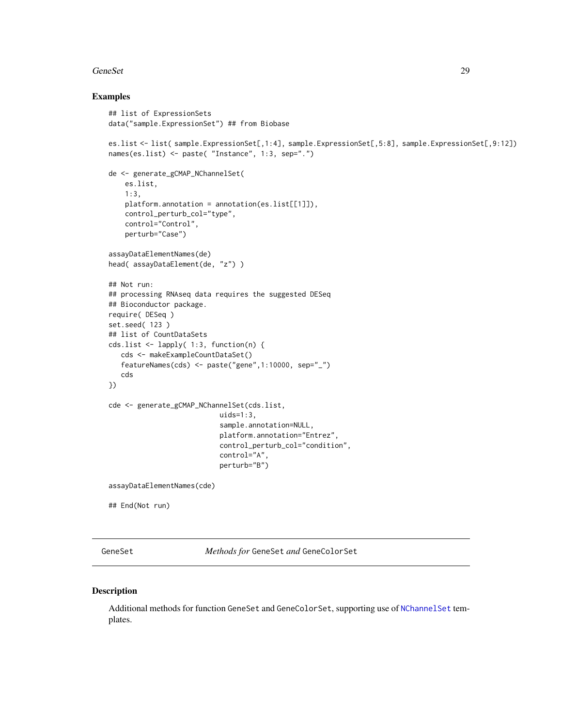#### <span id="page-28-0"></span>GeneSet 29

### Examples

```
## list of ExpressionSets
data("sample.ExpressionSet") ## from Biobase
es.list <- list( sample.ExpressionSet[,1:4], sample.ExpressionSet[,5:8], sample.ExpressionSet[,9:12])
names(es.list) <- paste( "Instance", 1:3, sep=".")
de <- generate_gCMAP_NChannelSet(
    es.list,
    1:3,
   platform.annotation = annotation(es.list[[1]]),
    control_perturb_col="type",
    control="Control",
   perturb="Case")
assayDataElementNames(de)
head( assayDataElement(de, "z") )
## Not run:
## processing RNAseq data requires the suggested DESeq
## Bioconductor package.
require( DESeq )
set.seed( 123 )
## list of CountDataSets
cds.list <- lapply( 1:3, function(n) {
   cds <- makeExampleCountDataSet()
   featureNames(cds) <- paste("gene",1:10000, sep="_")
   cds
})
cde <- generate_gCMAP_NChannelSet(cds.list,
                           uids=1:3,
                           sample.annotation=NULL,
                           platform.annotation="Entrez",
                           control_perturb_col="condition",
                           control="A",
                           perturb="B")
assayDataElementNames(cde)
## End(Not run)
```
GeneSet *Methods for* GeneSet *and* GeneColorSet

#### Description

Additional methods for function GeneSet and GeneColorSet, supporting use of [NChannelSet](#page-0-0) templates.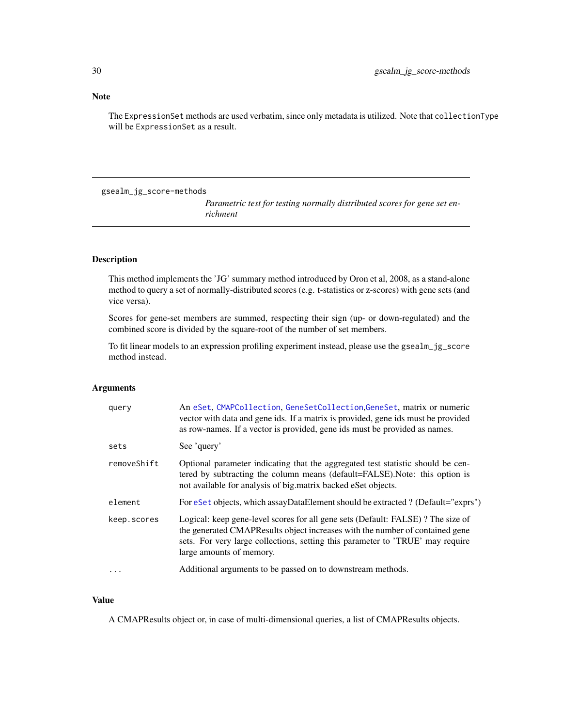# <span id="page-29-0"></span>Note

The ExpressionSet methods are used verbatim, since only metadata is utilized. Note that collectionType will be ExpressionSet as a result.

gsealm\_jg\_score-methods

*Parametric test for testing normally distributed scores for gene set enrichment*

# Description

This method implements the 'JG' summary method introduced by Oron et al, 2008, as a stand-alone method to query a set of normally-distributed scores (e.g. t-statistics or z-scores) with gene sets (and vice versa).

Scores for gene-set members are summed, respecting their sign (up- or down-regulated) and the combined score is divided by the square-root of the number of set members.

To fit linear models to an expression profiling experiment instead, please use the gsealm\_jg\_score method instead.

# Arguments

| query       | An eSet, CMAPCollection, GeneSetCollection, GeneSet, matrix or numeric<br>vector with data and gene ids. If a matrix is provided, gene ids must be provided<br>as row-names. If a vector is provided, gene ids must be provided as names.                                     |
|-------------|-------------------------------------------------------------------------------------------------------------------------------------------------------------------------------------------------------------------------------------------------------------------------------|
| sets        | See 'query'                                                                                                                                                                                                                                                                   |
| removeShift | Optional parameter indicating that the aggregated test statistic should be cen-<br>tered by subtracting the column means (default=FALSE). Note: this option is<br>not available for analysis of big. matrix backed eset objects.                                              |
| element     | For eSet objects, which assayDataElement should be extracted ? (Default="exprs")                                                                                                                                                                                              |
| keep.scores | Logical: keep gene-level scores for all gene sets (Default: FALSE)? The size of<br>the generated CMAPResults object increases with the number of contained gene<br>sets. For very large collections, setting this parameter to 'TRUE' may require<br>large amounts of memory. |
|             | Additional arguments to be passed on to downstream methods.                                                                                                                                                                                                                   |

## Value

A CMAPResults object or, in case of multi-dimensional queries, a list of CMAPResults objects.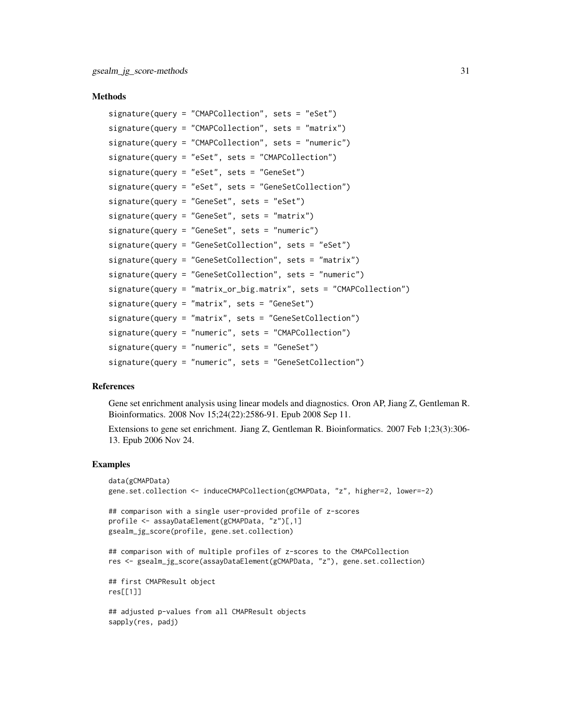#### **Methods**

```
signature(query = "CMAPCollection", sets = "eSet")
signature(query = "CMAPCollection", sets = "matrix")
signature(query = "CMAPCollection", sets = "numeric")
signature(query = "eSet", sets = "CMAPCollection")
signature(query = "eSet", sets = "GeneSet")
signature(query = "eSet", sets = "GeneSetCollection")
signature(query = "GeneSet", sets = "eSet")
signature(query = "GeneSet", sets = "matrix")
signature(query = "GeneSet", sets = "numeric")
signature(query = "GeneSetCollection", sets = "eSet")
signature(query = "GeneSetCollection", sets = "matrix")
signature(query = "GeneSetCollection", sets = "numeric")
signature(query = "matrix_or_big.matrix", sets = "CMAPCollection")
signature(query = "matrix", sets = "GeneSet")
signature(query = "matrix", sets = "GeneSetCollection")
signature(query = "numeric", sets = "CMAPCollection")
signature(query = "numeric", sets = "GeneSet")
signature(query = "numeric", sets = "GeneSetCollection")
```
# References

Gene set enrichment analysis using linear models and diagnostics. Oron AP, Jiang Z, Gentleman R. Bioinformatics. 2008 Nov 15;24(22):2586-91. Epub 2008 Sep 11.

Extensions to gene set enrichment. Jiang Z, Gentleman R. Bioinformatics. 2007 Feb 1;23(3):306- 13. Epub 2006 Nov 24.

#### Examples

```
data(gCMAPData)
gene.set.collection <- induceCMAPCollection(gCMAPData, "z", higher=2, lower=-2)
## comparison with a single user-provided profile of z-scores
profile <- assayDataElement(gCMAPData, "z")[,1]
gsealm_jg_score(profile, gene.set.collection)
## comparison with of multiple profiles of z-scores to the CMAPCollection
res <- gsealm_jg_score(assayDataElement(gCMAPData, "z"), gene.set.collection)
## first CMAPResult object
res[[1]]
## adjusted p-values from all CMAPResult objects
```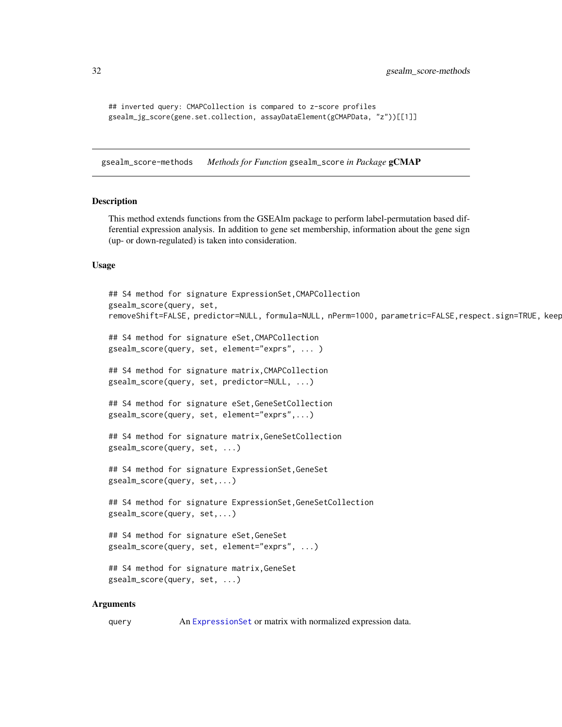```
## inverted query: CMAPCollection is compared to z-score profiles
gsealm_jg_score(gene.set.collection, assayDataElement(gCMAPData, "z"))[[1]]
```
gsealm\_score-methods *Methods for Function* gsealm\_score *in Package* gCMAP

# Description

This method extends functions from the GSEAlm package to perform label-permutation based differential expression analysis. In addition to gene set membership, information about the gene sign (up- or down-regulated) is taken into consideration.

#### Usage

```
## S4 method for signature ExpressionSet,CMAPCollection
gsealm_score(query, set,
removeShift=FALSE, predictor=NULL, formula=NULL, nPerm=1000, parametric=FALSE,respect.sign=TRUE, keep
## S4 method for signature eSet,CMAPCollection
gsealm_score(query, set, element="exprs", ... )
## S4 method for signature matrix,CMAPCollection
gsealm_score(query, set, predictor=NULL, ...)
## S4 method for signature eSet,GeneSetCollection
gsealm_score(query, set, element="exprs",...)
## S4 method for signature matrix,GeneSetCollection
gsealm_score(query, set, ...)
## S4 method for signature ExpressionSet,GeneSet
gsealm_score(query, set,...)
## S4 method for signature ExpressionSet,GeneSetCollection
gsealm_score(query, set,...)
## S4 method for signature eSet,GeneSet
gsealm_score(query, set, element="exprs", ...)
## S4 method for signature matrix,GeneSet
gsealm_score(query, set, ...)
```
#### Arguments

query An [ExpressionSet](#page-0-0) or matrix with normalized expression data.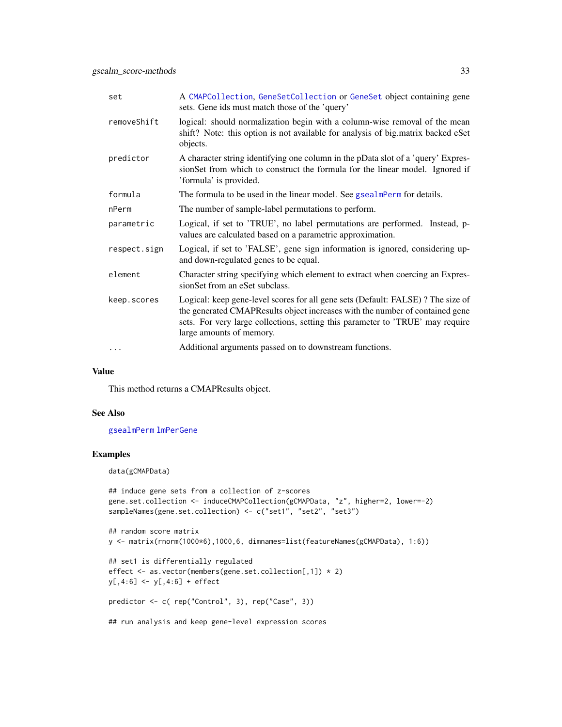| A CMAPCollection, GeneSetCollection or GeneSet object containing gene<br>sets. Gene ids must match those of the 'query'                                                                                                                                                       |
|-------------------------------------------------------------------------------------------------------------------------------------------------------------------------------------------------------------------------------------------------------------------------------|
| logical: should normalization begin with a column-wise removal of the mean<br>shift? Note: this option is not available for analysis of big.matrix backed eSet<br>objects.                                                                                                    |
| A character string identifying one column in the pData slot of a 'query' Expres-<br>sionSet from which to construct the formula for the linear model. Ignored if<br>'formula' is provided.                                                                                    |
| The formula to be used in the linear model. See gsealmPerm for details.                                                                                                                                                                                                       |
| The number of sample-label permutations to perform.                                                                                                                                                                                                                           |
| Logical, if set to 'TRUE', no label permutations are performed. Instead, p-<br>values are calculated based on a parametric approximation.                                                                                                                                     |
| Logical, if set to 'FALSE', gene sign information is ignored, considering up-<br>and down-regulated genes to be equal.                                                                                                                                                        |
| Character string specifying which element to extract when coercing an Expres-<br>sionSet from an eSet subclass.                                                                                                                                                               |
| Logical: keep gene-level scores for all gene sets (Default: FALSE)? The size of<br>the generated CMAPResults object increases with the number of contained gene<br>sets. For very large collections, setting this parameter to 'TRUE' may require<br>large amounts of memory. |
| Additional arguments passed on to downstream functions.                                                                                                                                                                                                                       |
|                                                                                                                                                                                                                                                                               |

#### Value

This method returns a CMAPResults object.

# See Also

[gsealmPerm](#page-0-0) [lmPerGene](#page-0-0)

# Examples

data(gCMAPData)

```
## induce gene sets from a collection of z-scores
gene.set.collection <- induceCMAPCollection(gCMAPData, "z", higher=2, lower=-2)
sampleNames(gene.set.collection) <- c("set1", "set2", "set3")
```

```
## random score matrix
y <- matrix(rnorm(1000*6),1000,6, dimnames=list(featureNames(gCMAPData), 1:6))
```

```
## set1 is differentially regulated
effect <- as.vector(members(gene.set.collection[,1]) * 2)
y[,4:6] <- y[,4:6] + effect
```

```
predictor <- c( rep("Control", 3), rep("Case", 3))
```
## run analysis and keep gene-level expression scores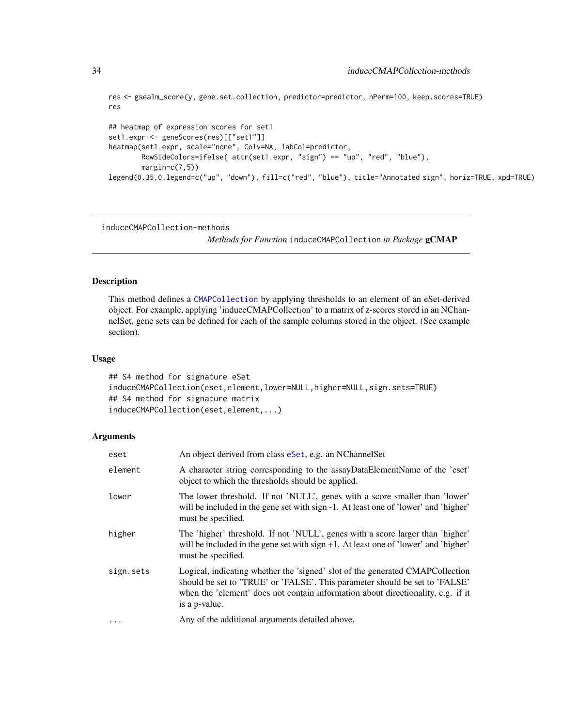```
res <- gsealm_score(y, gene.set.collection, predictor=predictor, nPerm=100, keep.scores=TRUE)
res
## heatmap of expression scores for set1
set1.expr <- geneScores(res)[["set1"]]
heatmap(set1.expr, scale="none", Colv=NA, labCol=predictor,
        RowSideColors=ifelse( attr(set1.expr, "sign") == "up", "red", "blue"),
        margin = c(7,5)legend(0.35,0,legend=c("up", "down"), fill=c("red", "blue"), title="Annotated sign", horiz=TRUE, xpd=TRUE)
```
induceCMAPCollection-methods

*Methods for Function* induceCMAPCollection *in Package* gCMAP

#### <span id="page-33-1"></span>Description

This method defines a [CMAPCollection](#page-9-1) by applying thresholds to an element of an eSet-derived object. For example, applying 'induceCMAPCollection' to a matrix of z-scores stored in an NChannelSet, gene sets can be defined for each of the sample columns stored in the object. (See example section).

#### Usage

```
## S4 method for signature eSet
induceCMAPCollection(eset,element,lower=NULL,higher=NULL,sign.sets=TRUE)
## S4 method for signature matrix
induceCMAPCollection(eset,element,...)
```
#### Arguments

| eset      | An object derived from class eset, e.g. an NChannel Set                                                                                                                                                                                                           |
|-----------|-------------------------------------------------------------------------------------------------------------------------------------------------------------------------------------------------------------------------------------------------------------------|
| element   | A character string corresponding to the assayDataElementName of the 'eset'<br>object to which the thresholds should be applied.                                                                                                                                   |
| lower     | The lower threshold. If not 'NULL', genes with a score smaller than 'lower'<br>will be included in the gene set with sign -1. At least one of 'lower' and 'higher'<br>must be specified.                                                                          |
| higher    | The 'higher' threshold. If not 'NULL', genes with a score larger than 'higher'<br>will be included in the gene set with sign +1. At least one of 'lower' and 'higher'<br>must be specified.                                                                       |
| sign.sets | Logical, indicating whether the 'signed' slot of the generated CMAPCollection<br>should be set to 'TRUE' or 'FALSE'. This parameter should be set to 'FALSE'<br>when the 'element' does not contain information about directionality, e.g. if it<br>is a p-value. |
| $\cdots$  | Any of the additional arguments detailed above.                                                                                                                                                                                                                   |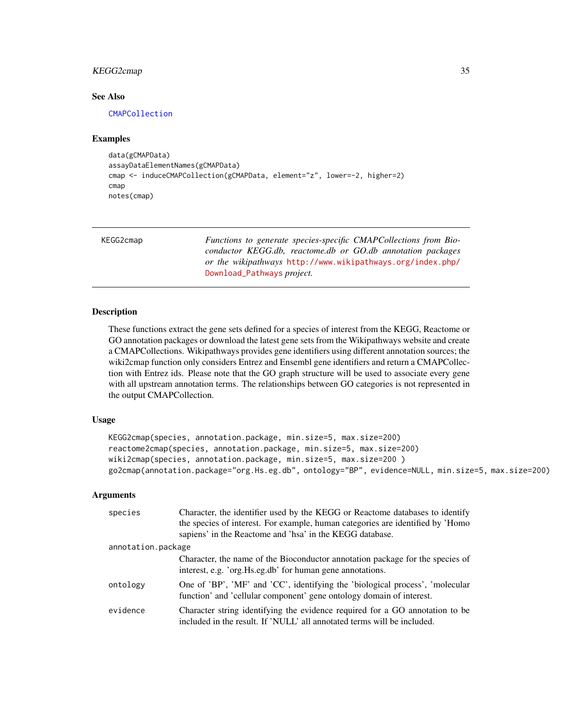# <span id="page-34-0"></span>KEGG2cmap 35

#### See Also

[CMAPCollection](#page-9-2)

#### Examples

```
data(gCMAPData)
assayDataElementNames(gCMAPData)
cmap <- induceCMAPCollection(gCMAPData, element="z", lower=-2, higher=2)
cmap
notes(cmap)
```

| KEGG2cmap | Functions to generate species-specific CMAPCollections from Bio- |
|-----------|------------------------------------------------------------------|
|           | conductor KEGG.db, reactome.db or GO.db annotation packages      |
|           | or the wikipathways http://www.wikipathways.org/index.php/       |
|           | Download_Pathways <i>project</i> .                               |

#### Description

These functions extract the gene sets defined for a species of interest from the KEGG, Reactome or GO annotation packages or download the latest gene sets from the Wikipathways website and create a CMAPCollections. Wikipathways provides gene identifiers using different annotation sources; the wiki2cmap function only considers Entrez and Ensembl gene identifiers and return a CMAPCollection with Entrez ids. Please note that the GO graph structure will be used to associate every gene with all upstream annotation terms. The relationships between GO categories is not represented in the output CMAPCollection.

#### Usage

```
KEGG2cmap(species, annotation.package, min.size=5, max.size=200)
reactome2cmap(species, annotation.package, min.size=5, max.size=200)
wiki2cmap(species, annotation.package, min.size=5, max.size=200 )
go2cmap(annotation.package="org.Hs.eg.db", ontology="BP", evidence=NULL, min.size=5, max.size=200)
```
# Arguments

| species            | Character, the identifier used by the KEGG or Reactome databases to identify<br>the species of interest. For example, human categories are identified by 'Homo<br>sapiens' in the Reactome and 'hsa' in the KEGG database. |
|--------------------|----------------------------------------------------------------------------------------------------------------------------------------------------------------------------------------------------------------------------|
| annotation.package |                                                                                                                                                                                                                            |
|                    | Character, the name of the Bioconductor annotation package for the species of<br>interest, e.g. 'org. Hs.eg.db' for human gene annotations.                                                                                |
| ontology           | One of 'BP', 'MF' and 'CC', identifying the 'biological process', 'molecular<br>function' and 'cellular component' gene ontology domain of interest.                                                                       |
| evidence           | Character string identifying the evidence required for a GO annotation to be<br>included in the result. If 'NULL' all annotated terms will be included.                                                                    |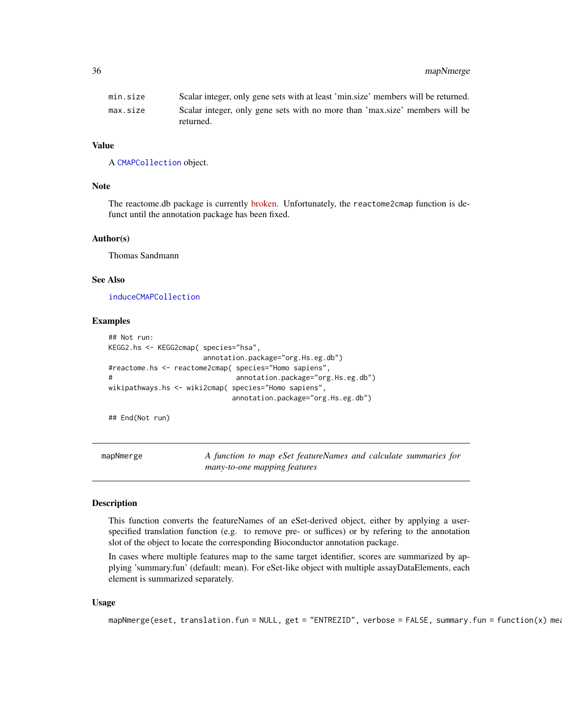# <span id="page-35-0"></span>36 mapNmerge

| min.size | Scalar integer, only gene sets with at least 'min.size' members will be returned.        |
|----------|------------------------------------------------------------------------------------------|
| max.size | Scalar integer, only gene sets with no more than 'max size' members will be<br>returned. |

#### Value

A [CMAPCollection](#page-9-2) object.

#### Note

The reactome.db package is currently [broken.](https://support.bioconductor.org/p/63024/#64379) Unfortunately, the reactome2cmap function is defunct until the annotation package has been fixed.

#### Author(s)

Thomas Sandmann

# See Also

[induceCMAPCollection](#page-33-1)

#### Examples

```
## Not run:
KEGG2.hs <- KEGG2cmap( species="hsa",
                    annotation.package="org.Hs.eg.db")
#reactome.hs <- reactome2cmap( species="Homo sapiens",
# annotation.package="org.Hs.eg.db")
wikipathways.hs <- wiki2cmap( species="Homo sapiens",
                           annotation.package="org.Hs.eg.db")
```
## End(Not run)

mapNmerge *A function to map eSet featureNames and calculate summaries for many-to-one mapping features*

#### Description

This function converts the featureNames of an eSet-derived object, either by applying a userspecified translation function (e.g. to remove pre- or suffices) or by refering to the annotation slot of the object to locate the corresponding Bioconductor annotation package.

In cases where multiple features map to the same target identifier, scores are summarized by applying 'summary.fun' (default: mean). For eSet-like object with multiple assayDataElements, each element is summarized separately.

#### Usage

```
mapNmerge(eset, translation.fun = NULL, get = "ENTREZID", verbose = FALSE, summary.fun = function(x) mea
```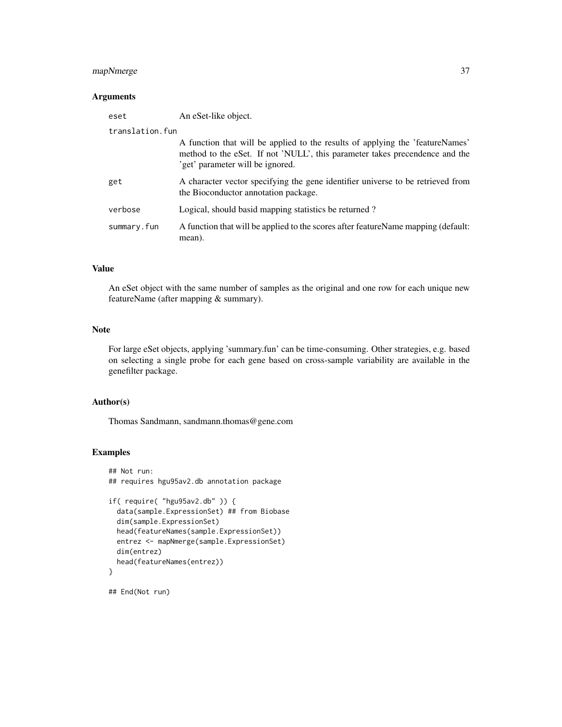# mapNmerge 37

# Arguments

| eset            | An eSet-like object.                                                                                                                                                                             |
|-----------------|--------------------------------------------------------------------------------------------------------------------------------------------------------------------------------------------------|
| translation.fun |                                                                                                                                                                                                  |
|                 | A function that will be applied to the results of applying the 'featureNames'<br>method to the eSet. If not 'NULL', this parameter takes precendence and the<br>'get' parameter will be ignored. |
| get             | A character vector specifying the gene identifier universe to be retrieved from<br>the Bioconductor annotation package.                                                                          |
| verbose         | Logical, should basid mapping statistics be returned?                                                                                                                                            |
| summary.fun     | A function that will be applied to the scores after feature Name mapping (default:<br>mean).                                                                                                     |

# Value

An eSet object with the same number of samples as the original and one row for each unique new featureName (after mapping & summary).

# Note

For large eSet objects, applying 'summary.fun' can be time-consuming. Other strategies, e.g. based on selecting a single probe for each gene based on cross-sample variability are available in the genefilter package.

#### Author(s)

Thomas Sandmann, sandmann.thomas@gene.com

# Examples

```
## Not run:
## requires hgu95av2.db annotation package
if( require( "hgu95av2.db" )) {
 data(sample.ExpressionSet) ## from Biobase
 dim(sample.ExpressionSet)
 head(featureNames(sample.ExpressionSet))
 entrez <- mapNmerge(sample.ExpressionSet)
 dim(entrez)
 head(featureNames(entrez))
}
## End(Not run)
```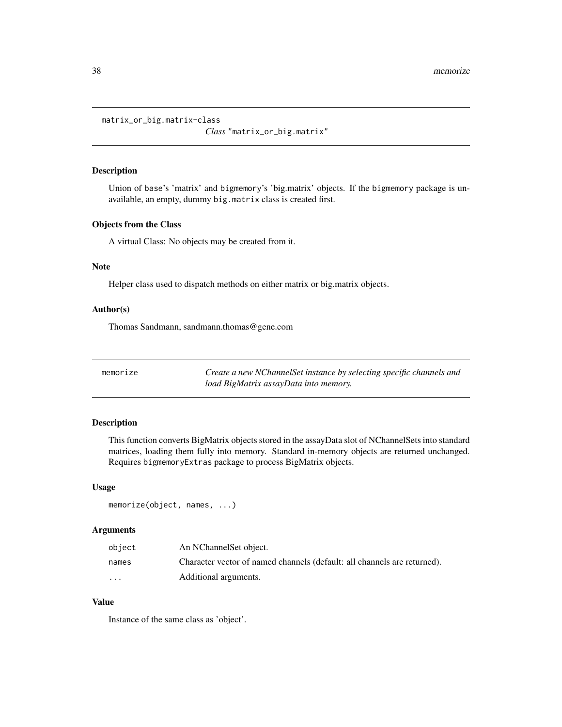<span id="page-37-0"></span>matrix\_or\_big.matrix-class

*Class* "matrix\_or\_big.matrix"

# Description

Union of base's 'matrix' and bigmemory's 'big.matrix' objects. If the bigmemory package is unavailable, an empty, dummy big.matrix class is created first.

# Objects from the Class

A virtual Class: No objects may be created from it.

# Note

Helper class used to dispatch methods on either matrix or big.matrix objects.

#### Author(s)

Thomas Sandmann, sandmann.thomas@gene.com

<span id="page-37-1"></span>memorize *Create a new NChannelSet instance by selecting specific channels and load BigMatrix assayData into memory.*

#### Description

This function converts BigMatrix objects stored in the assayData slot of NChannelSets into standard matrices, loading them fully into memory. Standard in-memory objects are returned unchanged. Requires bigmemoryExtras package to process BigMatrix objects.

#### Usage

```
memorize(object, names, ...)
```
#### Arguments

| object   | An NChannel Set object.                                                  |
|----------|--------------------------------------------------------------------------|
| names    | Character vector of named channels (default: all channels are returned). |
| $\cdots$ | Additional arguments.                                                    |

# Value

Instance of the same class as 'object'.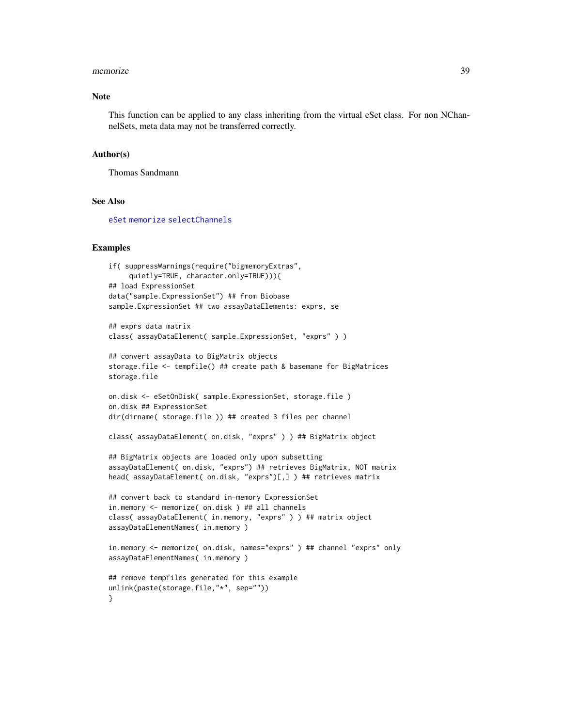#### memorize 39

#### Note

This function can be applied to any class inheriting from the virtual eSet class. For non NChannelSets, meta data may not be transferred correctly.

#### Author(s)

Thomas Sandmann

#### See Also

[eSet](#page-0-0) [memorize](#page-37-1) [selectChannels](#page-0-0)

#### Examples

```
if( suppressWarnings(require("bigmemoryExtras",
     quietly=TRUE, character.only=TRUE))){
## load ExpressionSet
data("sample.ExpressionSet") ## from Biobase
sample.ExpressionSet ## two assayDataElements: exprs, se
## exprs data matrix
class( assayDataElement( sample.ExpressionSet, "exprs" ) )
## convert assayData to BigMatrix objects
storage.file <- tempfile() ## create path & basemane for BigMatrices
storage.file
on.disk <- eSetOnDisk( sample.ExpressionSet, storage.file )
on.disk ## ExpressionSet
dir(dirname( storage.file )) ## created 3 files per channel
class( assayDataElement( on.disk, "exprs" ) ) ## BigMatrix object
## BigMatrix objects are loaded only upon subsetting
assayDataElement( on.disk, "exprs") ## retrieves BigMatrix, NOT matrix
head( assayDataElement( on.disk, "exprs")[,] ) ## retrieves matrix
## convert back to standard in-memory ExpressionSet
in.memory <- memorize( on.disk ) ## all channels
class( assayDataElement( in.memory, "exprs" ) ) ## matrix object
assayDataElementNames( in.memory )
in.memory <- memorize( on.disk, names="exprs" ) ## channel "exprs" only
assayDataElementNames( in.memory )
## remove tempfiles generated for this example
unlink(paste(storage.file,"*", sep=""))
}
```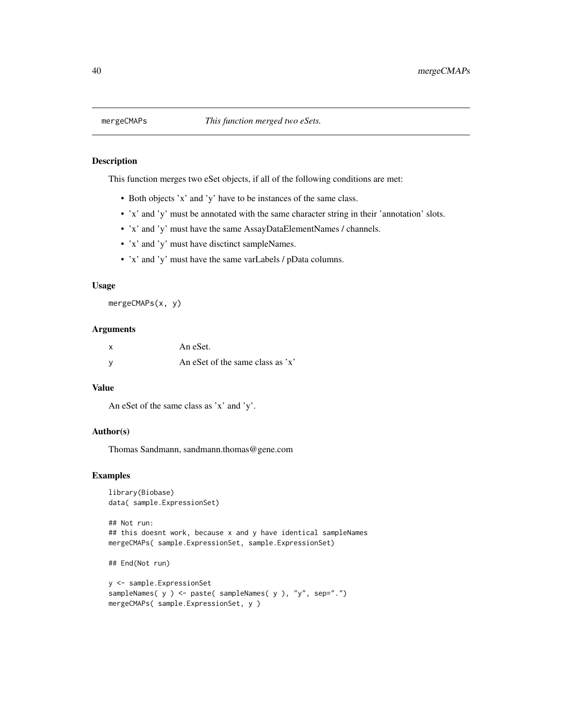<span id="page-39-0"></span>

# Description

This function merges two eSet objects, if all of the following conditions are met:

- Both objects 'x' and 'y' have to be instances of the same class.
- 'x' and 'y' must be annotated with the same character string in their 'annotation' slots.
- 'x' and 'y' must have the same AssayDataElementNames / channels.
- 'x' and 'y' must have disctinct sampleNames.
- 'x' and 'y' must have the same varLabels / pData columns.

#### Usage

```
mergeCMAPs(x, y)
```
#### **Arguments**

| X | An eSet.                            |
|---|-------------------------------------|
| У | An eSet of the same class as $x'$ . |

# Value

An eSet of the same class as 'x' and 'y'.

#### Author(s)

Thomas Sandmann, sandmann.thomas@gene.com

# Examples

```
library(Biobase)
data( sample.ExpressionSet)
```

```
## Not run:
## this doesnt work, because x and y have identical sampleNames
mergeCMAPs( sample.ExpressionSet, sample.ExpressionSet)
```

```
## End(Not run)
```

```
y <- sample.ExpressionSet
sampleNames( y ) <- paste( sampleNames( y ), "y", sep=".")
mergeCMAPs( sample.ExpressionSet, y )
```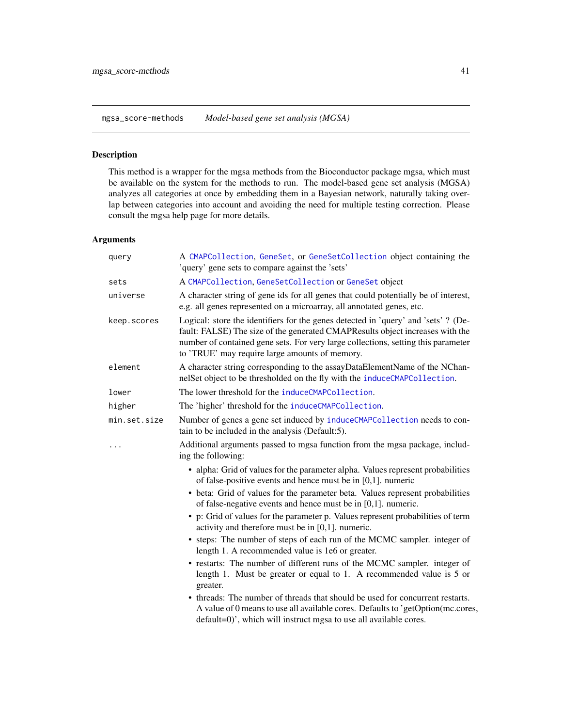<span id="page-40-0"></span>mgsa\_score-methods *Model-based gene set analysis (MGSA)*

# Description

This method is a wrapper for the mgsa methods from the Bioconductor package mgsa, which must be available on the system for the methods to run. The model-based gene set analysis (MGSA) analyzes all categories at once by embedding them in a Bayesian network, naturally taking overlap between categories into account and avoiding the need for multiple testing correction. Please consult the mgsa help page for more details.

# Arguments

| A CMAPCollection, GeneSet, or GeneSetCollection object containing the<br>'query' gene sets to compare against the 'sets'                                                                                                                                                                                   |
|------------------------------------------------------------------------------------------------------------------------------------------------------------------------------------------------------------------------------------------------------------------------------------------------------------|
| A CMAPCollection, GeneSetCollection or GeneSet object                                                                                                                                                                                                                                                      |
| A character string of gene ids for all genes that could potentially be of interest,<br>e.g. all genes represented on a microarray, all annotated genes, etc.                                                                                                                                               |
| Logical: store the identifiers for the genes detected in 'query' and 'sets' ? (De-<br>fault: FALSE) The size of the generated CMAPResults object increases with the<br>number of contained gene sets. For very large collections, setting this parameter<br>to 'TRUE' may require large amounts of memory. |
| A character string corresponding to the assayDataElementName of the NChan-<br>nelSet object to be thresholded on the fly with the induceCMAPCollection.                                                                                                                                                    |
| The lower threshold for the induceCMAPCollection.                                                                                                                                                                                                                                                          |
| The 'higher' threshold for the induceCMAPCollection.                                                                                                                                                                                                                                                       |
| Number of genes a gene set induced by induceCMAPCollection needs to con-<br>tain to be included in the analysis (Default:5).                                                                                                                                                                               |
| Additional arguments passed to mgsa function from the mgsa package, includ-<br>ing the following:                                                                                                                                                                                                          |
| • alpha: Grid of values for the parameter alpha. Values represent probabilities<br>of false-positive events and hence must be in $[0,1]$ . numeric                                                                                                                                                         |
| • beta: Grid of values for the parameter beta. Values represent probabilities<br>of false-negative events and hence must be in $[0,1]$ . numeric.                                                                                                                                                          |
| • p: Grid of values for the parameter p. Values represent probabilities of term<br>activity and therefore must be in $[0,1]$ . numeric.                                                                                                                                                                    |
| • steps: The number of steps of each run of the MCMC sampler. integer of<br>length 1. A recommended value is 1e6 or greater.                                                                                                                                                                               |
| • restarts: The number of different runs of the MCMC sampler. integer of<br>length 1. Must be greater or equal to 1. A recommended value is 5 or<br>greater.                                                                                                                                               |
| • threads: The number of threads that should be used for concurrent restarts.<br>A value of 0 means to use all available cores. Defaults to 'getOption(mc.cores,<br>default=0)', which will instruct mgsa to use all available cores.                                                                      |
|                                                                                                                                                                                                                                                                                                            |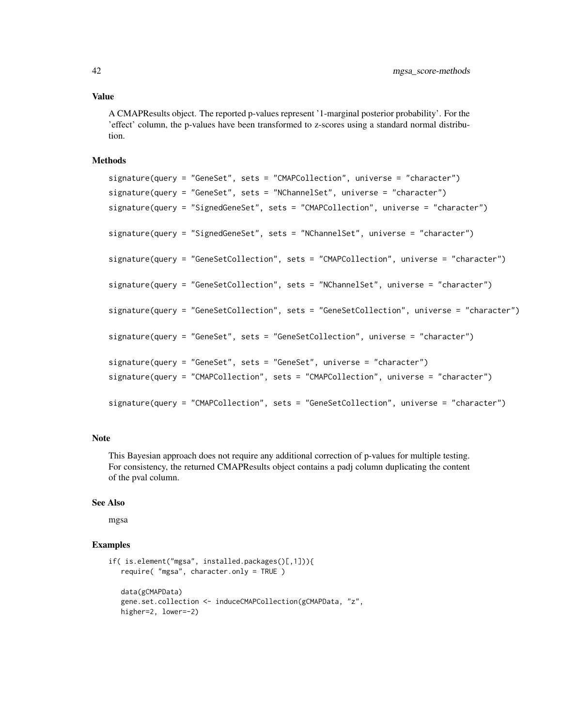# Value

A CMAPResults object. The reported p-values represent '1-marginal posterior probability'. For the 'effect' column, the p-values have been transformed to z-scores using a standard normal distribution.

# Methods

```
signature(query = "GeneSet", sets = "CMAPCollection", universe = "character")
signature(query = "GeneSet", sets = "NChannelSet", universe = "character")
signature(query = "SignedGeneSet", sets = "CMAPCollection", universe = "character")
signature(query = "SignedGeneSet", sets = "NChannelSet", universe = "character")
signature(query = "GeneSetCollection", sets = "CMAPCollection", universe = "character")
signature(query = "GeneSetCollection", sets = "NChannelSet", universe = "character")
signature(query = "GeneSetCollection", sets = "GeneSetCollection", universe = "character")
signature(query = "GeneSet", sets = "GeneSetCollection", universe = "character")
signature(query = "GeneSet", sets = "GeneSet", universe = "character")
signature(query = "CMAPCollection", sets = "CMAPCollection", universe = "character")
signature(query = "CMAPCollection", sets = "GeneSetCollection", universe = "character")
```
#### **Note**

This Bayesian approach does not require any additional correction of p-values for multiple testing. For consistency, the returned CMAPResults object contains a padj column duplicating the content of the pval column.

#### See Also

mgsa

# Examples

```
if( is.element("mgsa", installed.packages()[,1])){
  require( "mgsa", character.only = TRUE )
  data(gCMAPData)
  gene.set.collection <- induceCMAPCollection(gCMAPData, "z",
  higher=2, lower=-2)
```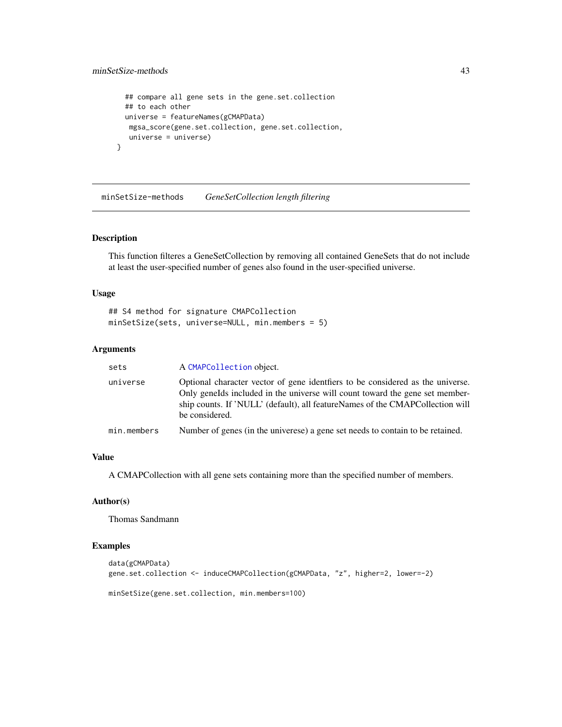```
## compare all gene sets in the gene.set.collection
  ## to each other
 universe = featureNames(gCMAPData)
  mgsa_score(gene.set.collection, gene.set.collection,
  universe = universe)
}
```
minSetSize-methods *GeneSetCollection length filtering*

# Description

This function filteres a GeneSetCollection by removing all contained GeneSets that do not include at least the user-specified number of genes also found in the user-specified universe.

# Usage

```
## S4 method for signature CMAPCollection
minSetSize(sets, universe=NULL, min.members = 5)
```
# Arguments

| sets        | A CMAPCollection object.                                                                                                                                                                                                                                           |
|-------------|--------------------------------------------------------------------------------------------------------------------------------------------------------------------------------------------------------------------------------------------------------------------|
| universe    | Optional character vector of gene identifiers to be considered as the universe.<br>Only genelds included in the universe will count toward the gene set member-<br>ship counts. If 'NULL' (default), all featureNames of the CMAPCollection will<br>be considered. |
| min.members | Number of genes (in the universe) a gene set needs to contain to be retained.                                                                                                                                                                                      |

# Value

A CMAPCollection with all gene sets containing more than the specified number of members.

#### Author(s)

Thomas Sandmann

# Examples

```
data(gCMAPData)
gene.set.collection <- induceCMAPCollection(gCMAPData, "z", higher=2, lower=-2)
```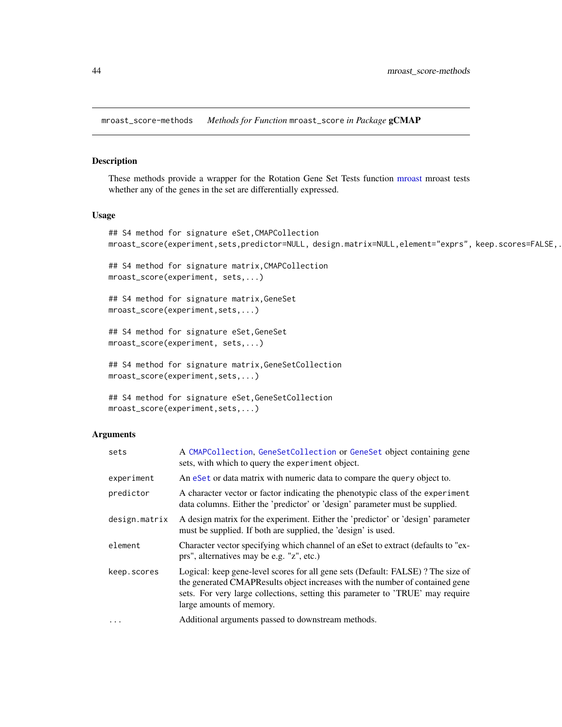<span id="page-43-0"></span>mroast\_score-methods *Methods for Function* mroast\_score *in Package* gCMAP

# Description

These methods provide a wrapper for the Rotation Gene Set Tests function [mroast](#page-0-0) mroast tests whether any of the genes in the set are differentially expressed.

# Usage

```
## S4 method for signature eSet,CMAPCollection
mroast_score(experiment,sets,predictor=NULL, design.matrix=NULL,element="exprs", keep.scores=FALSE,.
```
## S4 method for signature matrix,CMAPCollection mroast\_score(experiment, sets,...)

## S4 method for signature matrix,GeneSet mroast\_score(experiment,sets,...)

## S4 method for signature eSet,GeneSet mroast\_score(experiment, sets,...)

```
## S4 method for signature matrix,GeneSetCollection
mroast_score(experiment,sets,...)
```

```
## S4 method for signature eSet,GeneSetCollection
mroast_score(experiment,sets,...)
```
# Arguments

| sets          | A CMAPCollection, GeneSetCollection or GeneSet object containing gene<br>sets, with which to query the experiment object.                                                                                                                                                     |
|---------------|-------------------------------------------------------------------------------------------------------------------------------------------------------------------------------------------------------------------------------------------------------------------------------|
| experiment    | An eSet or data matrix with numeric data to compare the query object to.                                                                                                                                                                                                      |
| predictor     | A character vector or factor indicating the phenotypic class of the experiment<br>data columns. Either the 'predictor' or 'design' parameter must be supplied.                                                                                                                |
| design.matrix | A design matrix for the experiment. Either the 'predictor' or 'design' parameter<br>must be supplied. If both are supplied, the 'design' is used.                                                                                                                             |
| element       | Character vector specifying which channel of an eSet to extract (defaults to "ex-<br>prs", alternatives may be e.g. "z", etc.)                                                                                                                                                |
| keep.scores   | Logical: keep gene-level scores for all gene sets (Default: FALSE)? The size of<br>the generated CMAPResults object increases with the number of contained gene<br>sets. For very large collections, setting this parameter to 'TRUE' may require<br>large amounts of memory. |
| $\cdots$      | Additional arguments passed to downstream methods.                                                                                                                                                                                                                            |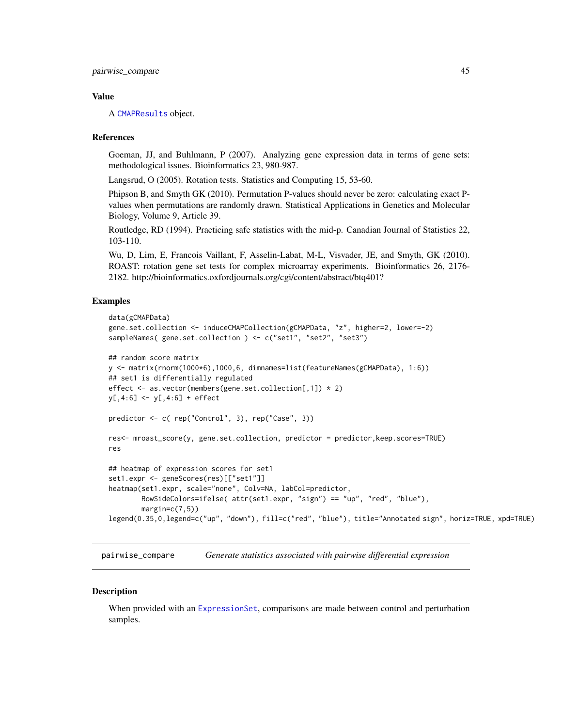#### <span id="page-44-0"></span>Value

A [CMAPResults](#page-11-1) object.

#### References

Goeman, JJ, and Buhlmann, P (2007). Analyzing gene expression data in terms of gene sets: methodological issues. Bioinformatics 23, 980-987.

Langsrud, O (2005). Rotation tests. Statistics and Computing 15, 53-60.

Phipson B, and Smyth GK (2010). Permutation P-values should never be zero: calculating exact Pvalues when permutations are randomly drawn. Statistical Applications in Genetics and Molecular Biology, Volume 9, Article 39.

Routledge, RD (1994). Practicing safe statistics with the mid-p. Canadian Journal of Statistics 22, 103-110.

Wu, D, Lim, E, Francois Vaillant, F, Asselin-Labat, M-L, Visvader, JE, and Smyth, GK (2010). ROAST: rotation gene set tests for complex microarray experiments. Bioinformatics 26, 2176- 2182. http://bioinformatics.oxfordjournals.org/cgi/content/abstract/btq401?

# Examples

```
data(gCMAPData)
gene.set.collection <- induceCMAPCollection(gCMAPData, "z", higher=2, lower=-2)
sampleNames( gene.set.collection ) <- c("set1", "set2", "set3")
## random score matrix
y <- matrix(rnorm(1000*6),1000,6, dimnames=list(featureNames(gCMAPData), 1:6))
## set1 is differentially regulated
effect <- as.vector(members(gene.set.collection[,1]) * 2)
y[,4:6] <- y[,4:6] + effect
predictor <- c( rep("Control", 3), rep("Case", 3))
res<- mroast_score(y, gene.set.collection, predictor = predictor,keep.scores=TRUE)
res
## heatmap of expression scores for set1
set1.expr <- geneScores(res)[["set1"]]
heatmap(set1.expr, scale="none", Colv=NA, labCol=predictor,
        RowSideColors=ifelse( attr(set1.expr, "sign") == "up", "red", "blue"),
        margin = c(7,5)legend(0.35,0,legend=c("up", "down"), fill=c("red", "blue"), title="Annotated sign", horiz=TRUE, xpd=TRUE)
```
<span id="page-44-1"></span>pairwise\_compare *Generate statistics associated with pairwise differential expression*

#### Description

When provided with an [ExpressionSet](#page-0-0), comparisons are made between control and perturbation samples.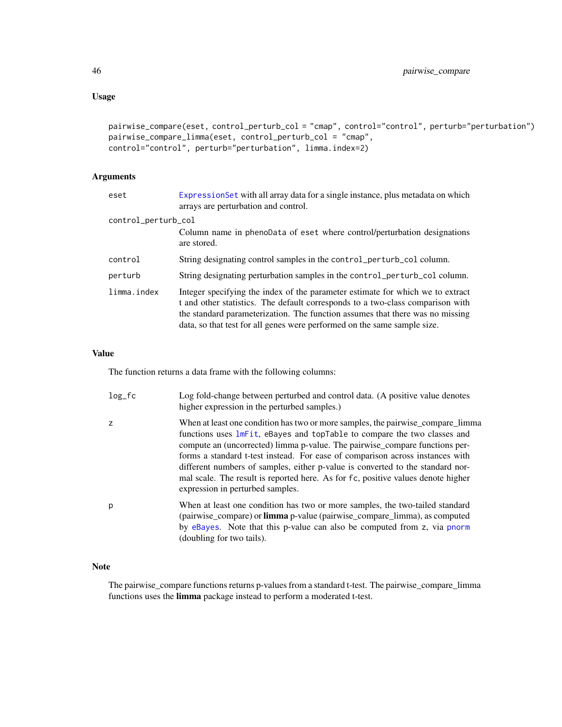# Usage

```
pairwise_compare(eset, control_perturb_col = "cmap", control="control", perturb="perturbation")
pairwise_compare_limma(eset, control_perturb_col = "cmap",
control="control", perturb="perturbation", limma.index=2)
```
# Arguments

| eset                | Expression Set with all array data for a single instance, plus metadata on which<br>arrays are perturbation and control.                                                                                                                                                                                                      |
|---------------------|-------------------------------------------------------------------------------------------------------------------------------------------------------------------------------------------------------------------------------------------------------------------------------------------------------------------------------|
| control_perturb_col |                                                                                                                                                                                                                                                                                                                               |
|                     | Column name in phenoData of eset where control/perturbation designations<br>are stored.                                                                                                                                                                                                                                       |
| control             | String designating control samples in the control_perturb_col column.                                                                                                                                                                                                                                                         |
| perturb             | String designating perturbation samples in the control_perturb_col column.                                                                                                                                                                                                                                                    |
| limma.index         | Integer specifying the index of the parameter estimate for which we to extract<br>t and other statistics. The default corresponds to a two-class comparison with<br>the standard parameterization. The function assumes that there was no missing<br>data, so that test for all genes were performed on the same sample size. |

#### Value

The function returns a data frame with the following columns:

| $log_f c$ | Log fold-change between perturbed and control data. (A positive value denotes<br>higher expression in the perturbed samples.)                                                                                                                                                                                                                                                                                                                                                                                                         |
|-----------|---------------------------------------------------------------------------------------------------------------------------------------------------------------------------------------------------------------------------------------------------------------------------------------------------------------------------------------------------------------------------------------------------------------------------------------------------------------------------------------------------------------------------------------|
| z         | When at least one condition has two or more samples, the pairwise compare limma<br>functions uses lmFit, eBayes and topTable to compare the two classes and<br>compute an (uncorrected) limma p-value. The pairwise compare functions per-<br>forms a standard t-test instead. For ease of comparison across instances with<br>different numbers of samples, either p-value is converted to the standard nor-<br>mal scale. The result is reported here. As for fc, positive values denote higher<br>expression in perturbed samples. |
| р         | When at least one condition has two or more samples, the two-tailed standard<br>(pairwise_compare) or <b>limma</b> p-value (pairwise_compare_limma), as computed<br>by eBayes. Note that this p-value can also be computed from z, via pnorm<br>(doubling for two tails).                                                                                                                                                                                                                                                             |

# Note

The pairwise\_compare functions returns p-values from a standard t-test. The pairwise\_compare\_limma functions uses the limma package instead to perform a moderated t-test.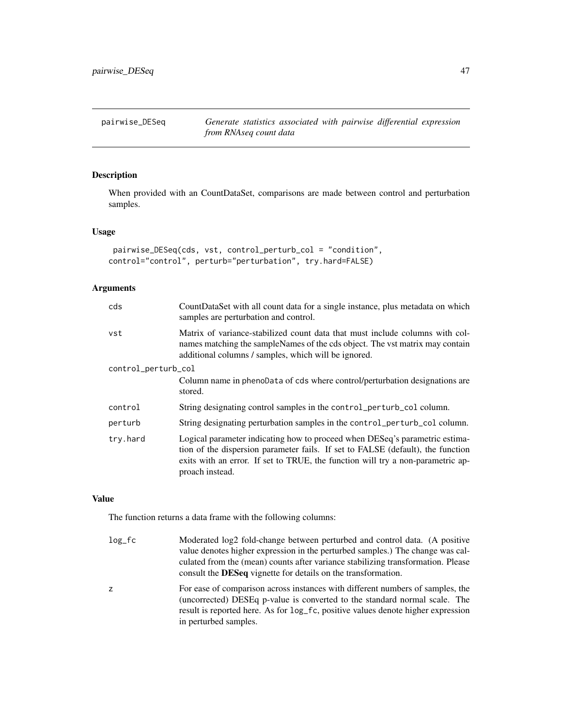# <span id="page-46-0"></span>Description

When provided with an CountDataSet, comparisons are made between control and perturbation samples.

# Usage

```
pairwise_DESeq(cds, vst, control_perturb_col = "condition",
control="control", perturb="perturbation", try.hard=FALSE)
```
# Arguments

| cds                 | CountDataSet with all count data for a single instance, plus metadata on which<br>samples are perturbation and control.                                                                                                                                              |  |  |
|---------------------|----------------------------------------------------------------------------------------------------------------------------------------------------------------------------------------------------------------------------------------------------------------------|--|--|
| vst                 | Matrix of variance-stabilized count data that must include columns with col-<br>names matching the sampleNames of the cds object. The vst matrix may contain<br>additional columns / samples, which will be ignored.                                                 |  |  |
| control_perturb_col |                                                                                                                                                                                                                                                                      |  |  |
|                     | Column name in phenoData of cds where control/perturbation designations are<br>stored.                                                                                                                                                                               |  |  |
| control             | String designating control samples in the control_perturb_col column.                                                                                                                                                                                                |  |  |
| perturb             | String designating perturbation samples in the control_perturb_col column.                                                                                                                                                                                           |  |  |
| try.hard            | Logical parameter indicating how to proceed when DESeq's parametric estima-<br>tion of the dispersion parameter fails. If set to FALSE (default), the function<br>exits with an error. If set to TRUE, the function will try a non-parametric ap-<br>proach instead. |  |  |

#### Value

The function returns a data frame with the following columns:

| $log_f c$ | Moderated log2 fold-change between perturbed and control data. (A positive<br>value denotes higher expression in the perturbed samples.) The change was cal-<br>culated from the (mean) counts after variance stabilizing transformation. Please<br>consult the DESeq vignette for details on the transformation. |
|-----------|-------------------------------------------------------------------------------------------------------------------------------------------------------------------------------------------------------------------------------------------------------------------------------------------------------------------|
| Z         | For ease of comparison across instances with different numbers of samples, the<br>(uncorrected) DESEq p-value is converted to the standard normal scale. The<br>result is reported here. As for log_fc, positive values denote higher expression<br>in perturbed samples.                                         |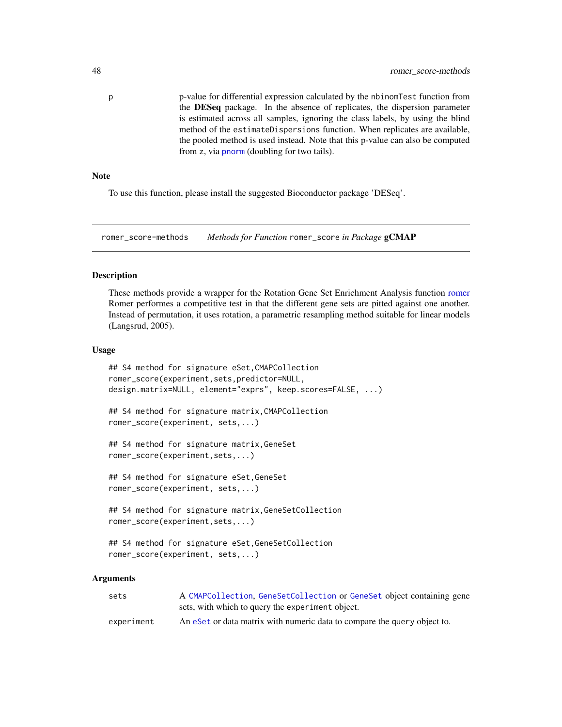<span id="page-47-0"></span>p p-value for differential expression calculated by the nbinomTest function from the DESeq package. In the absence of replicates, the dispersion parameter is estimated across all samples, ignoring the class labels, by using the blind method of the estimateDispersions function. When replicates are available, the pooled method is used instead. Note that this p-value can also be computed from z, via [pnorm](#page-0-0) (doubling for two tails).

#### **Note**

To use this function, please install the suggested Bioconductor package 'DESeq'.

romer\_score-methods *Methods for Function* romer\_score *in Package* gCMAP

#### Description

These methods provide a wrapper for the Rotation Gene Set Enrichment Analysis function [romer](#page-0-0) Romer performes a competitive test in that the different gene sets are pitted against one another. Instead of permutation, it uses rotation, a parametric resampling method suitable for linear models (Langsrud, 2005).

#### Usage

```
## S4 method for signature eSet,CMAPCollection
romer_score(experiment,sets,predictor=NULL,
design.matrix=NULL, element="exprs", keep.scores=FALSE, ...)
## S4 method for signature matrix,CMAPCollection
romer_score(experiment, sets,...)
## S4 method for signature matrix,GeneSet
romer_score(experiment,sets,...)
## S4 method for signature eSet,GeneSet
romer_score(experiment, sets,...)
## S4 method for signature matrix,GeneSetCollection
romer_score(experiment,sets,...)
## S4 method for signature eSet,GeneSetCollection
romer_score(experiment, sets,...)
```
#### Arguments

| sets       | A CMAPCollection, GeneSetCollection or GeneSet object containing gene    |
|------------|--------------------------------------------------------------------------|
|            | sets, with which to query the experiment object.                         |
| experiment | An eset or data matrix with numeric data to compare the query object to. |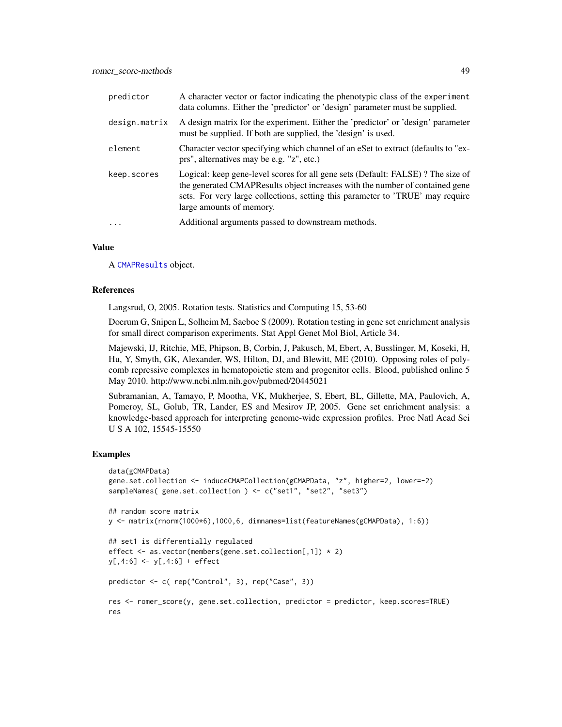| predictor     | A character vector or factor indicating the phenotypic class of the experiment<br>data columns. Either the 'predictor' or 'design' parameter must be supplied.                                                                                                                |
|---------------|-------------------------------------------------------------------------------------------------------------------------------------------------------------------------------------------------------------------------------------------------------------------------------|
| design.matrix | A design matrix for the experiment. Either the 'predictor' or 'design' parameter<br>must be supplied. If both are supplied, the 'design' is used.                                                                                                                             |
| element       | Character vector specifying which channel of an eSet to extract (defaults to "ex-<br>prs", alternatives may be e.g. "z", etc.)                                                                                                                                                |
| keep.scores   | Logical: keep gene-level scores for all gene sets (Default: FALSE)? The size of<br>the generated CMAPResults object increases with the number of contained gene<br>sets. For very large collections, setting this parameter to 'TRUE' may require<br>large amounts of memory. |
| .             | Additional arguments passed to downstream methods.                                                                                                                                                                                                                            |

#### Value

A [CMAPResults](#page-11-1) object.

#### References

Langsrud, O, 2005. Rotation tests. Statistics and Computing 15, 53-60

Doerum G, Snipen L, Solheim M, Saeboe S (2009). Rotation testing in gene set enrichment analysis for small direct comparison experiments. Stat Appl Genet Mol Biol, Article 34.

Majewski, IJ, Ritchie, ME, Phipson, B, Corbin, J, Pakusch, M, Ebert, A, Busslinger, M, Koseki, H, Hu, Y, Smyth, GK, Alexander, WS, Hilton, DJ, and Blewitt, ME (2010). Opposing roles of polycomb repressive complexes in hematopoietic stem and progenitor cells. Blood, published online 5 May 2010. http://www.ncbi.nlm.nih.gov/pubmed/20445021

Subramanian, A, Tamayo, P, Mootha, VK, Mukherjee, S, Ebert, BL, Gillette, MA, Paulovich, A, Pomeroy, SL, Golub, TR, Lander, ES and Mesirov JP, 2005. Gene set enrichment analysis: a knowledge-based approach for interpreting genome-wide expression profiles. Proc Natl Acad Sci U S A 102, 15545-15550

# Examples

```
data(gCMAPData)
gene.set.collection <- induceCMAPCollection(gCMAPData, "z", higher=2, lower=-2)
sampleNames( gene.set.collection ) <- c("set1", "set2", "set3")
## random score matrix
y <- matrix(rnorm(1000*6),1000,6, dimnames=list(featureNames(gCMAPData), 1:6))
## set1 is differentially regulated
effect <- as.vector(members(gene.set.collection[,1]) * 2)
y[, 4:6] <- y[, 4:6] + effect
predictor <- c( rep("Control", 3), rep("Case", 3))
res <- romer_score(y, gene.set.collection, predictor = predictor, keep.scores=TRUE)
res
```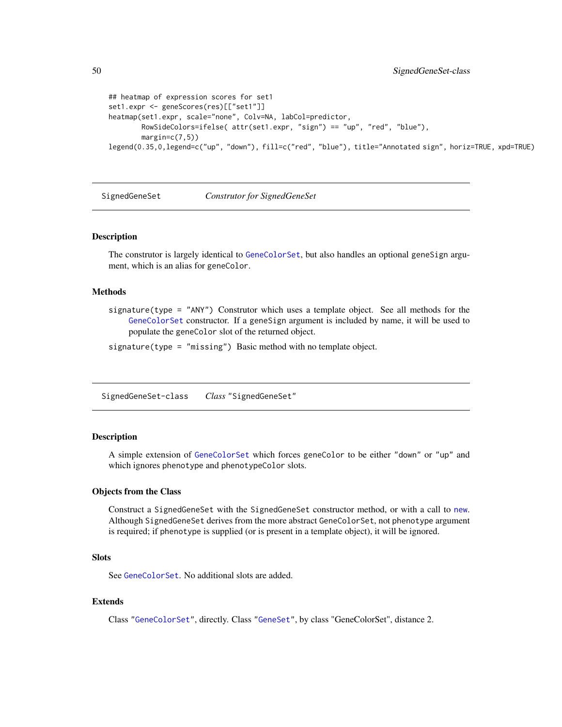```
## heatmap of expression scores for set1
set1.expr <- geneScores(res)[["set1"]]
heatmap(set1.expr, scale="none", Colv=NA, labCol=predictor,
        RowSideColors=ifelse( attr(set1.expr, "sign") == "up", "red", "blue"),
        margin=c(7,5))
legend(0.35,0,legend=c("up", "down"), fill=c("red", "blue"), title="Annotated sign", horiz=TRUE, xpd=TRUE)
```
SignedGeneSet *Construtor for SignedGeneSet*

#### Description

The construtor is largely identical to [GeneColorSet](#page-0-0), but also handles an optional geneSign argument, which is an alias for geneColor.

#### **Methods**

signature(type = "ANY") Construtor which uses a template object. See all methods for the [GeneColorSet](#page-0-0) constructor. If a geneSign argument is included by name, it will be used to populate the geneColor slot of the returned object.

signature(type = "missing") Basic method with no template object.

<span id="page-49-1"></span>SignedGeneSet-class *Class* "SignedGeneSet"

#### Description

A simple extension of [GeneColorSet](#page-0-0) which forces geneColor to be either "down" or "up" and which ignores phenotype and phenotypeColor slots.

#### Objects from the Class

Construct a SignedGeneSet with the SignedGeneSet constructor method, or with a call to [new](#page-0-0). Although SignedGeneSet derives from the more abstract GeneColorSet, not phenotype argument is required; if phenotype is supplied (or is present in a template object), it will be ignored.

#### **Slots**

See [GeneColorSet](#page-0-0). No additional slots are added.

# Extends

Class ["GeneColorSet"](#page-0-0), directly. Class ["GeneSet"](#page-0-0), by class "GeneColorSet", distance 2.

<span id="page-49-0"></span>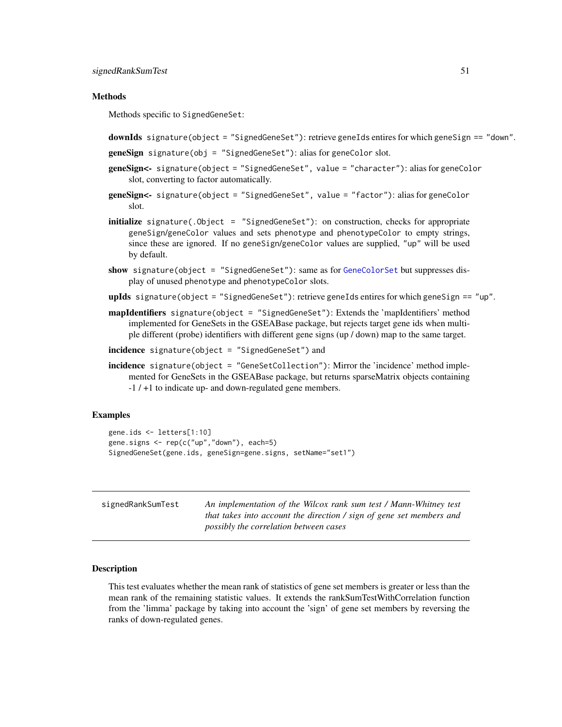#### <span id="page-50-0"></span>**Methods**

Methods specific to SignedGeneSet:

```
downIds signature(object = "SignedGeneSet"): retrieve geneIds entires for which geneSign == "down".
```

```
geneSign signature(obj = "SignedGeneSet"): alias for geneColor slot.
```
- geneSign<- signature(object = "SignedGeneSet", value = "character"): alias for geneColor slot, converting to factor automatically.
- geneSign<- signature(object = "SignedGeneSet", value = "factor"): alias for geneColor slot.
- initialize signature(.Object = "SignedGeneSet"): on construction, checks for appropriate geneSign/geneColor values and sets phenotype and phenotypeColor to empty strings, since these are ignored. If no geneSign/geneColor values are supplied, "up" will be used by default.
- show signature(object = "SignedGeneSet"): same as for [GeneColorSet](#page-0-0) but suppresses display of unused phenotype and phenotypeColor slots.
- upIds signature(object = "SignedGeneSet"): retrieve geneIds entires for which geneSign == "up".
- mapIdentifiers signature(object = "SignedGeneSet"): Extends the 'mapIdentifiers' method implemented for GeneSets in the GSEABase package, but rejects target gene ids when multiple different (probe) identifiers with different gene signs (up / down) map to the same target.
- incidence signature(object = "SignedGeneSet") and
- incidence signature(object = "GeneSetCollection"): Mirror the 'incidence' method implemented for GeneSets in the GSEABase package, but returns sparseMatrix objects containing -1 / +1 to indicate up- and down-regulated gene members.

#### Examples

```
gene.ids <- letters[1:10]
gene.signs <- rep(c("up","down"), each=5)
SignedGeneSet(gene.ids, geneSign=gene.signs, setName="set1")
```

| signedRankSumTest | An implementation of the Wilcox rank sum test / Mann-Whitney test    |
|-------------------|----------------------------------------------------------------------|
|                   | that takes into account the direction / sign of gene set members and |
|                   | <i>possibly the correlation between cases</i>                        |

#### Description

This test evaluates whether the mean rank of statistics of gene set members is greater or less than the mean rank of the remaining statistic values. It extends the rankSumTestWithCorrelation function from the 'limma' package by taking into account the 'sign' of gene set members by reversing the ranks of down-regulated genes.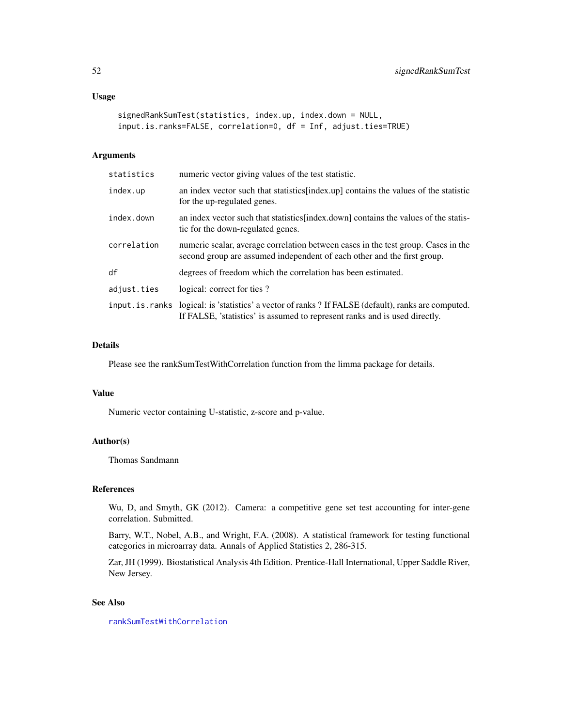# Usage

```
signedRankSumTest(statistics, index.up, index.down = NULL,
input.is.ranks=FALSE, correlation=0, df = Inf, adjust.ties=TRUE)
```
#### Arguments

| statistics  | numeric vector giving values of the test statistic.                                                                                                                                 |
|-------------|-------------------------------------------------------------------------------------------------------------------------------------------------------------------------------------|
| index.up    | an index vector such that statistics [index.up] contains the values of the statistic<br>for the up-regulated genes.                                                                 |
| index.down  | an index vector such that statistics [index.down] contains the values of the statis-<br>tic for the down-regulated genes.                                                           |
| correlation | numeric scalar, average correlation between cases in the test group. Cases in the<br>second group are assumed independent of each other and the first group.                        |
| df          | degrees of freedom which the correlation has been estimated.                                                                                                                        |
| adjust.ties | logical: correct for ties?                                                                                                                                                          |
|             | input. is. ranks logical: is 'statistics' a vector of ranks ? If FALSE (default), ranks are computed.<br>If FALSE, 'statistics' is assumed to represent ranks and is used directly. |

# Details

Please see the rankSumTestWithCorrelation function from the limma package for details.

# Value

Numeric vector containing U-statistic, z-score and p-value.

# Author(s)

Thomas Sandmann

# References

Wu, D, and Smyth, GK (2012). Camera: a competitive gene set test accounting for inter-gene correlation. Submitted.

Barry, W.T., Nobel, A.B., and Wright, F.A. (2008). A statistical framework for testing functional categories in microarray data. Annals of Applied Statistics 2, 286-315.

Zar, JH (1999). Biostatistical Analysis 4th Edition. Prentice-Hall International, Upper Saddle River, New Jersey.

# See Also

[rankSumTestWithCorrelation](#page-0-0)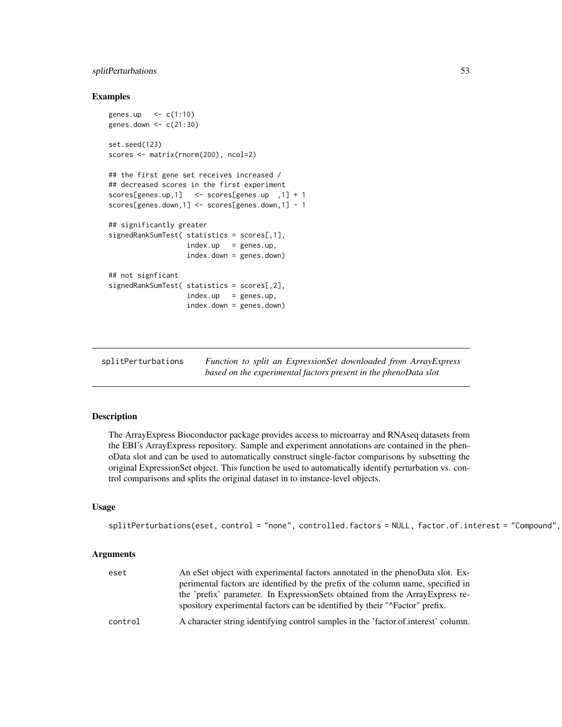# <span id="page-52-0"></span>splitPerturbations 53

#### Examples

```
genes.up \leq c(1:10)
genes.down <- c(21:30)
set.seed(123)
scores <- matrix(rnorm(200), ncol=2)
## the first gene set receives increased /
## decreased scores in the first experiment
scores[genes.up,1] <- scores[genes.up ,1] + 1
scores[genes.down,1] <- scores[genes.down,1] - 1
## significantly greater
signedRankSumTest( statistics = scores[,1],
                  index.up = genes.up,index.down = genes.down)
## not signficant
signedRankSumTest( statistics = scores[,2],
                   index.up = genes.up,index.down = genes.down)
```
<span id="page-52-1"></span>

| splitPerturbations |  | Function to split an ExpressionSet downloaded from ArrayExpress |  |  |
|--------------------|--|-----------------------------------------------------------------|--|--|
|                    |  | based on the experimental factors present in the phenoData slot |  |  |

#### Description

The ArrayExpress Bioconductor package provides access to microarray and RNAseq datasets from the EBI's ArrayExpress repository. Sample and experiment annotations are contained in the phenoData slot and can be used to automatically construct single-factor comparisons by subsetting the original ExpressionSet object. This function be used to automatically identify perturbation vs. control comparisons and splits the original dataset in to instance-level objects.

#### Usage

```
splitPerturbations(eset, control = "none", controlled.factors = NULL, factor.of.interest = "Compound",
```
#### Arguments

| eset    | An eSet object with experimental factors annotated in the phenoData slot. Ex-                                                                                         |
|---------|-----------------------------------------------------------------------------------------------------------------------------------------------------------------------|
|         | perimental factors are identified by the prefix of the column name, specified in                                                                                      |
|         | the 'prefix' parameter. In ExpressionSets obtained from the Array Express re-<br>spository experimental factors can be identified by their " $\Delta$ Factor" prefix. |
| control | A character string identifying control samples in the 'factor.of.interest' column.                                                                                    |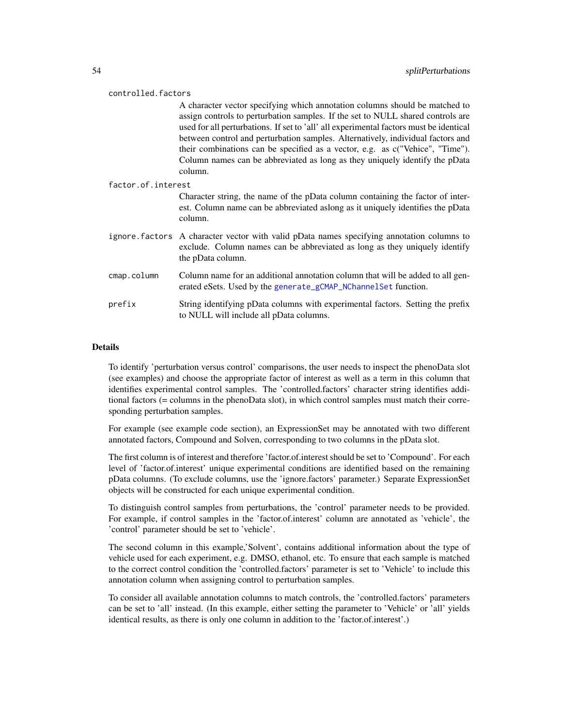#### controlled.factors

A character vector specifying which annotation columns should be matched to assign controls to perturbation samples. If the set to NULL shared controls are used for all perturbations. If set to 'all' all experimental factors must be identical between control and perturbation samples. Alternatively, individual factors and their combinations can be specified as a vector, e.g. as c("Vehice", "Time"). Column names can be abbreviated as long as they uniquely identify the pData column.

#### factor.of.interest

Character string, the name of the pData column containing the factor of interest. Column name can be abbreviated aslong as it uniquely identifies the pData column.

- ignore.factors A character vector with valid pData names specifying annotation columns to exclude. Column names can be abbreviated as long as they uniquely identify the pData column.
- cmap.column Column name for an additional annotation column that will be added to all generated eSets. Used by the [generate\\_gCMAP\\_NChannelSet](#page-26-1) function.
- prefix String identifying pData columns with experimental factors. Setting the prefix to NULL will include all pData columns.

# **Details**

To identify 'perturbation versus control' comparisons, the user needs to inspect the phenoData slot (see examples) and choose the appropriate factor of interest as well as a term in this column that identifies experimental control samples. The 'controlled.factors' character string identifies additional factors (= columns in the phenoData slot), in which control samples must match their corresponding perturbation samples.

For example (see example code section), an ExpressionSet may be annotated with two different annotated factors, Compound and Solven, corresponding to two columns in the pData slot.

The first column is of interest and therefore 'factor.of.interest should be set to 'Compound'. For each level of 'factor.of.interest' unique experimental conditions are identified based on the remaining pData columns. (To exclude columns, use the 'ignore.factors' parameter.) Separate ExpressionSet objects will be constructed for each unique experimental condition.

To distinguish control samples from perturbations, the 'control' parameter needs to be provided. For example, if control samples in the 'factor.of.interest' column are annotated as 'vehicle', the 'control' parameter should be set to 'vehicle'.

The second column in this example,'Solvent', contains additional information about the type of vehicle used for each experiment, e.g. DMSO, ethanol, etc. To ensure that each sample is matched to the correct control condition the 'controlled.factors' parameter is set to 'Vehicle' to include this annotation column when assigning control to perturbation samples.

To consider all available annotation columns to match controls, the 'controlled.factors' parameters can be set to 'all' instead. (In this example, either setting the parameter to 'Vehicle' or 'all' yields identical results, as there is only one column in addition to the 'factor.of.interest'.)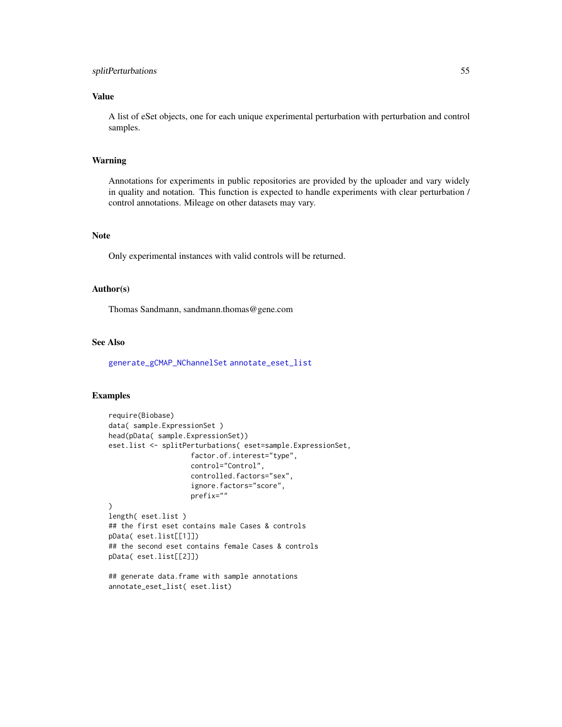# splitPerturbations 55

# Value

A list of eSet objects, one for each unique experimental perturbation with perturbation and control samples.

# Warning

Annotations for experiments in public repositories are provided by the uploader and vary widely in quality and notation. This function is expected to handle experiments with clear perturbation / control annotations. Mileage on other datasets may vary.

#### Note

Only experimental instances with valid controls will be returned.

# Author(s)

Thomas Sandmann, sandmann.thomas@gene.com

# See Also

[generate\\_gCMAP\\_NChannelSet](#page-26-1) [annotate\\_eset\\_list](#page-5-1)

# Examples

```
require(Biobase)
data( sample.ExpressionSet )
head(pData( sample.ExpressionSet))
eset.list <- splitPerturbations( eset=sample.ExpressionSet,
                    factor.of.interest="type",
                    control="Control",
                    controlled.factors="sex",
                    ignore.factors="score",
                    prefix=""
)
length( eset.list )
## the first eset contains male Cases & controls
pData( eset.list[[1]])
## the second eset contains female Cases & controls
pData( eset.list[[2]])
```
## generate data.frame with sample annotations annotate\_eset\_list( eset.list)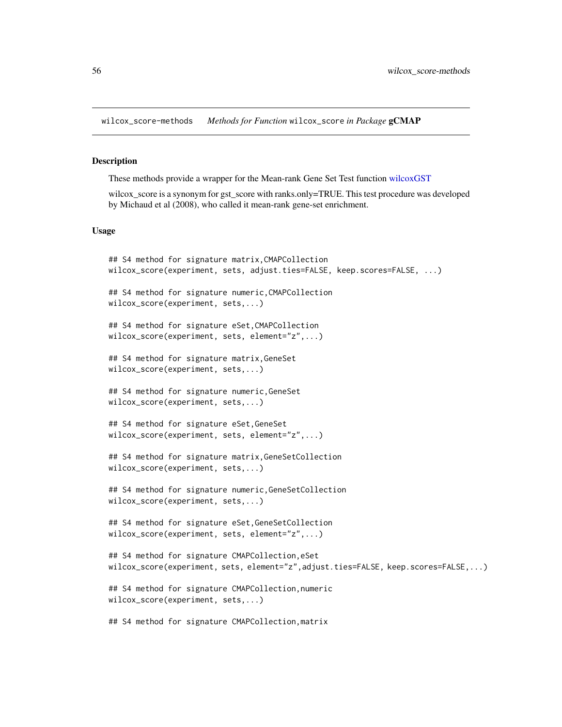<span id="page-55-0"></span>wilcox\_score-methods *Methods for Function* wilcox\_score *in Package* gCMAP

# Description

These methods provide a wrapper for the Mean-rank Gene Set Test function [wilcoxGST](#page-0-0)

wilcox score is a synonym for gst score with ranks.only=TRUE. This test procedure was developed by Michaud et al (2008), who called it mean-rank gene-set enrichment.

# Usage

```
## S4 method for signature matrix,CMAPCollection
wilcox_score(experiment, sets, adjust.ties=FALSE, keep.scores=FALSE, ...)
## S4 method for signature numeric,CMAPCollection
wilcox_score(experiment, sets,...)
## S4 method for signature eSet,CMAPCollection
wilcox_score(experiment, sets, element="z",...)
## S4 method for signature matrix,GeneSet
wilcox_score(experiment, sets,...)
## S4 method for signature numeric,GeneSet
wilcox_score(experiment, sets,...)
## S4 method for signature eSet,GeneSet
wilcox_score(experiment, sets, element="z",...)
## S4 method for signature matrix,GeneSetCollection
wilcox_score(experiment, sets,...)
## S4 method for signature numeric,GeneSetCollection
wilcox_score(experiment, sets,...)
## S4 method for signature eSet,GeneSetCollection
wilcox_score(experiment, sets, element="z",...)
## S4 method for signature CMAPCollection,eSet
wilcox_score(experiment, sets, element="z",adjust.ties=FALSE, keep.scores=FALSE,...)
## S4 method for signature CMAPCollection,numeric
wilcox_score(experiment, sets,...)
## S4 method for signature CMAPCollection,matrix
```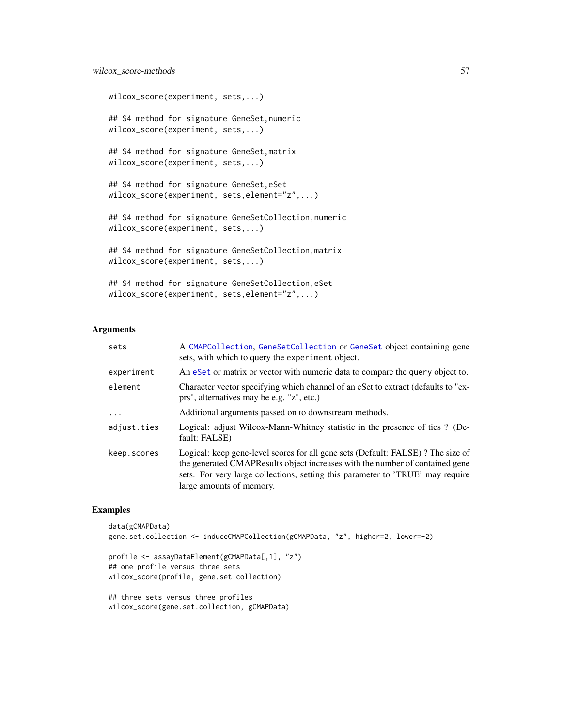# wilcox\_score-methods 57

```
wilcox_score(experiment, sets,...)
## S4 method for signature GeneSet,numeric
wilcox_score(experiment, sets,...)
## S4 method for signature GeneSet,matrix
wilcox_score(experiment, sets,...)
## S4 method for signature GeneSet,eSet
wilcox_score(experiment, sets,element="z",...)
## S4 method for signature GeneSetCollection,numeric
wilcox_score(experiment, sets,...)
## S4 method for signature GeneSetCollection,matrix
wilcox_score(experiment, sets,...)
## S4 method for signature GeneSetCollection,eSet
wilcox_score(experiment, sets,element="z",...)
```
#### Arguments

| A CMAPCollection, GeneSetCollection or GeneSet object containing gene<br>sets, with which to query the experiment object.                                                                                                                                                     |
|-------------------------------------------------------------------------------------------------------------------------------------------------------------------------------------------------------------------------------------------------------------------------------|
| An eset or matrix or vector with numeric data to compare the query object to.                                                                                                                                                                                                 |
| Character vector specifying which channel of an eSet to extract (defaults to "ex-<br>prs", alternatives may be e.g. "z", etc.)                                                                                                                                                |
| Additional arguments passed on to downstream methods.                                                                                                                                                                                                                         |
| Logical: adjust Wilcox-Mann-Whitney statistic in the presence of ties? (De-<br>fault: FALSE)                                                                                                                                                                                  |
| Logical: keep gene-level scores for all gene sets (Default: FALSE)? The size of<br>the generated CMAPResults object increases with the number of contained gene<br>sets. For very large collections, setting this parameter to 'TRUE' may require<br>large amounts of memory. |
|                                                                                                                                                                                                                                                                               |

# Examples

```
data(gCMAPData)
gene.set.collection <- induceCMAPCollection(gCMAPData, "z", higher=2, lower=-2)
```

```
profile <- assayDataElement(gCMAPData[,1], "z")
## one profile versus three sets
wilcox_score(profile, gene.set.collection)
```

```
## three sets versus three profiles
wilcox_score(gene.set.collection, gCMAPData)
```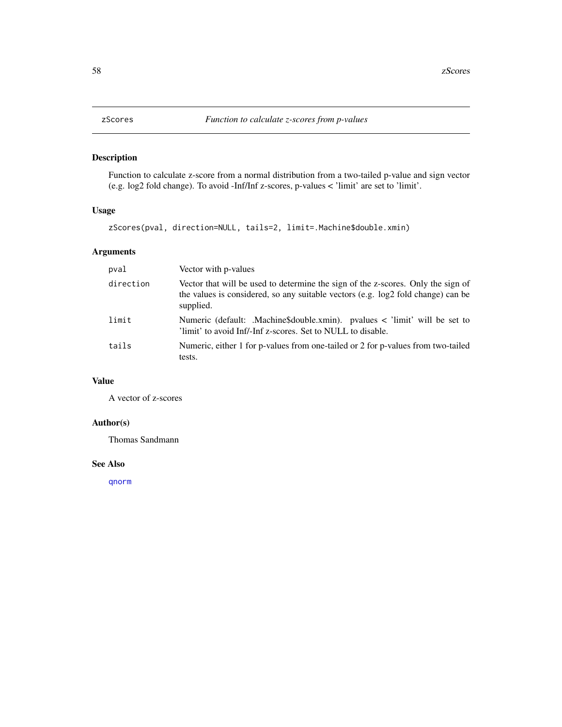<span id="page-57-0"></span>

# Description

Function to calculate z-score from a normal distribution from a two-tailed p-value and sign vector (e.g. log2 fold change). To avoid -Inf/Inf z-scores, p-values < 'limit' are set to 'limit'.

#### Usage

zScores(pval, direction=NULL, tails=2, limit=.Machine\$double.xmin)

# Arguments

| pval      | Vector with p-values                                                                                                                                                              |
|-----------|-----------------------------------------------------------------------------------------------------------------------------------------------------------------------------------|
| direction | Vector that will be used to determine the sign of the z-scores. Only the sign of<br>the values is considered, so any suitable vectors (e.g. log2 fold change) can be<br>supplied. |
| limit     | Numeric (default: .Machine\$double.xmin). pvalues < 'limit' will be set to<br>'limit' to avoid Inf/-Inf z-scores. Set to NULL to disable.                                         |
| tails     | Numeric, either 1 for p-values from one-tailed or 2 for p-values from two-tailed<br>tests.                                                                                        |

# Value

A vector of z-scores

# Author(s)

Thomas Sandmann

## See Also

[qnorm](#page-0-0)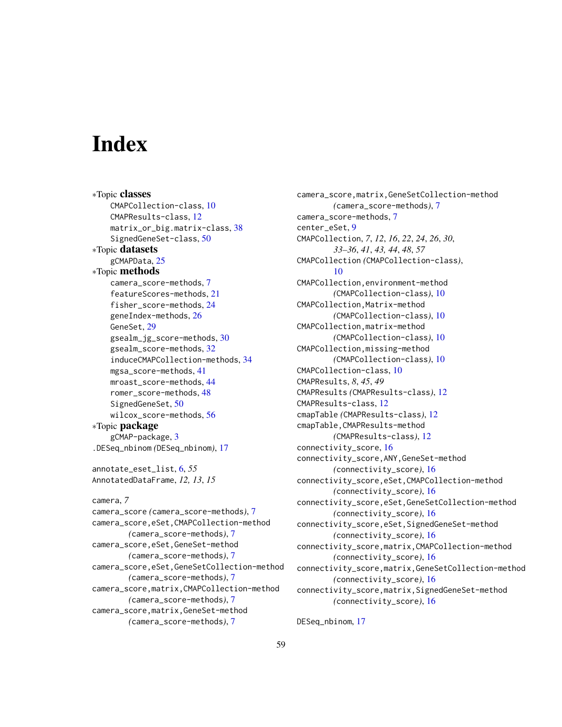# <span id="page-58-0"></span>Index

∗Topic classes CMAPCollection-class, [10](#page-9-0) CMAPResults-class, [12](#page-11-0) matrix\_or\_big.matrix-class, [38](#page-37-0) SignedGeneSet-class, [50](#page-49-0) ∗Topic datasets gCMAPData, [25](#page-24-0) ∗Topic methods camera\_score-methods, [7](#page-6-0) featureScores-methods, [21](#page-20-0) fisher\_score-methods, [24](#page-23-0) geneIndex-methods, [26](#page-25-0) GeneSet, [29](#page-28-0) gsealm\_jg\_score-methods, [30](#page-29-0) gsealm\_score-methods, [32](#page-31-0) induceCMAPCollection-methods, [34](#page-33-0) mgsa\_score-methods, [41](#page-40-0) mroast\_score-methods, [44](#page-43-0) romer\_score-methods, [48](#page-47-0) SignedGeneSet, [50](#page-49-0) wilcox\_score-methods, [56](#page-55-0) ∗Topic package gCMAP-package, [3](#page-2-0) .DESeq\_nbinom *(*DESeq\_nbinom*)*, [17](#page-16-0) annotate\_eset\_list, [6,](#page-5-0) *55* AnnotatedDataFrame, *12, 13*, *15* camera, *7* camera\_score *(*camera\_score-methods*)*, [7](#page-6-0) camera\_score,eSet,CMAPCollection-method *(*camera\_score-methods*)*, [7](#page-6-0) camera\_score,eSet,GeneSet-method *(*camera\_score-methods*)*, [7](#page-6-0) camera\_score,eSet,GeneSetCollection-method *(*camera\_score-methods*)*, [7](#page-6-0) camera\_score,matrix,CMAPCollection-method *(*camera\_score-methods*)*, [7](#page-6-0) camera\_score,matrix,GeneSet-method *(*camera\_score-methods*)*, [7](#page-6-0)

camera\_score,matrix,GeneSetCollection-method *(*camera\_score-methods*)*, [7](#page-6-0) camera\_score-methods, [7](#page-6-0) center\_eSet, [9](#page-8-0) CMAPCollection, *7*, *12*, *16*, *22*, *24*, *26*, *30*, *33–36*, *41*, *43, 44*, *48*, *57* CMAPCollection *(*CMAPCollection-class*)*, [10](#page-9-0) CMAPCollection,environment-method *(*CMAPCollection-class*)*, [10](#page-9-0) CMAPCollection,Matrix-method *(*CMAPCollection-class*)*, [10](#page-9-0) CMAPCollection,matrix-method *(*CMAPCollection-class*)*, [10](#page-9-0) CMAPCollection,missing-method *(*CMAPCollection-class*)*, [10](#page-9-0) CMAPCollection-class, [10](#page-9-0) CMAPResults, *8*, *45*, *49* CMAPResults *(*CMAPResults-class*)*, [12](#page-11-0) CMAPResults-class, [12](#page-11-0) cmapTable *(*CMAPResults-class*)*, [12](#page-11-0) cmapTable,CMAPResults-method *(*CMAPResults-class*)*, [12](#page-11-0) connectivity\_score, [16](#page-15-0) connectivity\_score,ANY,GeneSet-method *(*connectivity\_score*)*, [16](#page-15-0) connectivity\_score,eSet,CMAPCollection-method *(*connectivity\_score*)*, [16](#page-15-0) connectivity\_score,eSet,GeneSetCollection-method *(*connectivity\_score*)*, [16](#page-15-0) connectivity\_score,eSet,SignedGeneSet-method *(*connectivity\_score*)*, [16](#page-15-0) connectivity\_score,matrix,CMAPCollection-method *(*connectivity\_score*)*, [16](#page-15-0) connectivity\_score,matrix,GeneSetCollection-method *(*connectivity\_score*)*, [16](#page-15-0) connectivity\_score,matrix,SignedGeneSet-method *(*connectivity\_score*)*, [16](#page-15-0)

DESeq\_nbinom, [17](#page-16-0)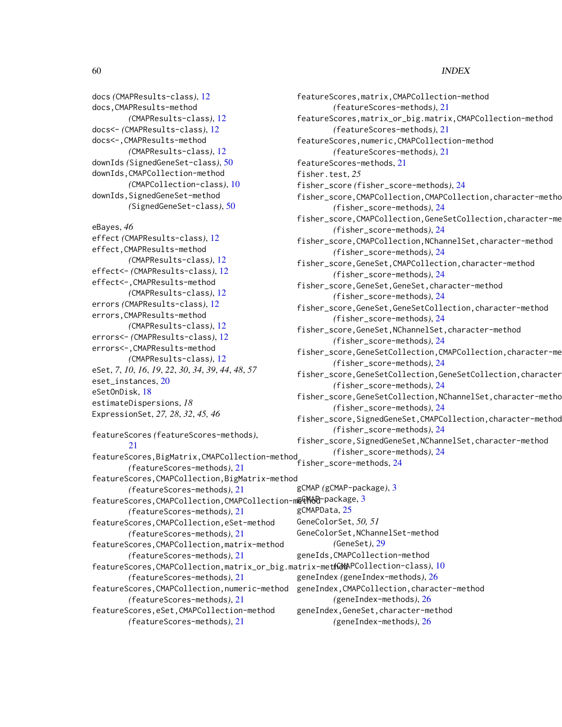docs *(*CMAPResults-class*)*, [12](#page-11-0) docs,CMAPResults-method *(*CMAPResults-class*)*, [12](#page-11-0) docs<- *(*CMAPResults-class*)*, [12](#page-11-0) docs<-,CMAPResults-method *(*CMAPResults-class*)*, [12](#page-11-0) downIds *(*SignedGeneSet-class*)*, [50](#page-49-0) downIds,CMAPCollection-method *(*CMAPCollection-class*)*, [10](#page-9-0) downIds,SignedGeneSet-method *(*SignedGeneSet-class*)*, [50](#page-49-0)

```
eBayes, 46
effect (CMAPResults-class), 12
effect,CMAPResults-method
        (CMAPResults-class), 12
effect<- (CMAPResults-class), 12
effect<-,CMAPResults-method
        (CMAPResults-class), 12
errors (CMAPResults-class), 12
errors,CMAPResults-method
        (CMAPResults-class), 12
errors<- (CMAPResults-class), 12
errors<-,CMAPResults-method
        (CMAPResults-class), 12
eSet, 7, 10, 16, 19, 22, 30, 34, 39, 44, 48, 57
eset_instances, 20
eSetOnDisk, 18
estimateDispersions, 18
ExpressionSet, 27, 28, 32, 45, 46
```
featureScores *(*featureScores-methods*)*, [21](#page-20-0) featureScores,BigMatrix,CMAPCollection-method *(*featureScores-methods*)*, [21](#page-20-0) featureScores,CMAPCollection,BigMatrix-method *(*featureScores-methods*)*, [21](#page-20-0) featureScores, CMAPCollection, CMAPCollection-m@@M&@-package, [3](#page-2-0) *(*featureScores-methods*)*, [21](#page-20-0) featureScores,CMAPCollection,eSet-method *(*featureScores-methods*)*, [21](#page-20-0) featureScores,CMAPCollection,matrix-method *(*featureScores-methods*)*, [21](#page-20-0) featureScores,CMAPCollection,matrix\_or\_big.matrix-method *(*CMAPCollection-class*)*, [10](#page-9-0) *(*featureScores-methods*)*, [21](#page-20-0) featureScores,CMAPCollection,numeric-method *(*featureScores-methods*)*, [21](#page-20-0)

featureScores,eSet,CMAPCollection-method *(*featureScores-methods*)*, [21](#page-20-0)

featureScores,matrix,CMAPCollection-method *(*featureScores-methods*)*, [21](#page-20-0) featureScores,matrix\_or\_big.matrix,CMAPCollection-method *(*featureScores-methods*)*, [21](#page-20-0) featureScores,numeric,CMAPCollection-method *(*featureScores-methods*)*, [21](#page-20-0) featureScores-methods, [21](#page-20-0) fisher.test, *25* fisher\_score *(*fisher\_score-methods*)*, [24](#page-23-0) fisher\_score,CMAPCollection,CMAPCollection,character-method *(*fisher\_score-methods*)*, [24](#page-23-0) fisher\_score,CMAPCollection,GeneSetCollection,character-method *(*fisher\_score-methods*)*, [24](#page-23-0) fisher\_score,CMAPCollection,NChannelSet,character-method *(*fisher\_score-methods*)*, [24](#page-23-0) fisher\_score,GeneSet,CMAPCollection,character-method *(*fisher\_score-methods*)*, [24](#page-23-0) fisher\_score,GeneSet,GeneSet,character-method *(*fisher\_score-methods*)*, [24](#page-23-0) fisher\_score,GeneSet,GeneSetCollection,character-method *(*fisher\_score-methods*)*, [24](#page-23-0) fisher\_score,GeneSet,NChannelSet,character-method *(*fisher\_score-methods*)*, [24](#page-23-0) fisher\_score,GeneSetCollection,CMAPCollection,character-me *(*fisher\_score-methods*)*, [24](#page-23-0) fisher\_score,GeneSetCollection,GeneSetCollection,character *(*fisher\_score-methods*)*, [24](#page-23-0) fisher\_score,GeneSetCollection,NChannelSet,character-metho *(*fisher\_score-methods*)*, [24](#page-23-0) fisher\_score,SignedGeneSet,CMAPCollection,character-method *(*fisher\_score-methods*)*, [24](#page-23-0) fisher\_score,SignedGeneSet,NChannelSet,character-method *(*fisher\_score-methods*)*, [24](#page-23-0) fisher\_score-methods, [24](#page-23-0) gCMAP *(*gCMAP-package*)*, [3](#page-2-0) gCMAPData, [25](#page-24-0) GeneColorSet, *50, 51* GeneColorSet,NChannelSet-method *(*GeneSet*)*, [29](#page-28-0) geneIds,CMAPCollection-method geneIndex *(*geneIndex-methods*)*, [26](#page-25-0) geneIndex,CMAPCollection,character-method *(*geneIndex-methods*)*, [26](#page-25-0) geneIndex,GeneSet,character-method

*(*geneIndex-methods*)*, [26](#page-25-0)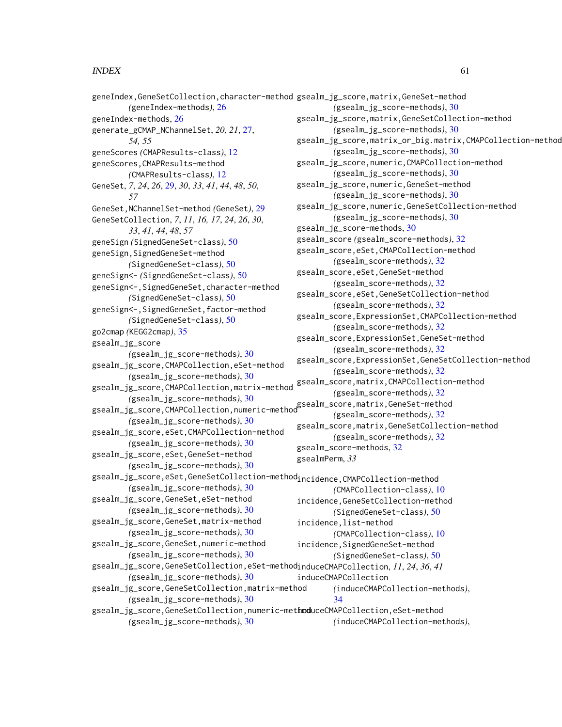geneIndex,GeneSetCollection,character-method gsealm\_jg\_score,matrix,GeneSet-method *(*geneIndex-methods*)*, [26](#page-25-0) geneIndex-methods, [26](#page-25-0) generate\_gCMAP\_NChannelSet, *20, 21*, [27,](#page-26-0) *54, 55* geneScores *(*CMAPResults-class*)*, [12](#page-11-0) geneScores,CMAPResults-method *(*CMAPResults-class*)*, [12](#page-11-0) GeneSet, *7*, *24*, *26*, [29,](#page-28-0) *30*, *33*, *41*, *44*, *48*, *50*, *57* GeneSet,NChannelSet-method *(*GeneSet*)*, [29](#page-28-0) GeneSetCollection, *7*, *11*, *16, 17*, *24*, *26*, *30*, *33*, *41*, *44*, *48*, *57* geneSign *(*SignedGeneSet-class*)*, [50](#page-49-0) geneSign,SignedGeneSet-method *(*SignedGeneSet-class*)*, [50](#page-49-0) geneSign<- *(*SignedGeneSet-class*)*, [50](#page-49-0) geneSign<-,SignedGeneSet,character-method *(*SignedGeneSet-class*)*, [50](#page-49-0) geneSign<-,SignedGeneSet,factor-method *(*SignedGeneSet-class*)*, [50](#page-49-0) go2cmap *(*KEGG2cmap*)*, [35](#page-34-0) gsealm\_jg\_score *(*gsealm\_jg\_score-methods*)*, [30](#page-29-0) gsealm\_jg\_score,CMAPCollection,eSet-method *(*gsealm\_jg\_score-methods*)*, [30](#page-29-0) gsealm\_jg\_score,CMAPCollection,matrix-method *(*gsealm\_jg\_score-methods*)*, [30](#page-29-0) gsealm\_jg\_score methods), 50<br>gsealm\_score,matrix,GeneSet-method<br>(sealm\_score,core,CMAPCollection,numeric-method *(*gsealm\_jg\_score-methods*)*, [30](#page-29-0) gsealm\_jg\_score,eSet,CMAPCollection-method *(*gsealm\_jg\_score-methods*)*, [30](#page-29-0) gsealm\_jg\_score,eSet,GeneSet-method *(*gsealm\_jg\_score-methods*)*, [30](#page-29-0) gsealm\_jg\_score,eSet,GeneSetCollection-method<sub>incidence,</sub>CMAPCollection-method *(*gsealm\_jg\_score-methods*)*, [30](#page-29-0) gsealm\_jg\_score,GeneSet,eSet-method *(*gsealm\_jg\_score-methods*)*, [30](#page-29-0) gsealm\_jg\_score,GeneSet,matrix-method *(*gsealm\_jg\_score-methods*)*, [30](#page-29-0) gsealm\_jg\_score,GeneSet,numeric-method *(*gsealm\_jg\_score-methods*)*, [30](#page-29-0) gsealm\_jg\_score,GeneSetCollection,eSet-method induceCMAPCollection, *11*, *24*, *36*, *41 (*gsealm\_jg\_score-methods*)*, [30](#page-29-0) gsealm\_jg\_score,GeneSetCollection,matrix-method *(*gsealm\_jg\_score-methods*)*, [30](#page-29-0) gsealm\_jg\_score,GeneSetCollection,numeric-met**hod**uceCMAPCollection,eSet-method *(*gsealm\_jg\_score-methods*)*, [30](#page-29-0) *(*gsealm\_jg\_score-methods*)*, [30](#page-29-0) gsealm\_jg\_score,matrix,GeneSetCollection-method *(*gsealm\_jg\_score-methods*)*, [30](#page-29-0) gsealm\_jg\_score,matrix\_or\_big.matrix,CMAPCollection-method *(*gsealm\_jg\_score-methods*)*, [30](#page-29-0) gsealm\_jg\_score,numeric,CMAPCollection-method *(*gsealm\_jg\_score-methods*)*, [30](#page-29-0) gsealm\_jg\_score,numeric,GeneSet-method *(*gsealm\_jg\_score-methods*)*, [30](#page-29-0) gsealm\_jg\_score,numeric,GeneSetCollection-method *(*gsealm\_jg\_score-methods*)*, [30](#page-29-0) gsealm\_jg\_score-methods, [30](#page-29-0) gsealm\_score *(*gsealm\_score-methods*)*, [32](#page-31-0) gsealm\_score,eSet,CMAPCollection-method *(*gsealm\_score-methods*)*, [32](#page-31-0) gsealm\_score,eSet,GeneSet-method *(*gsealm\_score-methods*)*, [32](#page-31-0) gsealm\_score,eSet,GeneSetCollection-method *(*gsealm\_score-methods*)*, [32](#page-31-0) gsealm\_score,ExpressionSet,CMAPCollection-method *(*gsealm\_score-methods*)*, [32](#page-31-0) gsealm\_score,ExpressionSet,GeneSet-method *(*gsealm\_score-methods*)*, [32](#page-31-0) gsealm\_score,ExpressionSet,GeneSetCollection-method *(*gsealm\_score-methods*)*, [32](#page-31-0) gsealm\_score,matrix,CMAPCollection-method *(*gsealm\_score-methods*)*, [32](#page-31-0) *(*gsealm\_score-methods*)*, [32](#page-31-0) gsealm\_score,matrix,GeneSetCollection-method *(*gsealm\_score-methods*)*, [32](#page-31-0) gsealm\_score-methods, [32](#page-31-0) gsealmPerm, *33 (*CMAPCollection-class*)*, [10](#page-9-0) incidence,GeneSetCollection-method *(*SignedGeneSet-class*)*, [50](#page-49-0) incidence,list-method *(*CMAPCollection-class*)*, [10](#page-9-0) incidence, SignedGeneSet-method *(*SignedGeneSet-class*)*, [50](#page-49-0) induceCMAPCollection *(*induceCMAPCollection-methods*)*, [34](#page-33-0) *(*induceCMAPCollection-methods*)*,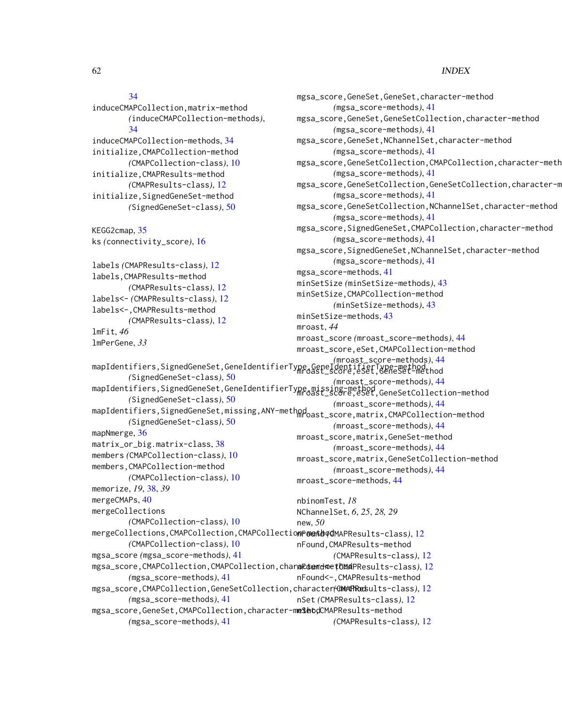# [34](#page-33-0)

```
induceCMAPCollection,matrix-method
        (induceCMAPCollection-methods),
        34
induceCMAPCollection-methods, 34
initialize,CMAPCollection-method
        (CMAPCollection-class), 10
initialize,CMAPResults-method
        (CMAPResults-class), 12
initialize,SignedGeneSet-method
        (SignedGeneSet-class), 50
KEGG2cmap, 35
ks (connectivity_score), 16
labels (CMAPResults-class), 12
labels,CMAPResults-method
        (CMAPResults-class), 12
labels<- (CMAPResults-class), 12
labels<-,CMAPResults-method
        (CMAPResults-class), 12
lmFit, 46
lmPerGene, 33
mapIdentifiers,SignedGeneSet,GeneIdentifierType,GeneIdentifierType-method
mroast_score,eSet,GeneSet-method
        (SignedGeneSet-class), 50
mapIdentifiers,SignedGeneSet,GeneIdentifierType,missing-method
mroast_score,eSet,GeneSetCollection-method
        (SignedGeneSet-class), 50
mapIdentifiers,SignedGeneSet,missing,ANY-method
mroast_score,matrix,CMAPCollection-method
        (SignedGeneSet-class), 50
mapNmerge, 36
matrix_or_big.matrix-class, 38
members (CMAPCollection-class), 10
members,CMAPCollection-method
        (CMAPCollection-class), 10
memorize, 19, 38, 39
mergeCMAPs, 40
mergeCollections
        (CMAPCollection-class), 10
mergeCollections,CMAPCollection,CMAPCollection-method
nFound (CMAPResults-class), 12
        (CMAPCollection-class), 10
mgsa_score (mgsa_score-methods), 41
mgsa_score,CMAPCollection,CMAPCollection,chara©demd<clade(6Md12
        (mgsa_score-methods), 41
12
        (mgsa_score-methods), 41
                                              mgsa_score,GeneSet,GeneSet,character-method
                                                      (mgsa_score-methods), 41
                                              mgsa_score,GeneSet,GeneSetCollection,character-method
                                                      (mgsa_score-methods), 41
                                              mgsa_score,GeneSet,NChannelSet,character-method
                                                      (mgsa_score-methods), 41
                                              mgsa_score,GeneSetCollection,CMAPCollection,character-meth
                                                      (mgsa_score-methods), 41
                                              mgsa_score,GeneSetCollection,GeneSetCollection,character-m
                                                      (mgsa_score-methods), 41
                                              mgsa_score,GeneSetCollection,NChannelSet,character-method
                                                      (mgsa_score-methods), 41
                                              mgsa_score,SignedGeneSet,CMAPCollection,character-method
                                                      (mgsa_score-methods), 41
                                              mgsa_score,SignedGeneSet,NChannelSet,character-method
                                                      (mgsa_score-methods), 41
                                              mgsa_score-methods, 41
                                              minSetSize (minSetSize-methods), 43
                                              minSetSize,CMAPCollection-method
                                                      (minSetSize-methods), 43
                                              minSetSize-methods, 43
                                              mroast, 44
                                              mroast_score (mroast_score-methods), 44
                                              mroast_score,eSet,CMAPCollection-method
                                                       (mroast_score-methods), 44
                                                      (mroast_score-methods), 44
                                                      (mroast_score-methods), 44
                                                      (mroast_score-methods), 44
                                              mroast_score,matrix,GeneSet-method
                                                      (mroast_score-methods), 44
                                              mroast_score,matrix,GeneSetCollection-method
                                                      (mroast_score-methods), 44
                                              mroast_score-methods, 44
                                              nbinomTest, 18
                                              NChannelSet, 6, 25, 28, 29
                                              new, 50
                                              nFound,CMAPResults-method
                                                      (CMAPResults-class), 12
                                              nFound<-,CMAPResults-method
                                              nSet (CMAPResults-class), 12
```
mgsa\_score,GeneSet,CMAPCollection,character-m**e\$eo**dCMAPResults-method *(*mgsa\_score-methods*)*, [41](#page-40-0) *(*CMAPResults-class*)*, [12](#page-11-0)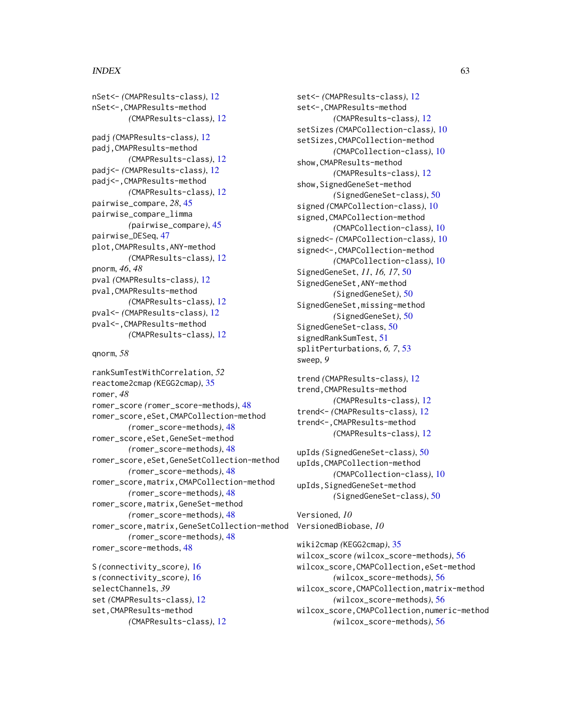#### $I<sub>N</sub>DEX$  63

```
nSet<- (CMAPResults-class), 12
nSet<-,CMAPResults-method
        (CMAPResults-class), 12
padj (CMAPResults-class), 12
padj,CMAPResults-method
        (CMAPResults-class), 12
padj<- (CMAPResults-class), 12
padj<-,CMAPResults-method
        (CMAPResults-class), 12
pairwise_compare, 28, 45
pairwise_compare_limma
        (pairwise_compare), 45
pairwise_DESeq, 47
plot,CMAPResults,ANY-method
        (CMAPResults-class), 12
pnorm, 46, 48
pval (CMAPResults-class), 12
pval,CMAPResults-method
        (CMAPResults-class), 12
pval<- (CMAPResults-class), 12
pval<-,CMAPResults-method
        (CMAPResults-class), 12
```
qnorm, *58*

```
rankSumTestWithCorrelation, 52
reactome2cmap (KEGG2cmap), 35
romer, 48
romer_score (romer_score-methods), 48
romer_score,eSet,CMAPCollection-method
        (romer_score-methods), 48
romer_score,eSet,GeneSet-method
        (romer_score-methods), 48
romer_score,eSet,GeneSetCollection-method
        (romer_score-methods), 48
romer_score,matrix,CMAPCollection-method
        (romer_score-methods), 48
romer_score,matrix,GeneSet-method
        (romer_score-methods), 48
romer_score,matrix,GeneSetCollection-method
VersionedBiobase, 10
        (romer_score-methods), 48
romer_score-methods, 48
S (connectivity_score), 16
s (connectivity_score), 16
selectChannels, 39
set (CMAPResults-class), 12
```

```
set,CMAPResults-method
        (CMAPResults-class), 12
```
set<- *(*CMAPResults-class*)*, [12](#page-11-0) set<-,CMAPResults-method *(*CMAPResults-class*)*, [12](#page-11-0) setSizes *(*CMAPCollection-class*)*, [10](#page-9-0) setSizes,CMAPCollection-method *(*CMAPCollection-class*)*, [10](#page-9-0) show,CMAPResults-method *(*CMAPResults-class*)*, [12](#page-11-0) show,SignedGeneSet-method *(*SignedGeneSet-class*)*, [50](#page-49-0) signed *(*CMAPCollection-class*)*, [10](#page-9-0) signed,CMAPCollection-method *(*CMAPCollection-class*)*, [10](#page-9-0) signed<- *(*CMAPCollection-class*)*, [10](#page-9-0) signed<-,CMAPCollection-method *(*CMAPCollection-class*)*, [10](#page-9-0) SignedGeneSet, *11*, *16, 17*, [50](#page-49-0) SignedGeneSet,ANY-method *(*SignedGeneSet*)*, [50](#page-49-0) SignedGeneSet,missing-method *(*SignedGeneSet*)*, [50](#page-49-0) SignedGeneSet-class, [50](#page-49-0) signedRankSumTest, [51](#page-50-0) splitPerturbations, *6, 7*, [53](#page-52-0) sweep, *9*

```
trend (CMAPResults-class), 12
trend,CMAPResults-method
        (CMAPResults-class), 12
trend<- (CMAPResults-class), 12
trend<-,CMAPResults-method
        (CMAPResults-class), 12
```

```
upIds (SignedGeneSet-class), 50
upIds,CMAPCollection-method
        (CMAPCollection-class), 10
upIds,SignedGeneSet-method
        (SignedGeneSet-class), 50
```

```
Versioned, 10
```
wiki2cmap *(*KEGG2cmap*)*, [35](#page-34-0) wilcox\_score *(*wilcox\_score-methods*)*, [56](#page-55-0) wilcox\_score,CMAPCollection,eSet-method *(*wilcox\_score-methods*)*, [56](#page-55-0) wilcox\_score,CMAPCollection,matrix-method *(*wilcox\_score-methods*)*, [56](#page-55-0) wilcox\_score,CMAPCollection,numeric-method *(*wilcox\_score-methods*)*, [56](#page-55-0)